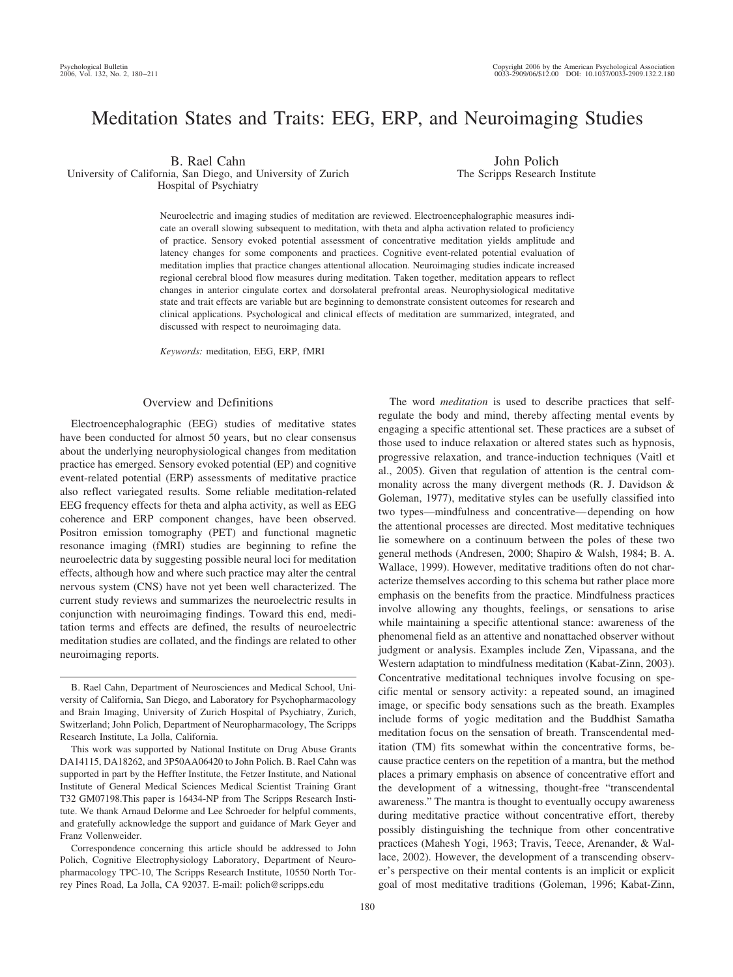# Meditation States and Traits: EEG, ERP, and Neuroimaging Studies

B. Rael Cahn

University of California, San Diego, and University of Zurich Hospital of Psychiatry

John Polich The Scripps Research Institute

The word *meditation* is used to describe practices that self-

Neuroelectric and imaging studies of meditation are reviewed. Electroencephalographic measures indicate an overall slowing subsequent to meditation, with theta and alpha activation related to proficiency of practice. Sensory evoked potential assessment of concentrative meditation yields amplitude and latency changes for some components and practices. Cognitive event-related potential evaluation of meditation implies that practice changes attentional allocation. Neuroimaging studies indicate increased regional cerebral blood flow measures during meditation. Taken together, meditation appears to reflect changes in anterior cingulate cortex and dorsolateral prefrontal areas. Neurophysiological meditative state and trait effects are variable but are beginning to demonstrate consistent outcomes for research and clinical applications. Psychological and clinical effects of meditation are summarized, integrated, and discussed with respect to neuroimaging data.

*Keywords:* meditation, EEG, ERP, fMRI

## Overview and Definitions

Electroencephalographic (EEG) studies of meditative states have been conducted for almost 50 years, but no clear consensus about the underlying neurophysiological changes from meditation practice has emerged. Sensory evoked potential (EP) and cognitive event-related potential (ERP) assessments of meditative practice also reflect variegated results. Some reliable meditation-related EEG frequency effects for theta and alpha activity, as well as EEG coherence and ERP component changes, have been observed. Positron emission tomography (PET) and functional magnetic resonance imaging (fMRI) studies are beginning to refine the neuroelectric data by suggesting possible neural loci for meditation effects, although how and where such practice may alter the central nervous system (CNS) have not yet been well characterized. The current study reviews and summarizes the neuroelectric results in conjunction with neuroimaging findings. Toward this end, meditation terms and effects are defined, the results of neuroelectric meditation studies are collated, and the findings are related to other neuroimaging reports.

Correspondence concerning this article should be addressed to John Polich, Cognitive Electrophysiology Laboratory, Department of Neuropharmacology TPC-10, The Scripps Research Institute, 10550 North Torrey Pines Road, La Jolla, CA 92037. E-mail: polich@scripps.edu

regulate the body and mind, thereby affecting mental events by engaging a specific attentional set. These practices are a subset of those used to induce relaxation or altered states such as hypnosis, progressive relaxation, and trance-induction techniques (Vaitl et al., 2005). Given that regulation of attention is the central commonality across the many divergent methods (R. J. Davidson & Goleman, 1977), meditative styles can be usefully classified into two types—mindfulness and concentrative— depending on how the attentional processes are directed. Most meditative techniques lie somewhere on a continuum between the poles of these two general methods (Andresen, 2000; Shapiro & Walsh, 1984; B. A. Wallace, 1999). However, meditative traditions often do not characterize themselves according to this schema but rather place more emphasis on the benefits from the practice. Mindfulness practices involve allowing any thoughts, feelings, or sensations to arise while maintaining a specific attentional stance: awareness of the phenomenal field as an attentive and nonattached observer without judgment or analysis. Examples include Zen, Vipassana, and the Western adaptation to mindfulness meditation (Kabat-Zinn, 2003). Concentrative meditational techniques involve focusing on specific mental or sensory activity: a repeated sound, an imagined image, or specific body sensations such as the breath. Examples include forms of yogic meditation and the Buddhist Samatha meditation focus on the sensation of breath. Transcendental meditation (TM) fits somewhat within the concentrative forms, because practice centers on the repetition of a mantra, but the method places a primary emphasis on absence of concentrative effort and the development of a witnessing, thought-free "transcendental awareness." The mantra is thought to eventually occupy awareness during meditative practice without concentrative effort, thereby possibly distinguishing the technique from other concentrative practices (Mahesh Yogi, 1963; Travis, Teece, Arenander, & Wallace, 2002). However, the development of a transcending observer's perspective on their mental contents is an implicit or explicit goal of most meditative traditions (Goleman, 1996; Kabat-Zinn,

B. Rael Cahn, Department of Neurosciences and Medical School, University of California, San Diego, and Laboratory for Psychopharmacology and Brain Imaging, University of Zurich Hospital of Psychiatry, Zurich, Switzerland; John Polich, Department of Neuropharmacology, The Scripps Research Institute, La Jolla, California.

This work was supported by National Institute on Drug Abuse Grants DA14115, DA18262, and 3P50AA06420 to John Polich. B. Rael Cahn was supported in part by the Heffter Institute, the Fetzer Institute, and National Institute of General Medical Sciences Medical Scientist Training Grant T32 GM07198.This paper is 16434-NP from The Scripps Research Institute. We thank Arnaud Delorme and Lee Schroeder for helpful comments, and gratefully acknowledge the support and guidance of Mark Geyer and Franz Vollenweider.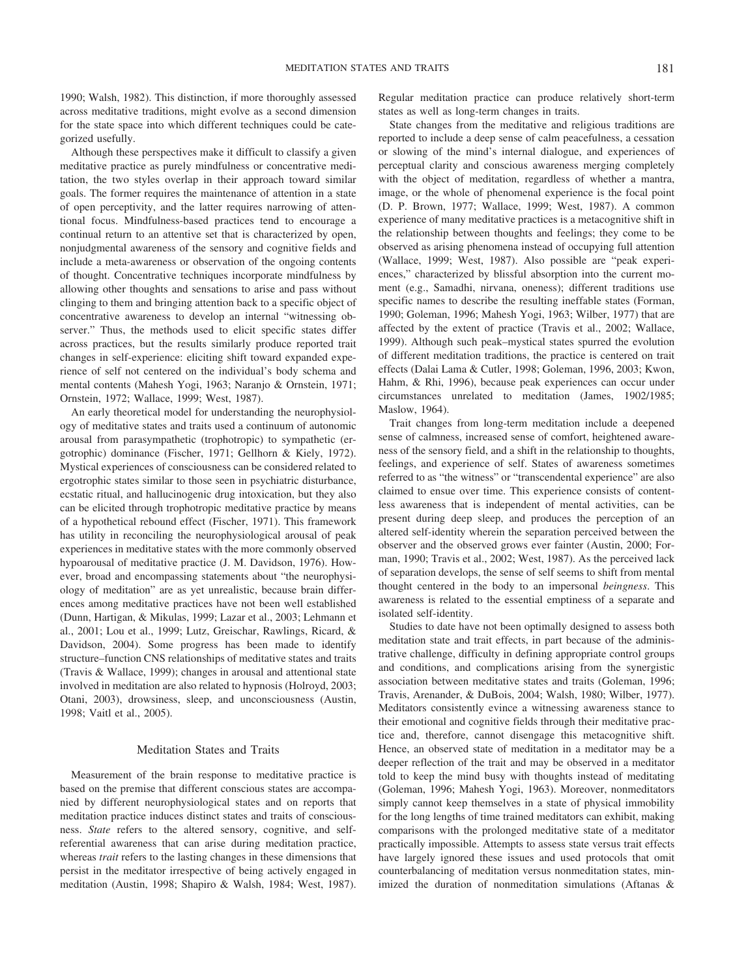1990; Walsh, 1982). This distinction, if more thoroughly assessed across meditative traditions, might evolve as a second dimension for the state space into which different techniques could be categorized usefully.

Although these perspectives make it difficult to classify a given meditative practice as purely mindfulness or concentrative meditation, the two styles overlap in their approach toward similar goals. The former requires the maintenance of attention in a state of open perceptivity, and the latter requires narrowing of attentional focus. Mindfulness-based practices tend to encourage a continual return to an attentive set that is characterized by open, nonjudgmental awareness of the sensory and cognitive fields and include a meta-awareness or observation of the ongoing contents of thought. Concentrative techniques incorporate mindfulness by allowing other thoughts and sensations to arise and pass without clinging to them and bringing attention back to a specific object of concentrative awareness to develop an internal "witnessing observer." Thus, the methods used to elicit specific states differ across practices, but the results similarly produce reported trait changes in self-experience: eliciting shift toward expanded experience of self not centered on the individual's body schema and mental contents (Mahesh Yogi, 1963; Naranjo & Ornstein, 1971; Ornstein, 1972; Wallace, 1999; West, 1987).

An early theoretical model for understanding the neurophysiology of meditative states and traits used a continuum of autonomic arousal from parasympathetic (trophotropic) to sympathetic (ergotrophic) dominance (Fischer, 1971; Gellhorn & Kiely, 1972). Mystical experiences of consciousness can be considered related to ergotrophic states similar to those seen in psychiatric disturbance, ecstatic ritual, and hallucinogenic drug intoxication, but they also can be elicited through trophotropic meditative practice by means of a hypothetical rebound effect (Fischer, 1971). This framework has utility in reconciling the neurophysiological arousal of peak experiences in meditative states with the more commonly observed hypoarousal of meditative practice (J. M. Davidson, 1976). However, broad and encompassing statements about "the neurophysiology of meditation" are as yet unrealistic, because brain differences among meditative practices have not been well established (Dunn, Hartigan, & Mikulas, 1999; Lazar et al., 2003; Lehmann et al., 2001; Lou et al., 1999; Lutz, Greischar, Rawlings, Ricard, & Davidson, 2004). Some progress has been made to identify structure–function CNS relationships of meditative states and traits (Travis & Wallace, 1999); changes in arousal and attentional state involved in meditation are also related to hypnosis (Holroyd, 2003; Otani, 2003), drowsiness, sleep, and unconsciousness (Austin, 1998; Vaitl et al., 2005).

#### Meditation States and Traits

Measurement of the brain response to meditative practice is based on the premise that different conscious states are accompanied by different neurophysiological states and on reports that meditation practice induces distinct states and traits of consciousness. *State* refers to the altered sensory, cognitive, and selfreferential awareness that can arise during meditation practice, whereas *trait* refers to the lasting changes in these dimensions that persist in the meditator irrespective of being actively engaged in meditation (Austin, 1998; Shapiro & Walsh, 1984; West, 1987). Regular meditation practice can produce relatively short-term states as well as long-term changes in traits.

State changes from the meditative and religious traditions are reported to include a deep sense of calm peacefulness, a cessation or slowing of the mind's internal dialogue, and experiences of perceptual clarity and conscious awareness merging completely with the object of meditation, regardless of whether a mantra, image, or the whole of phenomenal experience is the focal point (D. P. Brown, 1977; Wallace, 1999; West, 1987). A common experience of many meditative practices is a metacognitive shift in the relationship between thoughts and feelings; they come to be observed as arising phenomena instead of occupying full attention (Wallace, 1999; West, 1987). Also possible are "peak experiences," characterized by blissful absorption into the current moment (e.g., Samadhi, nirvana, oneness); different traditions use specific names to describe the resulting ineffable states (Forman, 1990; Goleman, 1996; Mahesh Yogi, 1963; Wilber, 1977) that are affected by the extent of practice (Travis et al., 2002; Wallace, 1999). Although such peak–mystical states spurred the evolution of different meditation traditions, the practice is centered on trait effects (Dalai Lama & Cutler, 1998; Goleman, 1996, 2003; Kwon, Hahm, & Rhi, 1996), because peak experiences can occur under circumstances unrelated to meditation (James, 1902/1985; Maslow, 1964).

Trait changes from long-term meditation include a deepened sense of calmness, increased sense of comfort, heightened awareness of the sensory field, and a shift in the relationship to thoughts, feelings, and experience of self. States of awareness sometimes referred to as "the witness" or "transcendental experience" are also claimed to ensue over time. This experience consists of contentless awareness that is independent of mental activities, can be present during deep sleep, and produces the perception of an altered self-identity wherein the separation perceived between the observer and the observed grows ever fainter (Austin, 2000; Forman, 1990; Travis et al., 2002; West, 1987). As the perceived lack of separation develops, the sense of self seems to shift from mental thought centered in the body to an impersonal *beingness*. This awareness is related to the essential emptiness of a separate and isolated self-identity.

Studies to date have not been optimally designed to assess both meditation state and trait effects, in part because of the administrative challenge, difficulty in defining appropriate control groups and conditions, and complications arising from the synergistic association between meditative states and traits (Goleman, 1996; Travis, Arenander, & DuBois, 2004; Walsh, 1980; Wilber, 1977). Meditators consistently evince a witnessing awareness stance to their emotional and cognitive fields through their meditative practice and, therefore, cannot disengage this metacognitive shift. Hence, an observed state of meditation in a meditator may be a deeper reflection of the trait and may be observed in a meditator told to keep the mind busy with thoughts instead of meditating (Goleman, 1996; Mahesh Yogi, 1963). Moreover, nonmeditators simply cannot keep themselves in a state of physical immobility for the long lengths of time trained meditators can exhibit, making comparisons with the prolonged meditative state of a meditator practically impossible. Attempts to assess state versus trait effects have largely ignored these issues and used protocols that omit counterbalancing of meditation versus nonmeditation states, minimized the duration of nonmeditation simulations (Aftanas &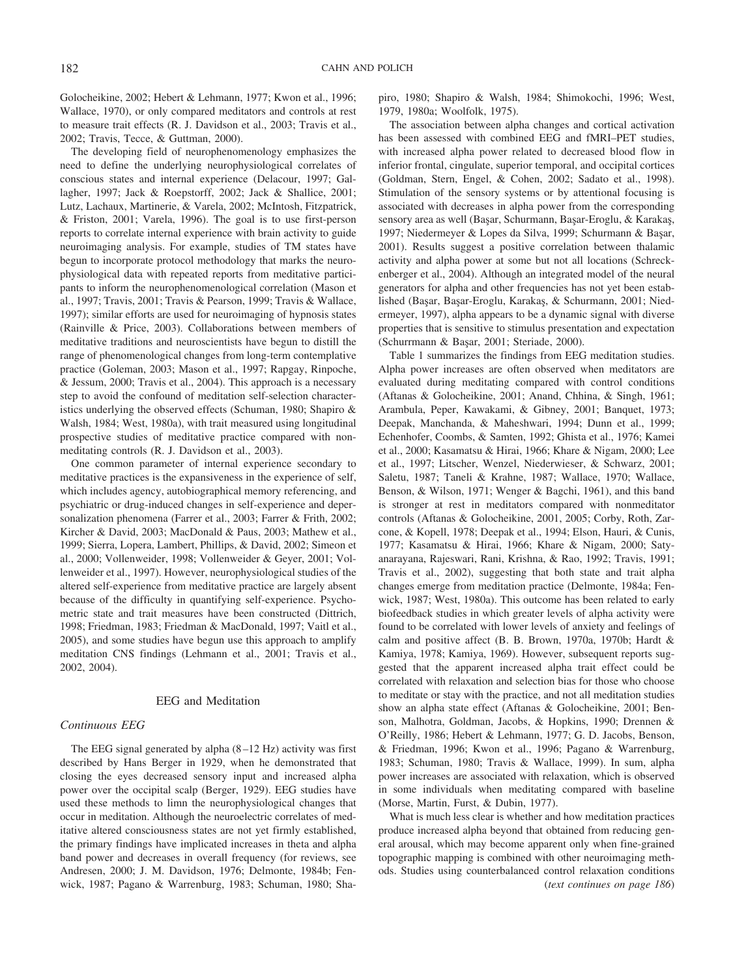Golocheikine, 2002; Hebert & Lehmann, 1977; Kwon et al., 1996; Wallace, 1970), or only compared meditators and controls at rest to measure trait effects (R. J. Davidson et al., 2003; Travis et al., 2002; Travis, Tecce, & Guttman, 2000).

The developing field of neurophenomenology emphasizes the need to define the underlying neurophysiological correlates of conscious states and internal experience (Delacour, 1997; Gallagher, 1997; Jack & Roepstorff, 2002; Jack & Shallice, 2001; Lutz, Lachaux, Martinerie, & Varela, 2002; McIntosh, Fitzpatrick, & Friston, 2001; Varela, 1996). The goal is to use first-person reports to correlate internal experience with brain activity to guide neuroimaging analysis. For example, studies of TM states have begun to incorporate protocol methodology that marks the neurophysiological data with repeated reports from meditative participants to inform the neurophenomenological correlation (Mason et al., 1997; Travis, 2001; Travis & Pearson, 1999; Travis & Wallace, 1997); similar efforts are used for neuroimaging of hypnosis states (Rainville & Price, 2003). Collaborations between members of meditative traditions and neuroscientists have begun to distill the range of phenomenological changes from long-term contemplative practice (Goleman, 2003; Mason et al., 1997; Rapgay, Rinpoche, & Jessum, 2000; Travis et al., 2004). This approach is a necessary step to avoid the confound of meditation self-selection characteristics underlying the observed effects (Schuman, 1980; Shapiro & Walsh, 1984; West, 1980a), with trait measured using longitudinal prospective studies of meditative practice compared with nonmeditating controls (R. J. Davidson et al., 2003).

One common parameter of internal experience secondary to meditative practices is the expansiveness in the experience of self, which includes agency, autobiographical memory referencing, and psychiatric or drug-induced changes in self-experience and depersonalization phenomena (Farrer et al., 2003; Farrer & Frith, 2002; Kircher & David, 2003; MacDonald & Paus, 2003; Mathew et al., 1999; Sierra, Lopera, Lambert, Phillips, & David, 2002; Simeon et al., 2000; Vollenweider, 1998; Vollenweider & Geyer, 2001; Vollenweider et al., 1997). However, neurophysiological studies of the altered self-experience from meditative practice are largely absent because of the difficulty in quantifying self-experience. Psychometric state and trait measures have been constructed (Dittrich, 1998; Friedman, 1983; Friedman & MacDonald, 1997; Vaitl et al., 2005), and some studies have begun use this approach to amplify meditation CNS findings (Lehmann et al., 2001; Travis et al., 2002, 2004).

#### EEG and Meditation

#### *Continuous EEG*

The EEG signal generated by alpha  $(8-12 \text{ Hz})$  activity was first described by Hans Berger in 1929, when he demonstrated that closing the eyes decreased sensory input and increased alpha power over the occipital scalp (Berger, 1929). EEG studies have used these methods to limn the neurophysiological changes that occur in meditation. Although the neuroelectric correlates of meditative altered consciousness states are not yet firmly established, the primary findings have implicated increases in theta and alpha band power and decreases in overall frequency (for reviews, see Andresen, 2000; J. M. Davidson, 1976; Delmonte, 1984b; Fenwick, 1987; Pagano & Warrenburg, 1983; Schuman, 1980; Shapiro, 1980; Shapiro & Walsh, 1984; Shimokochi, 1996; West, 1979, 1980a; Woolfolk, 1975).

The association between alpha changes and cortical activation has been assessed with combined EEG and fMRI–PET studies, with increased alpha power related to decreased blood flow in inferior frontal, cingulate, superior temporal, and occipital cortices (Goldman, Stern, Engel, & Cohen, 2002; Sadato et al., 1998). Stimulation of the sensory systems or by attentional focusing is associated with decreases in alpha power from the corresponding sensory area as well (Başar, Schurmann, Başar-Eroglu, & Karakaş, 1997; Niedermeyer & Lopes da Silva, 1999; Schurmann & Başar, 2001). Results suggest a positive correlation between thalamic activity and alpha power at some but not all locations (Schreckenberger et al., 2004). Although an integrated model of the neural generators for alpha and other frequencies has not yet been established (Başar, Başar-Eroglu, Karakaş, & Schurmann, 2001; Niedermeyer, 1997), alpha appears to be a dynamic signal with diverse properties that is sensitive to stimulus presentation and expectation (Schurrmann & Basar, 2001; Steriade, 2000).

Table 1 summarizes the findings from EEG meditation studies. Alpha power increases are often observed when meditators are evaluated during meditating compared with control conditions (Aftanas & Golocheikine, 2001; Anand, Chhina, & Singh, 1961; Arambula, Peper, Kawakami, & Gibney, 2001; Banquet, 1973; Deepak, Manchanda, & Maheshwari, 1994; Dunn et al., 1999; Echenhofer, Coombs, & Samten, 1992; Ghista et al., 1976; Kamei et al., 2000; Kasamatsu & Hirai, 1966; Khare & Nigam, 2000; Lee et al., 1997; Litscher, Wenzel, Niederwieser, & Schwarz, 2001; Saletu, 1987; Taneli & Krahne, 1987; Wallace, 1970; Wallace, Benson, & Wilson, 1971; Wenger & Bagchi, 1961), and this band is stronger at rest in meditators compared with nonmeditator controls (Aftanas & Golocheikine, 2001, 2005; Corby, Roth, Zarcone, & Kopell, 1978; Deepak et al., 1994; Elson, Hauri, & Cunis, 1977; Kasamatsu & Hirai, 1966; Khare & Nigam, 2000; Satyanarayana, Rajeswari, Rani, Krishna, & Rao, 1992; Travis, 1991; Travis et al., 2002), suggesting that both state and trait alpha changes emerge from meditation practice (Delmonte, 1984a; Fenwick, 1987; West, 1980a). This outcome has been related to early biofeedback studies in which greater levels of alpha activity were found to be correlated with lower levels of anxiety and feelings of calm and positive affect (B. B. Brown, 1970a, 1970b; Hardt & Kamiya, 1978; Kamiya, 1969). However, subsequent reports suggested that the apparent increased alpha trait effect could be correlated with relaxation and selection bias for those who choose to meditate or stay with the practice, and not all meditation studies show an alpha state effect (Aftanas & Golocheikine, 2001; Benson, Malhotra, Goldman, Jacobs, & Hopkins, 1990; Drennen & O'Reilly, 1986; Hebert & Lehmann, 1977; G. D. Jacobs, Benson, & Friedman, 1996; Kwon et al., 1996; Pagano & Warrenburg, 1983; Schuman, 1980; Travis & Wallace, 1999). In sum, alpha power increases are associated with relaxation, which is observed in some individuals when meditating compared with baseline (Morse, Martin, Furst, & Dubin, 1977).

What is much less clear is whether and how meditation practices produce increased alpha beyond that obtained from reducing general arousal, which may become apparent only when fine-grained topographic mapping is combined with other neuroimaging methods. Studies using counterbalanced control relaxation conditions (*text continues on page 186*)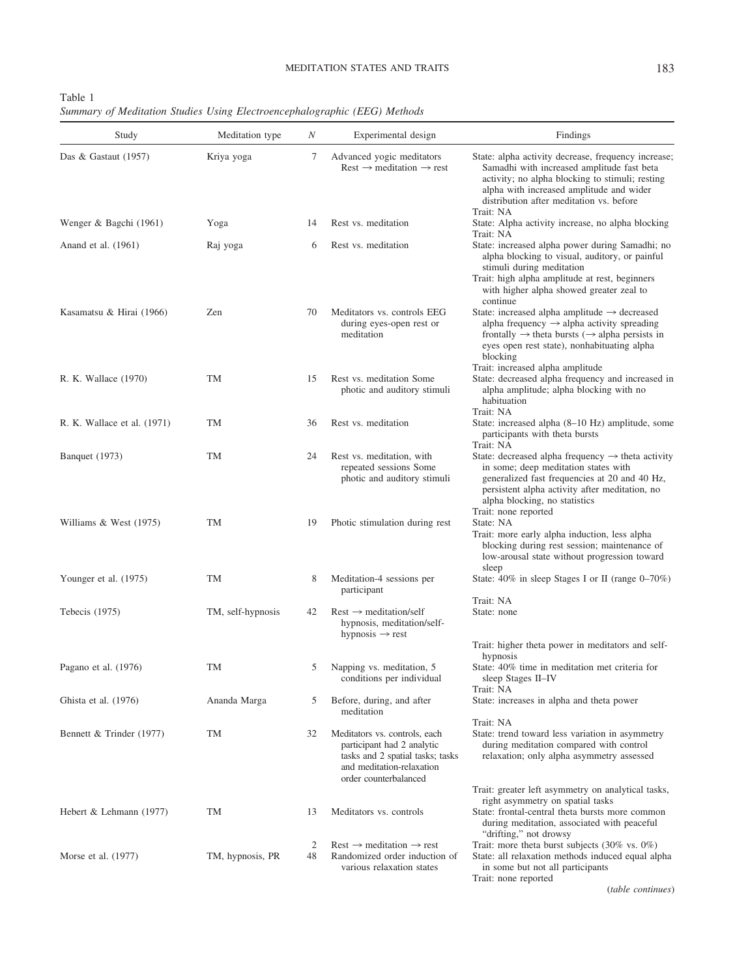| Table 1 |                                                                           |  |
|---------|---------------------------------------------------------------------------|--|
|         | Summary of Meditation Studies Using Electroencephalographic (EEG) Methods |  |

| Study                       | Meditation type   | N       | Experimental design                                                                                                                                   | Findings                                                                                                                                                                                                                                                          |
|-----------------------------|-------------------|---------|-------------------------------------------------------------------------------------------------------------------------------------------------------|-------------------------------------------------------------------------------------------------------------------------------------------------------------------------------------------------------------------------------------------------------------------|
| Das & Gastaut (1957)        | Kriya yoga        | 7       | Advanced yogic meditators<br>$Rest \rightarrow \text{mediation} \rightarrow \text{rest}$                                                              | State: alpha activity decrease, frequency increase;<br>Samadhi with increased amplitude fast beta<br>activity; no alpha blocking to stimuli; resting<br>alpha with increased amplitude and wider<br>distribution after meditation vs. before<br>Trait: NA         |
| Wenger & Bagchi (1961)      | Yoga              | 14      | Rest vs. meditation                                                                                                                                   | State: Alpha activity increase, no alpha blocking<br>Trait: NA                                                                                                                                                                                                    |
| Anand et al. (1961)         | Raj yoga          | 6       | Rest vs. meditation                                                                                                                                   | State: increased alpha power during Samadhi; no<br>alpha blocking to visual, auditory, or painful<br>stimuli during meditation<br>Trait: high alpha amplitude at rest, beginners<br>with higher alpha showed greater zeal to<br>continue                          |
| Kasamatsu & Hirai (1966)    | Zen               | 70      | Meditators vs. controls EEG<br>during eyes-open rest or<br>meditation                                                                                 | State: increased alpha amplitude $\rightarrow$ decreased<br>alpha frequency $\rightarrow$ alpha activity spreading<br>frontally $\rightarrow$ theta bursts ( $\rightarrow$ alpha persists in<br>eyes open rest state), nonhabituating alpha<br>blocking           |
| R. K. Wallace (1970)        | TМ                | 15      | Rest vs. meditation Some<br>photic and auditory stimuli                                                                                               | Trait: increased alpha amplitude<br>State: decreased alpha frequency and increased in<br>alpha amplitude; alpha blocking with no<br>habituation<br>Trait: NA                                                                                                      |
| R. K. Wallace et al. (1971) | TM                | 36      | Rest vs. meditation                                                                                                                                   | State: increased alpha (8-10 Hz) amplitude, some<br>participants with theta bursts<br>Trait: NA                                                                                                                                                                   |
| Banquet (1973)              | TM                | 24      | Rest vs. meditation, with<br>repeated sessions Some<br>photic and auditory stimuli                                                                    | State: decreased alpha frequency $\rightarrow$ theta activity<br>in some; deep meditation states with<br>generalized fast frequencies at 20 and 40 Hz,<br>persistent alpha activity after meditation, no<br>alpha blocking, no statistics<br>Trait: none reported |
| Williams & West (1975)      | TM                | 19      | Photic stimulation during rest                                                                                                                        | State: NA<br>Trait: more early alpha induction, less alpha<br>blocking during rest session; maintenance of<br>low-arousal state without progression toward<br>sleep                                                                                               |
| Younger et al. (1975)       | TM                | 8       | Meditation-4 sessions per<br>participant                                                                                                              | State: 40% in sleep Stages I or II (range 0-70%)                                                                                                                                                                                                                  |
| Tebecis (1975)              | TM, self-hypnosis | 42      | $Rest \rightarrow \text{mediation/self}$<br>hypnosis, meditation/self-<br>hypnosis $\rightarrow$ rest                                                 | Trait: NA<br>State: none                                                                                                                                                                                                                                          |
|                             |                   |         |                                                                                                                                                       | Trait: higher theta power in meditators and self-<br>hypnosis                                                                                                                                                                                                     |
| Pagano et al. (1976)        | TM                | 5       | Napping vs. meditation, 5<br>conditions per individual                                                                                                | State: 40% time in meditation met criteria for<br>sleep Stages II-IV<br>Trait: NA                                                                                                                                                                                 |
| Ghista et al. (1976)        | Ananda Marga      | 5       | Before, during, and after<br>meditation                                                                                                               | State: increases in alpha and theta power                                                                                                                                                                                                                         |
| Bennett & Trinder (1977)    | TM                | 32      | Meditators vs. controls, each<br>participant had 2 analytic<br>tasks and 2 spatial tasks; tasks<br>and meditation-relaxation<br>order counterbalanced | Trait: NA<br>State: trend toward less variation in asymmetry<br>during meditation compared with control<br>relaxation; only alpha asymmetry assessed                                                                                                              |
| Hebert & Lehmann (1977)     | TM                | 13      | Meditators vs. controls                                                                                                                               | Trait: greater left asymmetry on analytical tasks,<br>right asymmetry on spatial tasks<br>State: frontal-central theta bursts more common<br>during meditation, associated with peaceful<br>"drifting," not drowsy                                                |
| Morse et al. (1977)         | TM, hypnosis, PR  | 2<br>48 | $Rest \rightarrow \text{mediation} \rightarrow \text{rest}$<br>Randomized order induction of<br>various relaxation states                             | Trait: more theta burst subjects $(30\% \text{ vs. } 0\%)$<br>State: all relaxation methods induced equal alpha<br>in some but not all participants<br>Trait: none reported<br><i>(table continues)</i>                                                           |

(*table continues*)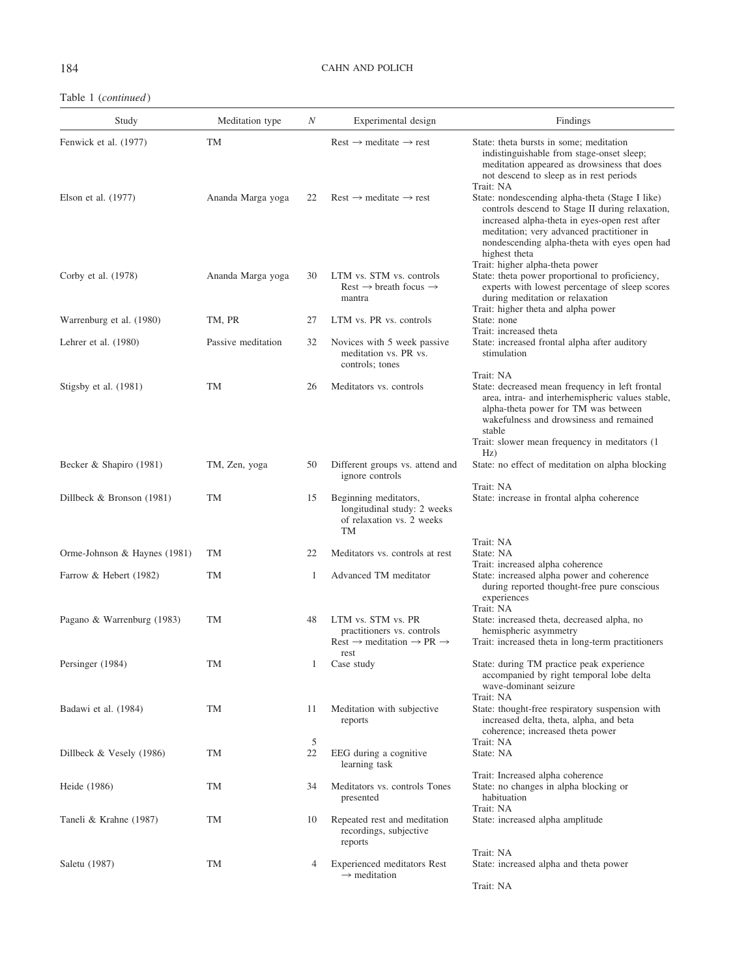## Table 1 (*continued*)

| Study                        | Meditation type    | N       | Experimental design                                                                                                       | Findings                                                                                                                                                                                                                                                          |
|------------------------------|--------------------|---------|---------------------------------------------------------------------------------------------------------------------------|-------------------------------------------------------------------------------------------------------------------------------------------------------------------------------------------------------------------------------------------------------------------|
| Fenwick et al. (1977)        | TM                 |         | $Rest \rightarrow meditate \rightarrow rest$                                                                              | State: theta bursts in some; meditation<br>indistinguishable from stage-onset sleep;<br>meditation appeared as drowsiness that does<br>not descend to sleep as in rest periods<br>Trait: NA                                                                       |
| Elson et al. $(1977)$        | Ananda Marga yoga  | 22      | $Rest \rightarrow meditate \rightarrow rest$                                                                              | State: nondescending alpha-theta (Stage I like)<br>controls descend to Stage II during relaxation,<br>increased alpha-theta in eyes-open rest after<br>meditation; very advanced practitioner in<br>nondescending alpha-theta with eyes open had<br>highest theta |
| Corby et al. (1978)          | Ananda Marga yoga  | 30      | LTM vs. STM vs. controls<br>Rest $\rightarrow$ breath focus $\rightarrow$<br>mantra                                       | Trait: higher alpha-theta power<br>State: theta power proportional to proficiency,<br>experts with lowest percentage of sleep scores<br>during meditation or relaxation                                                                                           |
| Warrenburg et al. (1980)     | TM, PR             | 27      | LTM vs. PR vs. controls                                                                                                   | Trait: higher theta and alpha power<br>State: none<br>Trait: increased theta                                                                                                                                                                                      |
| Lehrer et al. $(1980)$       | Passive meditation | 32      | Novices with 5 week passive<br>meditation vs. PR vs.<br>controls: tones                                                   | State: increased frontal alpha after auditory<br>stimulation                                                                                                                                                                                                      |
| Stigsby et al. (1981)        | TM                 | 26      | Meditators vs. controls                                                                                                   | Trait: NA<br>State: decreased mean frequency in left frontal<br>area, intra- and interhemispheric values stable,<br>alpha-theta power for TM was between<br>wakefulness and drowsiness and remained<br>stable                                                     |
| Becker & Shapiro (1981)      | TM, Zen, yoga      | 50      | Different groups vs. attend and<br>ignore controls                                                                        | Trait: slower mean frequency in meditators (1)<br>Hz)<br>State: no effect of meditation on alpha blocking                                                                                                                                                         |
| Dillbeck & Bronson $(1981)$  | TM                 | 15      | Beginning meditators,<br>longitudinal study: 2 weeks<br>of relaxation vs. 2 weeks<br>TM                                   | Trait: NA<br>State: increase in frontal alpha coherence                                                                                                                                                                                                           |
| Orme-Johnson & Haynes (1981) | TМ                 | 22      | Meditators vs. controls at rest                                                                                           | Trait: NA<br>State: NA                                                                                                                                                                                                                                            |
| Farrow & Hebert (1982)       | TM                 | 1       | Advanced TM meditator                                                                                                     | Trait: increased alpha coherence<br>State: increased alpha power and coherence<br>during reported thought-free pure conscious<br>experiences                                                                                                                      |
| Pagano & Warrenburg (1983)   | TМ                 | 48      | LTM vs. STM vs. PR<br>practitioners vs. controls<br>$Rest \rightarrow \text{mediation} \rightarrow \text{PR} \rightarrow$ | Trait: NA<br>State: increased theta, decreased alpha, no<br>hemispheric asymmetry<br>Trait: increased theta in long-term practitioners                                                                                                                            |
| Persinger (1984)             | TM                 |         | rest<br>Case study                                                                                                        | State: during TM practice peak experience<br>accompanied by right temporal lobe delta<br>wave-dominant seizure                                                                                                                                                    |
| Badawi et al. (1984)         | TM                 | 11      | Meditation with subjective<br>reports                                                                                     | Trait: NA<br>State: thought-free respiratory suspension with<br>increased delta, theta, alpha, and beta<br>coherence; increased theta power                                                                                                                       |
| Dillbeck $& Vesely (1986)$   | TM                 | 5<br>22 | EEG during a cognitive<br>learning task                                                                                   | Trait: NA<br>State: NA                                                                                                                                                                                                                                            |
| Heide (1986)                 | TM                 | 34      | Meditators vs. controls Tones<br>presented                                                                                | Trait: Increased alpha coherence<br>State: no changes in alpha blocking or<br>habituation                                                                                                                                                                         |
| Taneli & Krahne (1987)       | TM                 | 10      | Repeated rest and meditation<br>recordings, subjective<br>reports                                                         | Trait: NA<br>State: increased alpha amplitude                                                                                                                                                                                                                     |
| Saletu (1987)                | TM                 | 4       | Experienced meditators Rest<br>$\rightarrow$ meditation                                                                   | Trait: NA<br>State: increased alpha and theta power                                                                                                                                                                                                               |
|                              |                    |         |                                                                                                                           | Trait: NA                                                                                                                                                                                                                                                         |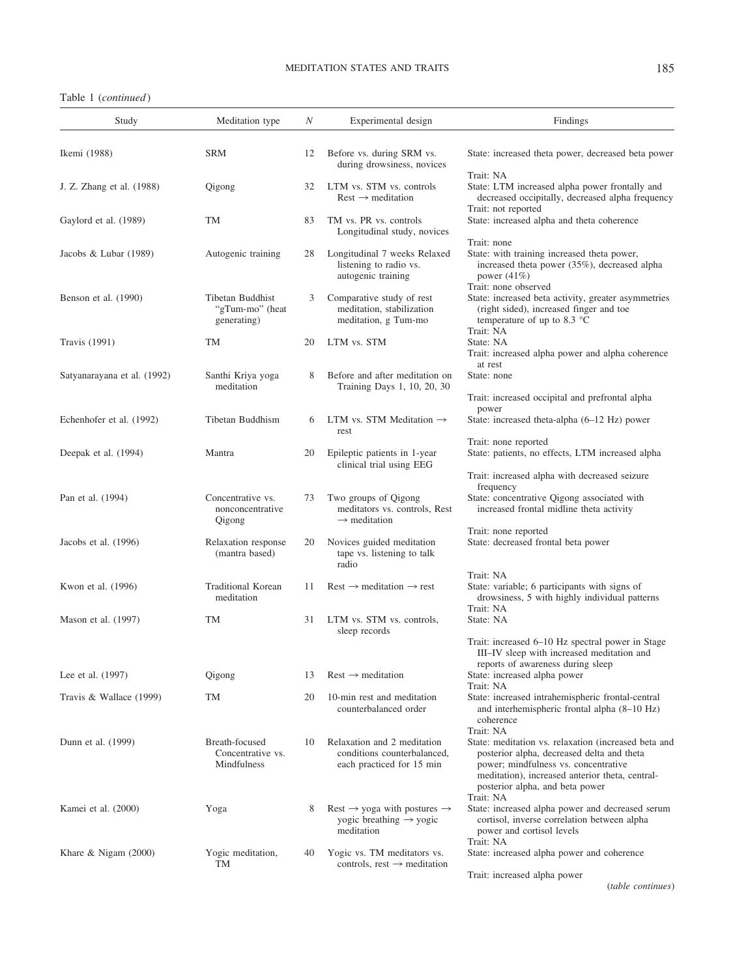## Table 1 (*continued*)

| Study                       | Meditation type                                    | $\boldsymbol{N}$ | Experimental design                                                                                      | Findings                                                                                                                                                                                                                                      |
|-----------------------------|----------------------------------------------------|------------------|----------------------------------------------------------------------------------------------------------|-----------------------------------------------------------------------------------------------------------------------------------------------------------------------------------------------------------------------------------------------|
| Ikemi (1988)                | <b>SRM</b>                                         | 12               | Before vs. during SRM vs.<br>during drowsiness, novices                                                  | State: increased theta power, decreased beta power                                                                                                                                                                                            |
| J. Z. Zhang et al. (1988)   | Qigong                                             | 32               | LTM vs. STM vs. controls<br>$Rest \rightarrow \text{mediation}$                                          | Trait: NA<br>State: LTM increased alpha power frontally and<br>decreased occipitally, decreased alpha frequency                                                                                                                               |
| Gaylord et al. (1989)       | TM                                                 | 83               | TM vs. PR vs. controls<br>Longitudinal study, novices                                                    | Trait: not reported<br>State: increased alpha and theta coherence                                                                                                                                                                             |
| Jacobs & Lubar (1989)       | Autogenic training                                 | 28               | Longitudinal 7 weeks Relaxed<br>listening to radio vs.<br>autogenic training                             | Trait: none<br>State: with training increased theta power,<br>increased theta power (35%), decreased alpha<br>power $(41\%)$<br>Trait: none observed                                                                                          |
| Benson et al. (1990)        | Tibetan Buddhist<br>"gTum-mo" (heat<br>generating) | 3                | Comparative study of rest<br>meditation, stabilization<br>meditation, g Tum-mo                           | State: increased beta activity, greater asymmetries<br>(right sided), increased finger and toe<br>temperature of up to 8.3 $^{\circ}$ C<br>Trait: NA                                                                                          |
| Travis (1991)               | TM                                                 | 20               | LTM vs. STM                                                                                              | State: NA<br>Trait: increased alpha power and alpha coherence<br>at rest                                                                                                                                                                      |
| Satyanarayana et al. (1992) | Santhi Kriya yoga                                  | 8                | Before and after meditation on                                                                           | State: none                                                                                                                                                                                                                                   |
|                             | meditation                                         |                  | Training Days 1, 10, 20, 30                                                                              | Trait: increased occipital and prefrontal alpha<br>power                                                                                                                                                                                      |
| Echenhofer et al. (1992)    | Tibetan Buddhism                                   | 6                | LTM vs. STM Meditation $\rightarrow$<br>rest                                                             | State: increased theta-alpha (6-12 Hz) power                                                                                                                                                                                                  |
| Deepak et al. (1994)        | Mantra                                             | 20               | Epileptic patients in 1-year<br>clinical trial using EEG                                                 | Trait: none reported<br>State: patients, no effects, LTM increased alpha                                                                                                                                                                      |
|                             |                                                    |                  |                                                                                                          | Trait: increased alpha with decreased seizure<br>frequency                                                                                                                                                                                    |
| Pan et al. (1994)           | Concentrative vs.<br>nonconcentrative<br>Qigong    | 73               | Two groups of Qigong<br>meditators vs. controls, Rest<br>$\rightarrow$ meditation                        | State: concentrative Qigong associated with<br>increased frontal midline theta activity                                                                                                                                                       |
| Jacobs et al. $(1996)$      | Relaxation response<br>(mantra based)              | 20               | Novices guided meditation<br>tape vs. listening to talk<br>radio                                         | Trait: none reported<br>State: decreased frontal beta power                                                                                                                                                                                   |
| Kwon et al. (1996)          | <b>Traditional Korean</b><br>meditation            | 11               | $Rest \rightarrow \text{mediation} \rightarrow \text{rest}$                                              | Trait: NA<br>State: variable; 6 participants with signs of<br>drowsiness, 5 with highly individual patterns                                                                                                                                   |
| Mason et al. (1997)         | TM                                                 | 31               | LTM vs. STM vs. controls,<br>sleep records                                                               | Trait: NA<br>State: NA                                                                                                                                                                                                                        |
|                             |                                                    |                  |                                                                                                          | Trait: increased 6–10 Hz spectral power in Stage<br>III-IV sleep with increased meditation and<br>reports of awareness during sleep                                                                                                           |
| Lee et al. (1997)           | Qigong                                             | 13               | $Rest \rightarrow \text{mediation}$                                                                      | State: increased alpha power                                                                                                                                                                                                                  |
| Travis & Wallace (1999)     | TM                                                 | 20               | 10-min rest and meditation<br>counterbalanced order                                                      | Trait: NA<br>State: increased intrahemispheric frontal-central<br>and interhemispheric frontal alpha (8-10 Hz)<br>coherence<br>Trait: NA                                                                                                      |
| Dunn et al. (1999)          | Breath-focused<br>Concentrative vs.<br>Mindfulness | 10               | Relaxation and 2 meditation<br>conditions counterbalanced,<br>each practiced for 15 min                  | State: meditation vs. relaxation (increased beta and<br>posterior alpha, decreased delta and theta<br>power; mindfulness vs. concentrative<br>meditation), increased anterior theta, central-<br>posterior alpha, and beta power<br>Trait: NA |
| Kamei et al. (2000)         | Yoga                                               | 8                | Rest $\rightarrow$ yoga with postures $\rightarrow$<br>yogic breathing $\rightarrow$ yogic<br>meditation | State: increased alpha power and decreased serum<br>cortisol, inverse correlation between alpha<br>power and cortisol levels<br>Trait: NA                                                                                                     |
| Khare $&$ Nigam (2000)      | Yogic meditation,<br>TM                            | 40               | Yogic vs. TM meditators vs.<br>controls, rest $\rightarrow$ meditation                                   | State: increased alpha power and coherence<br>Trait: increased alpha power<br>(tabla constant)                                                                                                                                                |

(*table continues*)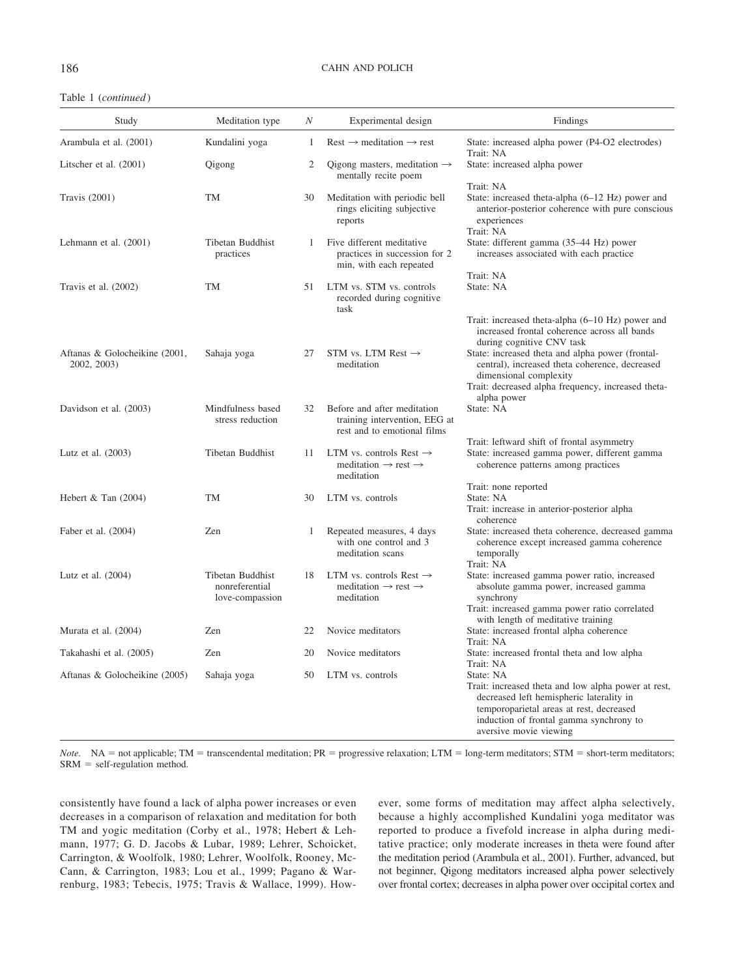#### Table 1 (*continued*)

| Study                                        | Meditation type                                       | N            | Experimental design                                                                              | Findings                                                                                                                                                                                   |
|----------------------------------------------|-------------------------------------------------------|--------------|--------------------------------------------------------------------------------------------------|--------------------------------------------------------------------------------------------------------------------------------------------------------------------------------------------|
| Arambula et al. (2001)                       | Kundalini yoga                                        | $\mathbf{1}$ | $Rest \rightarrow \text{mediation} \rightarrow \text{rest}$                                      | State: increased alpha power (P4-O2 electrodes)<br>Trait: NA                                                                                                                               |
| Litscher et al. $(2001)$                     | Qigong                                                | 2            | Qigong masters, meditation $\rightarrow$<br>mentally recite poem                                 | State: increased alpha power                                                                                                                                                               |
| Travis (2001)                                | <b>TM</b>                                             | 30           | Meditation with periodic bell<br>rings eliciting subjective<br>reports                           | Trait: NA<br>State: increased theta-alpha (6–12 Hz) power and<br>anterior-posterior coherence with pure conscious<br>experiences<br>Trait: NA                                              |
| Lehmann et al. (2001)                        | Tibetan Buddhist<br>practices                         | 1            | Five different meditative<br>practices in succession for 2<br>min, with each repeated            | State: different gamma (35–44 Hz) power<br>increases associated with each practice                                                                                                         |
| Travis et al. (2002)                         | TM                                                    | 51           | LTM vs. STM vs. controls<br>recorded during cognitive<br>task                                    | Trait: NA<br>State: NA                                                                                                                                                                     |
|                                              |                                                       |              |                                                                                                  | Trait: increased theta-alpha (6–10 Hz) power and<br>increased frontal coherence across all bands<br>during cognitive CNV task                                                              |
| Aftanas & Golocheikine (2001,<br>2002, 2003) | Sahaja yoga                                           | 27           | STM vs. LTM Rest $\rightarrow$<br>meditation                                                     | State: increased theta and alpha power (frontal-<br>central), increased theta coherence, decreased<br>dimensional complexity<br>Trait: decreased alpha frequency, increased theta-         |
| Davidson et al. (2003)                       | Mindfulness based<br>stress reduction                 | 32           | Before and after meditation<br>training intervention, EEG at<br>rest and to emotional films      | alpha power<br>State: NA                                                                                                                                                                   |
| Lutz et al. $(2003)$                         | Tibetan Buddhist                                      | 11           | LTM vs. controls Rest $\rightarrow$<br>meditation $\rightarrow$ rest $\rightarrow$<br>meditation | Trait: leftward shift of frontal asymmetry<br>State: increased gamma power, different gamma<br>coherence patterns among practices                                                          |
|                                              |                                                       |              |                                                                                                  | Trait: none reported                                                                                                                                                                       |
| Hebert & Tan (2004)                          | TМ                                                    | 30           | LTM vs. controls                                                                                 | State: NA<br>Trait: increase in anterior-posterior alpha<br>coherence                                                                                                                      |
| Faber et al. (2004)                          | Zen                                                   | 1            | Repeated measures, 4 days<br>with one control and 3<br>meditation scans                          | State: increased theta coherence, decreased gamma<br>coherence except increased gamma coherence<br>temporally<br>Trait: NA                                                                 |
| Lutz et al. $(2004)$                         | Tibetan Buddhist<br>nonreferential<br>love-compassion | 18           | LTM vs. controls Rest $\rightarrow$<br>meditation $\rightarrow$ rest $\rightarrow$<br>meditation | State: increased gamma power ratio, increased<br>absolute gamma power, increased gamma<br>synchrony<br>Trait: increased gamma power ratio correlated<br>with length of meditative training |
| Murata et al. (2004)                         | Zen                                                   | 22           | Novice meditators                                                                                | State: increased frontal alpha coherence                                                                                                                                                   |
| Takahashi et al. (2005)                      | Zen                                                   | 20           | Novice meditators                                                                                | Trait: NA<br>State: increased frontal theta and low alpha                                                                                                                                  |
| Aftanas & Golocheikine (2005)                | Sahaja yoga                                           | 50           | LTM vs. controls                                                                                 | Trait: NA<br>State: NA<br>Trait: increased theta and low alpha power at rest,<br>decreased left hemispheric laterality in                                                                  |
|                                              |                                                       |              |                                                                                                  | temporoparietal areas at rest, decreased<br>induction of frontal gamma synchrony to<br>aversive movie viewing                                                                              |

*Note.*  $NA = not applicable; TM = transcendental prediction; PR = progressive relaxation; LTM = long-term mediators; STM = short-term mediators;$  $SRM = self-regulation method$ .

consistently have found a lack of alpha power increases or even decreases in a comparison of relaxation and meditation for both TM and yogic meditation (Corby et al., 1978; Hebert & Lehmann, 1977; G. D. Jacobs & Lubar, 1989; Lehrer, Schoicket, Carrington, & Woolfolk, 1980; Lehrer, Woolfolk, Rooney, Mc-Cann, & Carrington, 1983; Lou et al., 1999; Pagano & Warrenburg, 1983; Tebecis, 1975; Travis & Wallace, 1999). However, some forms of meditation may affect alpha selectively, because a highly accomplished Kundalini yoga meditator was reported to produce a fivefold increase in alpha during meditative practice; only moderate increases in theta were found after the meditation period (Arambula et al., 2001). Further, advanced, but not beginner, Qigong meditators increased alpha power selectively over frontal cortex; decreases in alpha power over occipital cortex and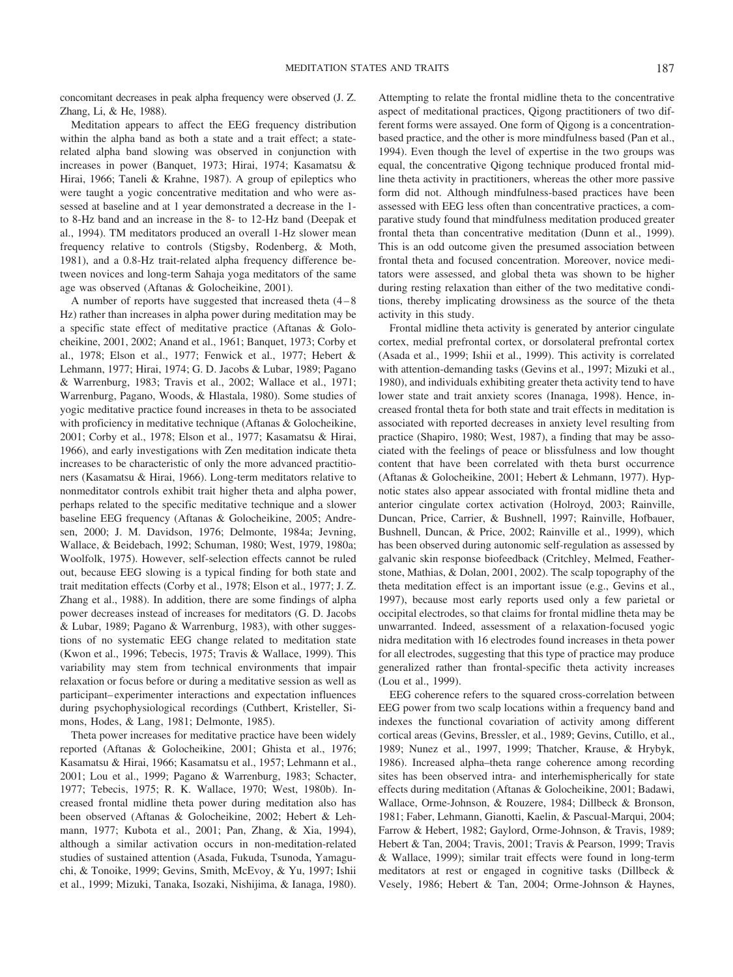concomitant decreases in peak alpha frequency were observed (J. Z. Zhang, Li, & He, 1988).

Meditation appears to affect the EEG frequency distribution within the alpha band as both a state and a trait effect; a staterelated alpha band slowing was observed in conjunction with increases in power (Banquet, 1973; Hirai, 1974; Kasamatsu & Hirai, 1966; Taneli & Krahne, 1987). A group of epileptics who were taught a yogic concentrative meditation and who were assessed at baseline and at 1 year demonstrated a decrease in the 1 to 8-Hz band and an increase in the 8- to 12-Hz band (Deepak et al., 1994). TM meditators produced an overall 1-Hz slower mean frequency relative to controls (Stigsby, Rodenberg, & Moth, 1981), and a 0.8-Hz trait-related alpha frequency difference between novices and long-term Sahaja yoga meditators of the same age was observed (Aftanas & Golocheikine, 2001).

A number of reports have suggested that increased theta  $(4-8)$ Hz) rather than increases in alpha power during meditation may be a specific state effect of meditative practice (Aftanas & Golocheikine, 2001, 2002; Anand et al., 1961; Banquet, 1973; Corby et al., 1978; Elson et al., 1977; Fenwick et al., 1977; Hebert & Lehmann, 1977; Hirai, 1974; G. D. Jacobs & Lubar, 1989; Pagano & Warrenburg, 1983; Travis et al., 2002; Wallace et al., 1971; Warrenburg, Pagano, Woods, & Hlastala, 1980). Some studies of yogic meditative practice found increases in theta to be associated with proficiency in meditative technique (Aftanas & Golocheikine, 2001; Corby et al., 1978; Elson et al., 1977; Kasamatsu & Hirai, 1966), and early investigations with Zen meditation indicate theta increases to be characteristic of only the more advanced practitioners (Kasamatsu & Hirai, 1966). Long-term meditators relative to nonmeditator controls exhibit trait higher theta and alpha power, perhaps related to the specific meditative technique and a slower baseline EEG frequency (Aftanas & Golocheikine, 2005; Andresen, 2000; J. M. Davidson, 1976; Delmonte, 1984a; Jevning, Wallace, & Beidebach, 1992; Schuman, 1980; West, 1979, 1980a; Woolfolk, 1975). However, self-selection effects cannot be ruled out, because EEG slowing is a typical finding for both state and trait meditation effects (Corby et al., 1978; Elson et al., 1977; J. Z. Zhang et al., 1988). In addition, there are some findings of alpha power decreases instead of increases for meditators (G. D. Jacobs & Lubar, 1989; Pagano & Warrenburg, 1983), with other suggestions of no systematic EEG change related to meditation state (Kwon et al., 1996; Tebecis, 1975; Travis & Wallace, 1999). This variability may stem from technical environments that impair relaxation or focus before or during a meditative session as well as participant– experimenter interactions and expectation influences during psychophysiological recordings (Cuthbert, Kristeller, Simons, Hodes, & Lang, 1981; Delmonte, 1985).

Theta power increases for meditative practice have been widely reported (Aftanas & Golocheikine, 2001; Ghista et al., 1976; Kasamatsu & Hirai, 1966; Kasamatsu et al., 1957; Lehmann et al., 2001; Lou et al., 1999; Pagano & Warrenburg, 1983; Schacter, 1977; Tebecis, 1975; R. K. Wallace, 1970; West, 1980b). Increased frontal midline theta power during meditation also has been observed (Aftanas & Golocheikine, 2002; Hebert & Lehmann, 1977; Kubota et al., 2001; Pan, Zhang, & Xia, 1994), although a similar activation occurs in non-meditation-related studies of sustained attention (Asada, Fukuda, Tsunoda, Yamaguchi, & Tonoike, 1999; Gevins, Smith, McEvoy, & Yu, 1997; Ishii et al., 1999; Mizuki, Tanaka, Isozaki, Nishijima, & Ianaga, 1980). Attempting to relate the frontal midline theta to the concentrative aspect of meditational practices, Qigong practitioners of two different forms were assayed. One form of Qigong is a concentrationbased practice, and the other is more mindfulness based (Pan et al., 1994). Even though the level of expertise in the two groups was equal, the concentrative Qigong technique produced frontal midline theta activity in practitioners, whereas the other more passive form did not. Although mindfulness-based practices have been assessed with EEG less often than concentrative practices, a comparative study found that mindfulness meditation produced greater frontal theta than concentrative meditation (Dunn et al., 1999). This is an odd outcome given the presumed association between frontal theta and focused concentration. Moreover, novice meditators were assessed, and global theta was shown to be higher during resting relaxation than either of the two meditative conditions, thereby implicating drowsiness as the source of the theta activity in this study.

Frontal midline theta activity is generated by anterior cingulate cortex, medial prefrontal cortex, or dorsolateral prefrontal cortex (Asada et al., 1999; Ishii et al., 1999). This activity is correlated with attention-demanding tasks (Gevins et al., 1997; Mizuki et al., 1980), and individuals exhibiting greater theta activity tend to have lower state and trait anxiety scores (Inanaga, 1998). Hence, increased frontal theta for both state and trait effects in meditation is associated with reported decreases in anxiety level resulting from practice (Shapiro, 1980; West, 1987), a finding that may be associated with the feelings of peace or blissfulness and low thought content that have been correlated with theta burst occurrence (Aftanas & Golocheikine, 2001; Hebert & Lehmann, 1977). Hypnotic states also appear associated with frontal midline theta and anterior cingulate cortex activation (Holroyd, 2003; Rainville, Duncan, Price, Carrier, & Bushnell, 1997; Rainville, Hofbauer, Bushnell, Duncan, & Price, 2002; Rainville et al., 1999), which has been observed during autonomic self-regulation as assessed by galvanic skin response biofeedback (Critchley, Melmed, Featherstone, Mathias, & Dolan, 2001, 2002). The scalp topography of the theta meditation effect is an important issue (e.g., Gevins et al., 1997), because most early reports used only a few parietal or occipital electrodes, so that claims for frontal midline theta may be unwarranted. Indeed, assessment of a relaxation-focused yogic nidra meditation with 16 electrodes found increases in theta power for all electrodes, suggesting that this type of practice may produce generalized rather than frontal-specific theta activity increases (Lou et al., 1999).

EEG coherence refers to the squared cross-correlation between EEG power from two scalp locations within a frequency band and indexes the functional covariation of activity among different cortical areas (Gevins, Bressler, et al., 1989; Gevins, Cutillo, et al., 1989; Nunez et al., 1997, 1999; Thatcher, Krause, & Hrybyk, 1986). Increased alpha–theta range coherence among recording sites has been observed intra- and interhemispherically for state effects during meditation (Aftanas & Golocheikine, 2001; Badawi, Wallace, Orme-Johnson, & Rouzere, 1984; Dillbeck & Bronson, 1981; Faber, Lehmann, Gianotti, Kaelin, & Pascual-Marqui, 2004; Farrow & Hebert, 1982; Gaylord, Orme-Johnson, & Travis, 1989; Hebert & Tan, 2004; Travis, 2001; Travis & Pearson, 1999; Travis & Wallace, 1999); similar trait effects were found in long-term meditators at rest or engaged in cognitive tasks (Dillbeck & Vesely, 1986; Hebert & Tan, 2004; Orme-Johnson & Haynes,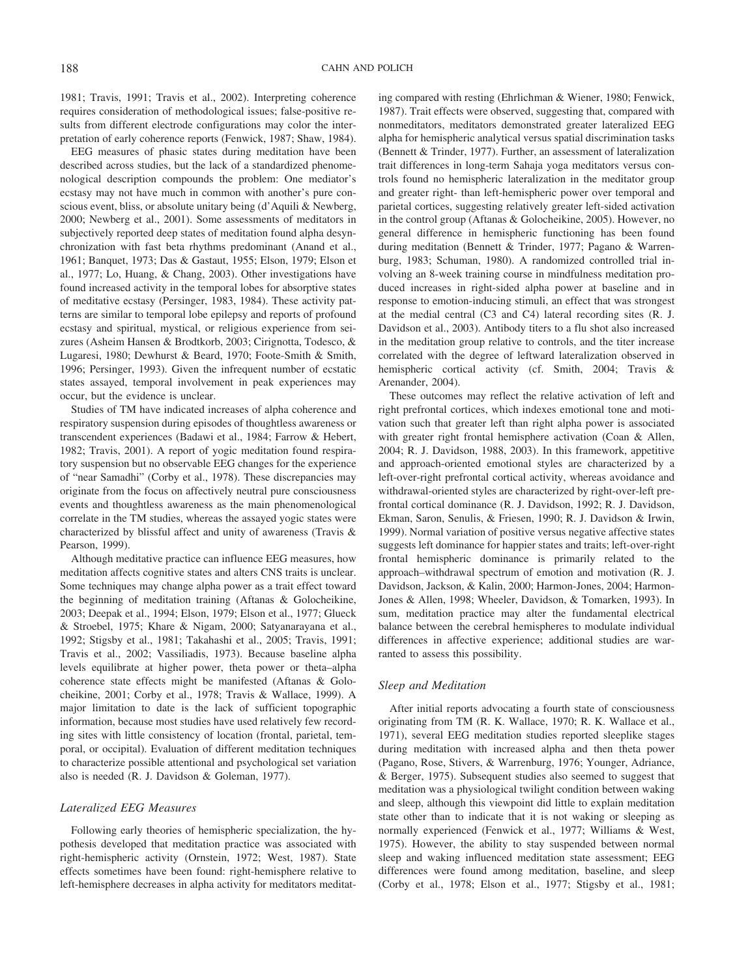1981; Travis, 1991; Travis et al., 2002). Interpreting coherence requires consideration of methodological issues; false-positive results from different electrode configurations may color the interpretation of early coherence reports (Fenwick, 1987; Shaw, 1984).

EEG measures of phasic states during meditation have been described across studies, but the lack of a standardized phenomenological description compounds the problem: One mediator's ecstasy may not have much in common with another's pure conscious event, bliss, or absolute unitary being (d'Aquili & Newberg, 2000; Newberg et al., 2001). Some assessments of meditators in subjectively reported deep states of meditation found alpha desynchronization with fast beta rhythms predominant (Anand et al., 1961; Banquet, 1973; Das & Gastaut, 1955; Elson, 1979; Elson et al., 1977; Lo, Huang, & Chang, 2003). Other investigations have found increased activity in the temporal lobes for absorptive states of meditative ecstasy (Persinger, 1983, 1984). These activity patterns are similar to temporal lobe epilepsy and reports of profound ecstasy and spiritual, mystical, or religious experience from seizures (Asheim Hansen & Brodtkorb, 2003; Cirignotta, Todesco, & Lugaresi, 1980; Dewhurst & Beard, 1970; Foote-Smith & Smith, 1996; Persinger, 1993). Given the infrequent number of ecstatic states assayed, temporal involvement in peak experiences may occur, but the evidence is unclear.

Studies of TM have indicated increases of alpha coherence and respiratory suspension during episodes of thoughtless awareness or transcendent experiences (Badawi et al., 1984; Farrow & Hebert, 1982; Travis, 2001). A report of yogic meditation found respiratory suspension but no observable EEG changes for the experience of "near Samadhi" (Corby et al., 1978). These discrepancies may originate from the focus on affectively neutral pure consciousness events and thoughtless awareness as the main phenomenological correlate in the TM studies, whereas the assayed yogic states were characterized by blissful affect and unity of awareness (Travis & Pearson, 1999).

Although meditative practice can influence EEG measures, how meditation affects cognitive states and alters CNS traits is unclear. Some techniques may change alpha power as a trait effect toward the beginning of meditation training (Aftanas & Golocheikine, 2003; Deepak et al., 1994; Elson, 1979; Elson et al., 1977; Glueck & Stroebel, 1975; Khare & Nigam, 2000; Satyanarayana et al., 1992; Stigsby et al., 1981; Takahashi et al., 2005; Travis, 1991; Travis et al., 2002; Vassiliadis, 1973). Because baseline alpha levels equilibrate at higher power, theta power or theta–alpha coherence state effects might be manifested (Aftanas & Golocheikine, 2001; Corby et al., 1978; Travis & Wallace, 1999). A major limitation to date is the lack of sufficient topographic information, because most studies have used relatively few recording sites with little consistency of location (frontal, parietal, temporal, or occipital). Evaluation of different meditation techniques to characterize possible attentional and psychological set variation also is needed (R. J. Davidson & Goleman, 1977).

## *Lateralized EEG Measures*

Following early theories of hemispheric specialization, the hypothesis developed that meditation practice was associated with right-hemispheric activity (Ornstein, 1972; West, 1987). State effects sometimes have been found: right-hemisphere relative to left-hemisphere decreases in alpha activity for meditators meditating compared with resting (Ehrlichman & Wiener, 1980; Fenwick, 1987). Trait effects were observed, suggesting that, compared with nonmeditators, meditators demonstrated greater lateralized EEG alpha for hemispheric analytical versus spatial discrimination tasks (Bennett & Trinder, 1977). Further, an assessment of lateralization trait differences in long-term Sahaja yoga meditators versus controls found no hemispheric lateralization in the meditator group and greater right- than left-hemispheric power over temporal and parietal cortices, suggesting relatively greater left-sided activation in the control group (Aftanas & Golocheikine, 2005). However, no general difference in hemispheric functioning has been found during meditation (Bennett & Trinder, 1977; Pagano & Warrenburg, 1983; Schuman, 1980). A randomized controlled trial involving an 8-week training course in mindfulness meditation produced increases in right-sided alpha power at baseline and in response to emotion-inducing stimuli, an effect that was strongest at the medial central (C3 and C4) lateral recording sites (R. J. Davidson et al., 2003). Antibody titers to a flu shot also increased in the meditation group relative to controls, and the titer increase correlated with the degree of leftward lateralization observed in hemispheric cortical activity (cf. Smith, 2004; Travis & Arenander, 2004).

These outcomes may reflect the relative activation of left and right prefrontal cortices, which indexes emotional tone and motivation such that greater left than right alpha power is associated with greater right frontal hemisphere activation (Coan & Allen, 2004; R. J. Davidson, 1988, 2003). In this framework, appetitive and approach-oriented emotional styles are characterized by a left-over-right prefrontal cortical activity, whereas avoidance and withdrawal-oriented styles are characterized by right-over-left prefrontal cortical dominance (R. J. Davidson, 1992; R. J. Davidson, Ekman, Saron, Senulis, & Friesen, 1990; R. J. Davidson & Irwin, 1999). Normal variation of positive versus negative affective states suggests left dominance for happier states and traits; left-over-right frontal hemispheric dominance is primarily related to the approach–withdrawal spectrum of emotion and motivation (R. J. Davidson, Jackson, & Kalin, 2000; Harmon-Jones, 2004; Harmon-Jones & Allen, 1998; Wheeler, Davidson, & Tomarken, 1993). In sum, meditation practice may alter the fundamental electrical balance between the cerebral hemispheres to modulate individual differences in affective experience; additional studies are warranted to assess this possibility.

#### *Sleep and Meditation*

After initial reports advocating a fourth state of consciousness originating from TM (R. K. Wallace, 1970; R. K. Wallace et al., 1971), several EEG meditation studies reported sleeplike stages during meditation with increased alpha and then theta power (Pagano, Rose, Stivers, & Warrenburg, 1976; Younger, Adriance, & Berger, 1975). Subsequent studies also seemed to suggest that meditation was a physiological twilight condition between waking and sleep, although this viewpoint did little to explain meditation state other than to indicate that it is not waking or sleeping as normally experienced (Fenwick et al., 1977; Williams & West, 1975). However, the ability to stay suspended between normal sleep and waking influenced meditation state assessment; EEG differences were found among meditation, baseline, and sleep (Corby et al., 1978; Elson et al., 1977; Stigsby et al., 1981;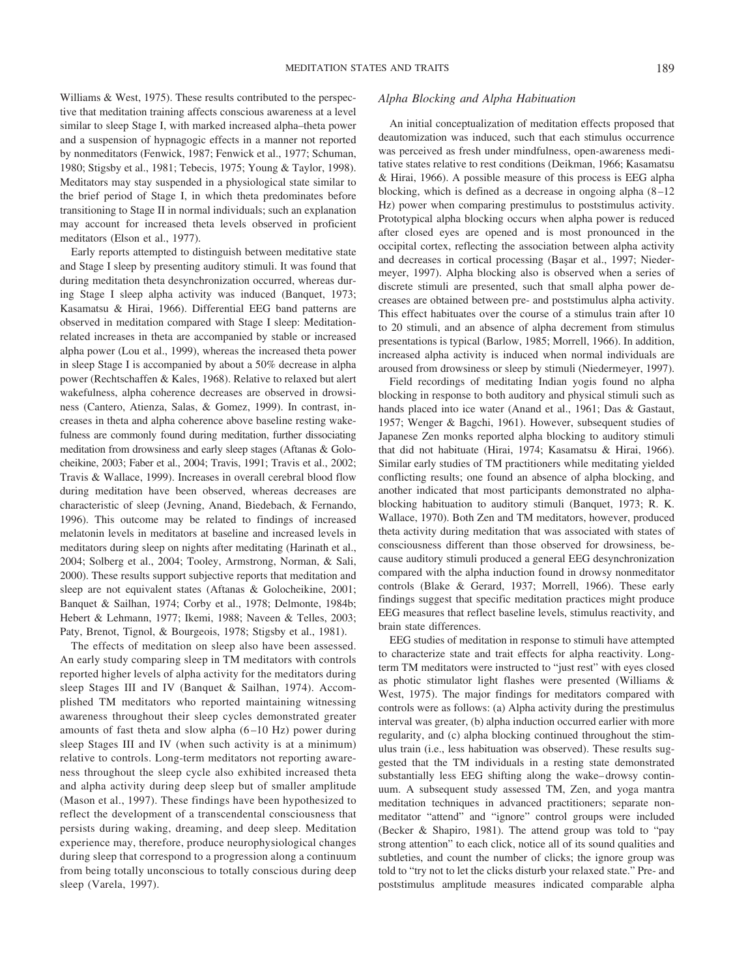Williams & West, 1975). These results contributed to the perspective that meditation training affects conscious awareness at a level similar to sleep Stage I, with marked increased alpha–theta power and a suspension of hypnagogic effects in a manner not reported by nonmeditators (Fenwick, 1987; Fenwick et al., 1977; Schuman, 1980; Stigsby et al., 1981; Tebecis, 1975; Young & Taylor, 1998). Meditators may stay suspended in a physiological state similar to the brief period of Stage I, in which theta predominates before transitioning to Stage II in normal individuals; such an explanation may account for increased theta levels observed in proficient meditators (Elson et al., 1977).

Early reports attempted to distinguish between meditative state and Stage I sleep by presenting auditory stimuli. It was found that during meditation theta desynchronization occurred, whereas during Stage I sleep alpha activity was induced (Banquet, 1973; Kasamatsu & Hirai, 1966). Differential EEG band patterns are observed in meditation compared with Stage I sleep: Meditationrelated increases in theta are accompanied by stable or increased alpha power (Lou et al., 1999), whereas the increased theta power in sleep Stage I is accompanied by about a 50% decrease in alpha power (Rechtschaffen & Kales, 1968). Relative to relaxed but alert wakefulness, alpha coherence decreases are observed in drowsiness (Cantero, Atienza, Salas, & Gomez, 1999). In contrast, increases in theta and alpha coherence above baseline resting wakefulness are commonly found during meditation, further dissociating meditation from drowsiness and early sleep stages (Aftanas & Golocheikine, 2003; Faber et al., 2004; Travis, 1991; Travis et al., 2002; Travis & Wallace, 1999). Increases in overall cerebral blood flow during meditation have been observed, whereas decreases are characteristic of sleep (Jevning, Anand, Biedebach, & Fernando, 1996). This outcome may be related to findings of increased melatonin levels in meditators at baseline and increased levels in meditators during sleep on nights after meditating (Harinath et al., 2004; Solberg et al., 2004; Tooley, Armstrong, Norman, & Sali, 2000). These results support subjective reports that meditation and sleep are not equivalent states (Aftanas & Golocheikine, 2001; Banquet & Sailhan, 1974; Corby et al., 1978; Delmonte, 1984b; Hebert & Lehmann, 1977; Ikemi, 1988; Naveen & Telles, 2003; Paty, Brenot, Tignol, & Bourgeois, 1978; Stigsby et al., 1981).

The effects of meditation on sleep also have been assessed. An early study comparing sleep in TM meditators with controls reported higher levels of alpha activity for the meditators during sleep Stages III and IV (Banquet & Sailhan, 1974). Accomplished TM meditators who reported maintaining witnessing awareness throughout their sleep cycles demonstrated greater amounts of fast theta and slow alpha  $(6-10$  Hz) power during sleep Stages III and IV (when such activity is at a minimum) relative to controls. Long-term meditators not reporting awareness throughout the sleep cycle also exhibited increased theta and alpha activity during deep sleep but of smaller amplitude (Mason et al., 1997). These findings have been hypothesized to reflect the development of a transcendental consciousness that persists during waking, dreaming, and deep sleep. Meditation experience may, therefore, produce neurophysiological changes during sleep that correspond to a progression along a continuum from being totally unconscious to totally conscious during deep sleep (Varela, 1997).

## *Alpha Blocking and Alpha Habituation*

An initial conceptualization of meditation effects proposed that deautomization was induced, such that each stimulus occurrence was perceived as fresh under mindfulness, open-awareness meditative states relative to rest conditions (Deikman, 1966; Kasamatsu & Hirai, 1966). A possible measure of this process is EEG alpha blocking, which is defined as a decrease in ongoing alpha  $(8-12)$ Hz) power when comparing prestimulus to poststimulus activity. Prototypical alpha blocking occurs when alpha power is reduced after closed eyes are opened and is most pronounced in the occipital cortex, reflecting the association between alpha activity and decreases in cortical processing (Başar et al., 1997; Niedermeyer, 1997). Alpha blocking also is observed when a series of discrete stimuli are presented, such that small alpha power decreases are obtained between pre- and poststimulus alpha activity. This effect habituates over the course of a stimulus train after 10 to 20 stimuli, and an absence of alpha decrement from stimulus presentations is typical (Barlow, 1985; Morrell, 1966). In addition, increased alpha activity is induced when normal individuals are aroused from drowsiness or sleep by stimuli (Niedermeyer, 1997).

Field recordings of meditating Indian yogis found no alpha blocking in response to both auditory and physical stimuli such as hands placed into ice water (Anand et al., 1961; Das & Gastaut, 1957; Wenger & Bagchi, 1961). However, subsequent studies of Japanese Zen monks reported alpha blocking to auditory stimuli that did not habituate (Hirai, 1974; Kasamatsu & Hirai, 1966). Similar early studies of TM practitioners while meditating yielded conflicting results; one found an absence of alpha blocking, and another indicated that most participants demonstrated no alphablocking habituation to auditory stimuli (Banquet, 1973; R. K. Wallace, 1970). Both Zen and TM meditators, however, produced theta activity during meditation that was associated with states of consciousness different than those observed for drowsiness, because auditory stimuli produced a general EEG desynchronization compared with the alpha induction found in drowsy nonmeditator controls (Blake & Gerard, 1937; Morrell, 1966). These early findings suggest that specific meditation practices might produce EEG measures that reflect baseline levels, stimulus reactivity, and brain state differences.

EEG studies of meditation in response to stimuli have attempted to characterize state and trait effects for alpha reactivity. Longterm TM meditators were instructed to "just rest" with eyes closed as photic stimulator light flashes were presented (Williams & West, 1975). The major findings for meditators compared with controls were as follows: (a) Alpha activity during the prestimulus interval was greater, (b) alpha induction occurred earlier with more regularity, and (c) alpha blocking continued throughout the stimulus train (i.e., less habituation was observed). These results suggested that the TM individuals in a resting state demonstrated substantially less EEG shifting along the wake– drowsy continuum. A subsequent study assessed TM, Zen, and yoga mantra meditation techniques in advanced practitioners; separate nonmeditator "attend" and "ignore" control groups were included (Becker & Shapiro, 1981). The attend group was told to "pay strong attention" to each click, notice all of its sound qualities and subtleties, and count the number of clicks; the ignore group was told to "try not to let the clicks disturb your relaxed state." Pre- and poststimulus amplitude measures indicated comparable alpha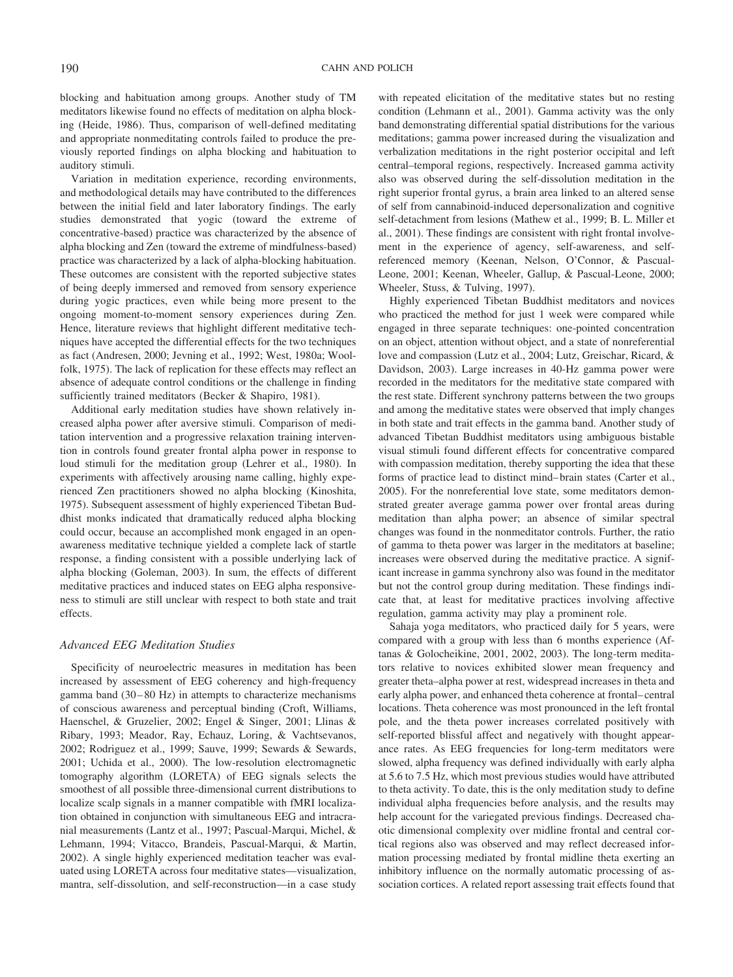blocking and habituation among groups. Another study of TM meditators likewise found no effects of meditation on alpha blocking (Heide, 1986). Thus, comparison of well-defined meditating and appropriate nonmeditating controls failed to produce the previously reported findings on alpha blocking and habituation to auditory stimuli.

Variation in meditation experience, recording environments, and methodological details may have contributed to the differences between the initial field and later laboratory findings. The early studies demonstrated that yogic (toward the extreme of concentrative-based) practice was characterized by the absence of alpha blocking and Zen (toward the extreme of mindfulness-based) practice was characterized by a lack of alpha-blocking habituation. These outcomes are consistent with the reported subjective states of being deeply immersed and removed from sensory experience during yogic practices, even while being more present to the ongoing moment-to-moment sensory experiences during Zen. Hence, literature reviews that highlight different meditative techniques have accepted the differential effects for the two techniques as fact (Andresen, 2000; Jevning et al., 1992; West, 1980a; Woolfolk, 1975). The lack of replication for these effects may reflect an absence of adequate control conditions or the challenge in finding sufficiently trained meditators (Becker & Shapiro, 1981).

Additional early meditation studies have shown relatively increased alpha power after aversive stimuli. Comparison of meditation intervention and a progressive relaxation training intervention in controls found greater frontal alpha power in response to loud stimuli for the meditation group (Lehrer et al., 1980). In experiments with affectively arousing name calling, highly experienced Zen practitioners showed no alpha blocking (Kinoshita, 1975). Subsequent assessment of highly experienced Tibetan Buddhist monks indicated that dramatically reduced alpha blocking could occur, because an accomplished monk engaged in an openawareness meditative technique yielded a complete lack of startle response, a finding consistent with a possible underlying lack of alpha blocking (Goleman, 2003). In sum, the effects of different meditative practices and induced states on EEG alpha responsiveness to stimuli are still unclear with respect to both state and trait effects.

#### *Advanced EEG Meditation Studies*

Specificity of neuroelectric measures in meditation has been increased by assessment of EEG coherency and high-frequency gamma band (30 – 80 Hz) in attempts to characterize mechanisms of conscious awareness and perceptual binding (Croft, Williams, Haenschel, & Gruzelier, 2002; Engel & Singer, 2001; Llinas & Ribary, 1993; Meador, Ray, Echauz, Loring, & Vachtsevanos, 2002; Rodriguez et al., 1999; Sauve, 1999; Sewards & Sewards, 2001; Uchida et al., 2000). The low-resolution electromagnetic tomography algorithm (LORETA) of EEG signals selects the smoothest of all possible three-dimensional current distributions to localize scalp signals in a manner compatible with fMRI localization obtained in conjunction with simultaneous EEG and intracranial measurements (Lantz et al., 1997; Pascual-Marqui, Michel, & Lehmann, 1994; Vitacco, Brandeis, Pascual-Marqui, & Martin, 2002). A single highly experienced meditation teacher was evaluated using LORETA across four meditative states—visualization, mantra, self-dissolution, and self-reconstruction—in a case study with repeated elicitation of the meditative states but no resting condition (Lehmann et al., 2001). Gamma activity was the only band demonstrating differential spatial distributions for the various meditations; gamma power increased during the visualization and verbalization meditations in the right posterior occipital and left central–temporal regions, respectively. Increased gamma activity also was observed during the self-dissolution meditation in the right superior frontal gyrus, a brain area linked to an altered sense of self from cannabinoid-induced depersonalization and cognitive self-detachment from lesions (Mathew et al., 1999; B. L. Miller et al., 2001). These findings are consistent with right frontal involvement in the experience of agency, self-awareness, and selfreferenced memory (Keenan, Nelson, O'Connor, & Pascual-Leone, 2001; Keenan, Wheeler, Gallup, & Pascual-Leone, 2000; Wheeler, Stuss, & Tulving, 1997).

Highly experienced Tibetan Buddhist meditators and novices who practiced the method for just 1 week were compared while engaged in three separate techniques: one-pointed concentration on an object, attention without object, and a state of nonreferential love and compassion (Lutz et al., 2004; Lutz, Greischar, Ricard, & Davidson, 2003). Large increases in 40-Hz gamma power were recorded in the meditators for the meditative state compared with the rest state. Different synchrony patterns between the two groups and among the meditative states were observed that imply changes in both state and trait effects in the gamma band. Another study of advanced Tibetan Buddhist meditators using ambiguous bistable visual stimuli found different effects for concentrative compared with compassion meditation, thereby supporting the idea that these forms of practice lead to distinct mind– brain states (Carter et al., 2005). For the nonreferential love state, some meditators demonstrated greater average gamma power over frontal areas during meditation than alpha power; an absence of similar spectral changes was found in the nonmeditator controls. Further, the ratio of gamma to theta power was larger in the meditators at baseline; increases were observed during the meditative practice. A significant increase in gamma synchrony also was found in the meditator but not the control group during meditation. These findings indicate that, at least for meditative practices involving affective regulation, gamma activity may play a prominent role.

Sahaja yoga meditators, who practiced daily for 5 years, were compared with a group with less than 6 months experience (Aftanas & Golocheikine, 2001, 2002, 2003). The long-term meditators relative to novices exhibited slower mean frequency and greater theta–alpha power at rest, widespread increases in theta and early alpha power, and enhanced theta coherence at frontal– central locations. Theta coherence was most pronounced in the left frontal pole, and the theta power increases correlated positively with self-reported blissful affect and negatively with thought appearance rates. As EEG frequencies for long-term meditators were slowed, alpha frequency was defined individually with early alpha at 5.6 to 7.5 Hz, which most previous studies would have attributed to theta activity. To date, this is the only meditation study to define individual alpha frequencies before analysis, and the results may help account for the variegated previous findings. Decreased chaotic dimensional complexity over midline frontal and central cortical regions also was observed and may reflect decreased information processing mediated by frontal midline theta exerting an inhibitory influence on the normally automatic processing of association cortices. A related report assessing trait effects found that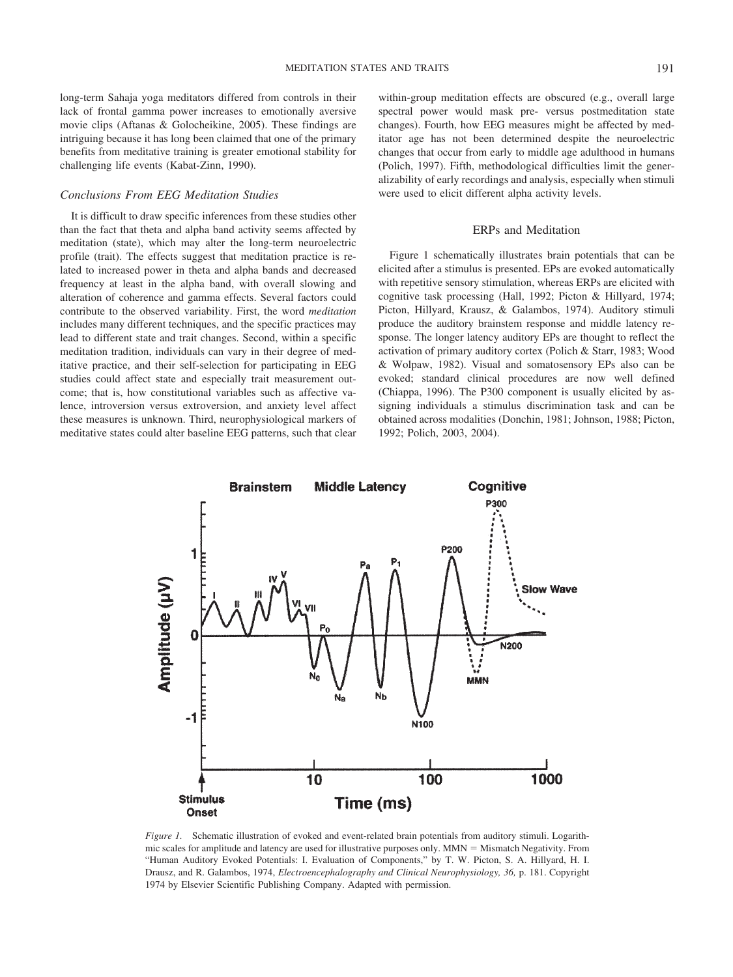long-term Sahaja yoga meditators differed from controls in their lack of frontal gamma power increases to emotionally aversive movie clips (Aftanas & Golocheikine, 2005). These findings are intriguing because it has long been claimed that one of the primary benefits from meditative training is greater emotional stability for challenging life events (Kabat-Zinn, 1990).

#### *Conclusions From EEG Meditation Studies*

It is difficult to draw specific inferences from these studies other than the fact that theta and alpha band activity seems affected by meditation (state), which may alter the long-term neuroelectric profile (trait). The effects suggest that meditation practice is related to increased power in theta and alpha bands and decreased frequency at least in the alpha band, with overall slowing and alteration of coherence and gamma effects. Several factors could contribute to the observed variability. First, the word *meditation* includes many different techniques, and the specific practices may lead to different state and trait changes. Second, within a specific meditation tradition, individuals can vary in their degree of meditative practice, and their self-selection for participating in EEG studies could affect state and especially trait measurement outcome; that is, how constitutional variables such as affective valence, introversion versus extroversion, and anxiety level affect these measures is unknown. Third, neurophysiological markers of meditative states could alter baseline EEG patterns, such that clear

within-group meditation effects are obscured (e.g., overall large spectral power would mask pre- versus postmeditation state changes). Fourth, how EEG measures might be affected by meditator age has not been determined despite the neuroelectric changes that occur from early to middle age adulthood in humans (Polich, 1997). Fifth, methodological difficulties limit the generalizability of early recordings and analysis, especially when stimuli were used to elicit different alpha activity levels.

#### ERPs and Meditation

Figure 1 schematically illustrates brain potentials that can be elicited after a stimulus is presented. EPs are evoked automatically with repetitive sensory stimulation, whereas ERPs are elicited with cognitive task processing (Hall, 1992; Picton & Hillyard, 1974; Picton, Hillyard, Krausz, & Galambos, 1974). Auditory stimuli produce the auditory brainstem response and middle latency response. The longer latency auditory EPs are thought to reflect the activation of primary auditory cortex (Polich & Starr, 1983; Wood & Wolpaw, 1982). Visual and somatosensory EPs also can be evoked; standard clinical procedures are now well defined (Chiappa, 1996). The P300 component is usually elicited by assigning individuals a stimulus discrimination task and can be obtained across modalities (Donchin, 1981; Johnson, 1988; Picton, 1992; Polich, 2003, 2004).



*Figure 1.* Schematic illustration of evoked and event-related brain potentials from auditory stimuli. Logarithmic scales for amplitude and latency are used for illustrative purposes only. MMN = Mismatch Negativity. From "Human Auditory Evoked Potentials: I. Evaluation of Components," by T. W. Picton, S. A. Hillyard, H. I. Drausz, and R. Galambos, 1974, *Electroencephalography and Clinical Neurophysiology, 36,* p. 181. Copyright 1974 by Elsevier Scientific Publishing Company. Adapted with permission.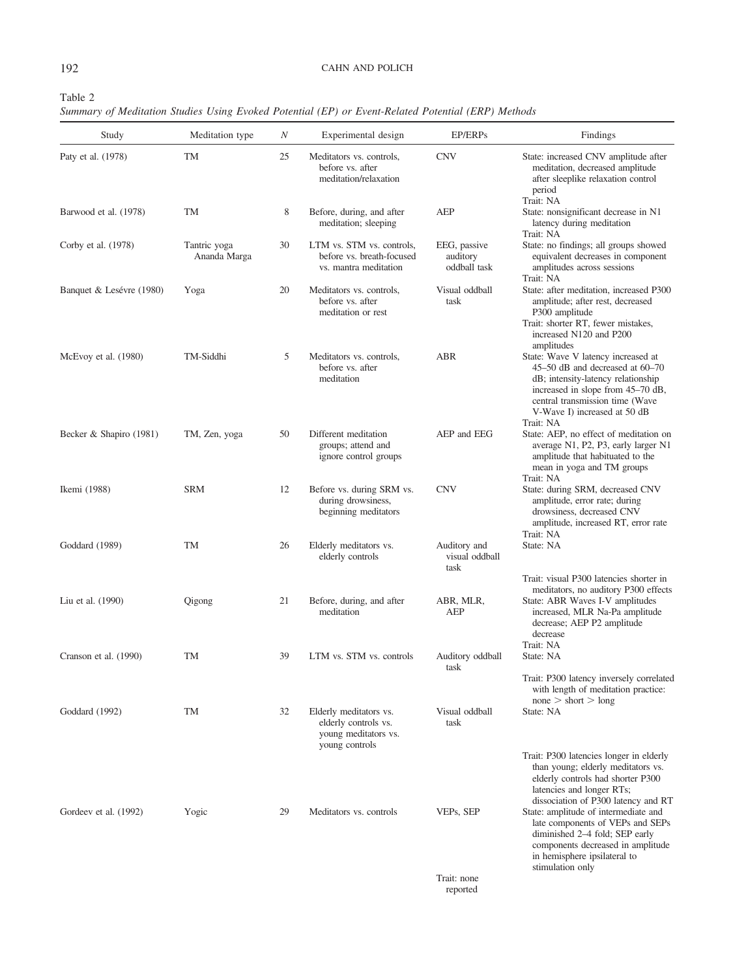## 192 CAHN AND POLICH

| Table 2                                                                                            |  |
|----------------------------------------------------------------------------------------------------|--|
| Summary of Meditation Studies Using Evoked Potential (EP) or Event-Related Potential (ERP) Methods |  |

| Study                    | Meditation type              | N  | Experimental design                                                                      | EP/ERPs                                  | Findings                                                                                                                                                                                                                         |
|--------------------------|------------------------------|----|------------------------------------------------------------------------------------------|------------------------------------------|----------------------------------------------------------------------------------------------------------------------------------------------------------------------------------------------------------------------------------|
| Paty et al. (1978)       | TM                           | 25 | Meditators vs. controls,<br>before vs. after<br>meditation/relaxation                    | <b>CNV</b>                               | State: increased CNV amplitude after<br>meditation, decreased amplitude<br>after sleeplike relaxation control<br>period                                                                                                          |
| Barwood et al. (1978)    | TM                           | 8  | Before, during, and after<br>meditation; sleeping                                        | <b>AEP</b>                               | Trait: NA<br>State: nonsignificant decrease in N1<br>latency during meditation                                                                                                                                                   |
| Corby et al. (1978)      | Tantric yoga<br>Ananda Marga | 30 | LTM vs. STM vs. controls,<br>before vs. breath-focused<br>vs. mantra meditation          | EEG, passive<br>auditory<br>oddball task | Trait: NA<br>State: no findings; all groups showed<br>equivalent decreases in component<br>amplitudes across sessions<br>Trait: NA                                                                                               |
| Banquet & Lesévre (1980) | Yoga                         | 20 | Meditators vs. controls,<br>before vs. after<br>meditation or rest                       | Visual oddball<br>task                   | State: after meditation, increased P300<br>amplitude; after rest, decreased<br>P300 amplitude<br>Trait: shorter RT, fewer mistakes,<br>increased N120 and P200<br>amplitudes                                                     |
| McEvoy et al. (1980)     | TM-Siddhi                    | 5  | Meditators vs. controls,<br>before vs. after<br>meditation                               | <b>ABR</b>                               | State: Wave V latency increased at<br>45–50 dB and decreased at 60–70<br>dB; intensity-latency relationship<br>increased in slope from 45-70 dB,<br>central transmission time (Wave<br>V-Wave I) increased at 50 dB<br>Trait: NA |
| Becker & Shapiro (1981)  | TM, Zen, yoga                | 50 | Different meditation<br>groups; attend and<br>ignore control groups                      | AEP and EEG                              | State: AEP, no effect of meditation on<br>average N1, P2, P3, early larger N1<br>amplitude that habituated to the<br>mean in yoga and TM groups<br>Trait: NA                                                                     |
| Ikemi (1988)             | <b>SRM</b>                   | 12 | Before vs. during SRM vs.<br>during drowsiness,<br>beginning meditators                  | <b>CNV</b>                               | State: during SRM, decreased CNV<br>amplitude, error rate; during<br>drowsiness, decreased CNV<br>amplitude, increased RT, error rate<br>Trait: NA                                                                               |
| Goddard (1989)           | TM                           | 26 | Elderly meditators vs.<br>elderly controls                                               | Auditory and<br>visual oddball<br>task   | State: NA<br>Trait: visual P300 latencies shorter in                                                                                                                                                                             |
| Liu et al. (1990)        | Qigong                       | 21 | Before, during, and after<br>meditation                                                  | ABR, MLR,<br>AEP                         | meditators, no auditory P300 effects<br>State: ABR Waves I-V amplitudes<br>increased, MLR Na-Pa amplitude<br>decrease; AEP P2 amplitude<br>decrease<br>Trait: NA                                                                 |
| Cranson et al. (1990)    | TM                           | 39 | LTM vs. STM vs. controls                                                                 | Auditory oddball<br>task                 | State: NA<br>Trait: P300 latency inversely correlated<br>with length of meditation practice:                                                                                                                                     |
| Goddard (1992)           | TM                           | 32 | Elderly meditators vs.<br>elderly controls vs.<br>young meditators vs.<br>young controls | Visual oddball<br>task                   | none > short > long<br>State: NA                                                                                                                                                                                                 |
|                          |                              |    |                                                                                          |                                          | Trait: P300 latencies longer in elderly<br>than young; elderly meditators vs.<br>elderly controls had shorter P300<br>latencies and longer RTs;<br>dissociation of P300 latency and RT                                           |
| Gordeev et al. (1992)    | Yogic                        | 29 | Meditators vs. controls                                                                  | VEPs, SEP                                | State: amplitude of intermediate and<br>late components of VEPs and SEPs<br>diminished 2-4 fold; SEP early<br>components decreased in amplitude<br>in hemisphere ipsilateral to<br>stimulation only                              |
|                          |                              |    |                                                                                          | Trait: none                              |                                                                                                                                                                                                                                  |

reported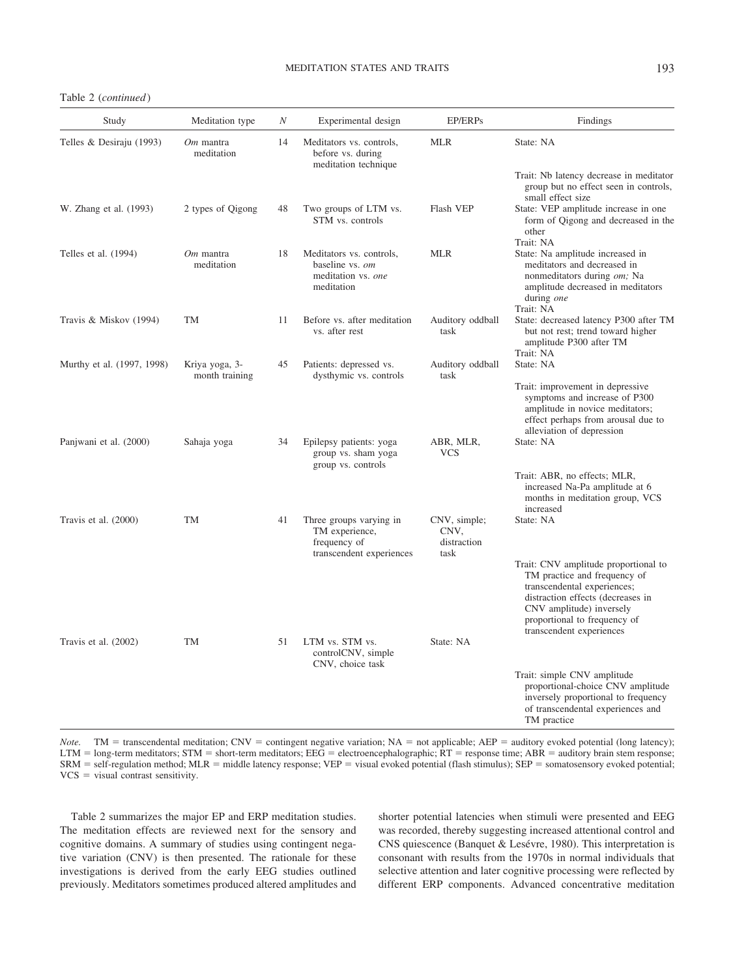Table 2 (*continued*)

| Study                      | Meditation type                  | N  | Experimental design                                                                   | <b>EP/ERPs</b>                              | Findings                                                                                                                                                                                                                         |
|----------------------------|----------------------------------|----|---------------------------------------------------------------------------------------|---------------------------------------------|----------------------------------------------------------------------------------------------------------------------------------------------------------------------------------------------------------------------------------|
| Telles & Desiraju (1993)   | $Om$ mantra<br>meditation        | 14 | Meditators vs. controls,<br>before vs. during<br>meditation technique                 | <b>MLR</b>                                  | State: NA                                                                                                                                                                                                                        |
|                            |                                  |    |                                                                                       |                                             | Trait: Nb latency decrease in meditator<br>group but no effect seen in controls,<br>small effect size                                                                                                                            |
| W. Zhang et al. (1993)     | 2 types of Qigong                | 48 | Two groups of LTM vs.<br>STM vs. controls                                             | Flash VEP                                   | State: VEP amplitude increase in one<br>form of Qigong and decreased in the<br>other                                                                                                                                             |
| Telles et al. (1994)       | $Om$ mantra<br>meditation        | 18 | Meditators vs. controls,<br>baseline vs. om<br>meditation vs. one<br>meditation       | <b>MLR</b>                                  | Trait: NA<br>State: Na amplitude increased in<br>meditators and decreased in<br>nonmeditators during om; Na<br>amplitude decreased in meditators<br>during one                                                                   |
| Travis & Miskov (1994)     | TM                               | 11 | Before vs. after meditation<br>vs. after rest                                         | Auditory oddball<br>task                    | Trait: NA<br>State: decreased latency P300 after TM<br>but not rest; trend toward higher<br>amplitude P300 after TM<br>Trait: NA                                                                                                 |
| Murthy et al. (1997, 1998) | Kriya yoga, 3-<br>month training | 45 | Patients: depressed vs.<br>dysthymic vs. controls                                     | Auditory oddball<br>task                    | State: NA                                                                                                                                                                                                                        |
| Panjwani et al. (2000)     | Sahaja yoga                      | 34 | Epilepsy patients: yoga                                                               | ABR, MLR,                                   | Trait: improvement in depressive<br>symptoms and increase of P300<br>amplitude in novice meditators;<br>effect perhaps from arousal due to<br>alleviation of depression<br>State: NA                                             |
|                            |                                  |    | group vs. sham yoga<br>group vs. controls                                             | <b>VCS</b>                                  | Trait: ABR, no effects; MLR,<br>increased Na-Pa amplitude at 6<br>months in meditation group, VCS<br>increased                                                                                                                   |
| Travis et al. (2000)       | TM                               | 41 | Three groups varying in<br>TM experience,<br>frequency of<br>transcendent experiences | CNV, simple;<br>CNV.<br>distraction<br>task | State: NA                                                                                                                                                                                                                        |
|                            |                                  |    |                                                                                       |                                             | Trait: CNV amplitude proportional to<br>TM practice and frequency of<br>transcendental experiences;<br>distraction effects (decreases in<br>CNV amplitude) inversely<br>proportional to frequency of<br>transcendent experiences |
| Travis et al. (2002)       | TM                               | 51 | LTM vs. STM vs.<br>controlCNV, simple<br>CNV, choice task                             | State: NA                                   |                                                                                                                                                                                                                                  |
|                            |                                  |    |                                                                                       |                                             | Trait: simple CNV amplitude<br>proportional-choice CNV amplitude<br>inversely proportional to frequency<br>of transcendental experiences and<br>TM practice                                                                      |

*Note.* TM = transcendental meditation; CNV = contingent negative variation; NA = not applicable; AEP = auditory evoked potential (long latency);  $LTM = long-term$  meditators;  $STM = short-term$  meditators;  $EE\ddot{G} = electroencephalographic$ ;  $RT =$  response time;  $AB\dot{R} =$  auditory brain stem response; SRM = self-regulation method; MLR = middle latency response; VEP = visual evoked potential (flash stimulus); SEP = somatosensory evoked potential;  $VCS =$  visual contrast sensitivity.

Table 2 summarizes the major EP and ERP meditation studies. The meditation effects are reviewed next for the sensory and cognitive domains. A summary of studies using contingent negative variation (CNV) is then presented. The rationale for these investigations is derived from the early EEG studies outlined previously. Meditators sometimes produced altered amplitudes and shorter potential latencies when stimuli were presented and EEG was recorded, thereby suggesting increased attentional control and CNS quiescence (Banquet & Lesévre, 1980). This interpretation is consonant with results from the 1970s in normal individuals that selective attention and later cognitive processing were reflected by different ERP components. Advanced concentrative meditation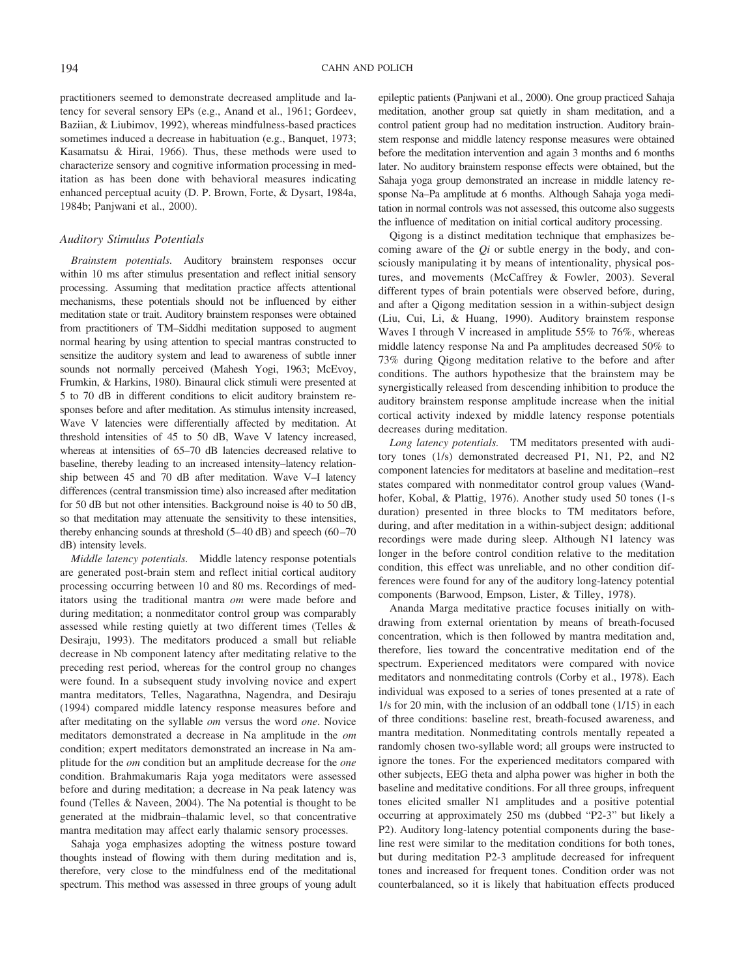practitioners seemed to demonstrate decreased amplitude and latency for several sensory EPs (e.g., Anand et al., 1961; Gordeev, Baziian, & Liubimov, 1992), whereas mindfulness-based practices sometimes induced a decrease in habituation (e.g., Banquet, 1973; Kasamatsu & Hirai, 1966). Thus, these methods were used to characterize sensory and cognitive information processing in meditation as has been done with behavioral measures indicating enhanced perceptual acuity (D. P. Brown, Forte, & Dysart, 1984a, 1984b; Panjwani et al., 2000).

#### *Auditory Stimulus Potentials*

*Brainstem potentials.* Auditory brainstem responses occur within 10 ms after stimulus presentation and reflect initial sensory processing. Assuming that meditation practice affects attentional mechanisms, these potentials should not be influenced by either meditation state or trait. Auditory brainstem responses were obtained from practitioners of TM–Siddhi meditation supposed to augment normal hearing by using attention to special mantras constructed to sensitize the auditory system and lead to awareness of subtle inner sounds not normally perceived (Mahesh Yogi, 1963; McEvoy, Frumkin, & Harkins, 1980). Binaural click stimuli were presented at 5 to 70 dB in different conditions to elicit auditory brainstem responses before and after meditation. As stimulus intensity increased, Wave V latencies were differentially affected by meditation. At threshold intensities of 45 to 50 dB, Wave V latency increased, whereas at intensities of 65–70 dB latencies decreased relative to baseline, thereby leading to an increased intensity–latency relationship between 45 and 70 dB after meditation. Wave V–I latency differences (central transmission time) also increased after meditation for 50 dB but not other intensities. Background noise is 40 to 50 dB, so that meditation may attenuate the sensitivity to these intensities, thereby enhancing sounds at threshold  $(5-40$  dB) and speech  $(60-70)$ dB) intensity levels.

*Middle latency potentials.* Middle latency response potentials are generated post-brain stem and reflect initial cortical auditory processing occurring between 10 and 80 ms. Recordings of meditators using the traditional mantra *om* were made before and during meditation; a nonmeditator control group was comparably assessed while resting quietly at two different times (Telles & Desiraju, 1993). The meditators produced a small but reliable decrease in Nb component latency after meditating relative to the preceding rest period, whereas for the control group no changes were found. In a subsequent study involving novice and expert mantra meditators, Telles, Nagarathna, Nagendra, and Desiraju (1994) compared middle latency response measures before and after meditating on the syllable *om* versus the word *one*. Novice meditators demonstrated a decrease in Na amplitude in the *om* condition; expert meditators demonstrated an increase in Na amplitude for the *om* condition but an amplitude decrease for the *one* condition. Brahmakumaris Raja yoga meditators were assessed before and during meditation; a decrease in Na peak latency was found (Telles & Naveen, 2004). The Na potential is thought to be generated at the midbrain–thalamic level, so that concentrative mantra meditation may affect early thalamic sensory processes.

Sahaja yoga emphasizes adopting the witness posture toward thoughts instead of flowing with them during meditation and is, therefore, very close to the mindfulness end of the meditational spectrum. This method was assessed in three groups of young adult epileptic patients (Panjwani et al., 2000). One group practiced Sahaja meditation, another group sat quietly in sham meditation, and a control patient group had no meditation instruction. Auditory brainstem response and middle latency response measures were obtained before the meditation intervention and again 3 months and 6 months later. No auditory brainstem response effects were obtained, but the Sahaja yoga group demonstrated an increase in middle latency response Na–Pa amplitude at 6 months. Although Sahaja yoga meditation in normal controls was not assessed, this outcome also suggests the influence of meditation on initial cortical auditory processing.

Qigong is a distinct meditation technique that emphasizes becoming aware of the *Qi* or subtle energy in the body, and consciously manipulating it by means of intentionality, physical postures, and movements (McCaffrey & Fowler, 2003). Several different types of brain potentials were observed before, during, and after a Qigong meditation session in a within-subject design (Liu, Cui, Li, & Huang, 1990). Auditory brainstem response Waves I through V increased in amplitude 55% to 76%, whereas middle latency response Na and Pa amplitudes decreased 50% to 73% during Qigong meditation relative to the before and after conditions. The authors hypothesize that the brainstem may be synergistically released from descending inhibition to produce the auditory brainstem response amplitude increase when the initial cortical activity indexed by middle latency response potentials decreases during meditation.

*Long latency potentials.* TM meditators presented with auditory tones (1/s) demonstrated decreased P1, N1, P2, and N2 component latencies for meditators at baseline and meditation–rest states compared with nonmeditator control group values (Wandhofer, Kobal, & Plattig, 1976). Another study used 50 tones (1-s duration) presented in three blocks to TM meditators before, during, and after meditation in a within-subject design; additional recordings were made during sleep. Although N1 latency was longer in the before control condition relative to the meditation condition, this effect was unreliable, and no other condition differences were found for any of the auditory long-latency potential components (Barwood, Empson, Lister, & Tilley, 1978).

Ananda Marga meditative practice focuses initially on withdrawing from external orientation by means of breath-focused concentration, which is then followed by mantra meditation and, therefore, lies toward the concentrative meditation end of the spectrum. Experienced meditators were compared with novice meditators and nonmeditating controls (Corby et al., 1978). Each individual was exposed to a series of tones presented at a rate of 1/s for 20 min, with the inclusion of an oddball tone (1/15) in each of three conditions: baseline rest, breath-focused awareness, and mantra meditation. Nonmeditating controls mentally repeated a randomly chosen two-syllable word; all groups were instructed to ignore the tones. For the experienced meditators compared with other subjects, EEG theta and alpha power was higher in both the baseline and meditative conditions. For all three groups, infrequent tones elicited smaller N1 amplitudes and a positive potential occurring at approximately 250 ms (dubbed "P2-3" but likely a P2). Auditory long-latency potential components during the baseline rest were similar to the meditation conditions for both tones, but during meditation P2-3 amplitude decreased for infrequent tones and increased for frequent tones. Condition order was not counterbalanced, so it is likely that habituation effects produced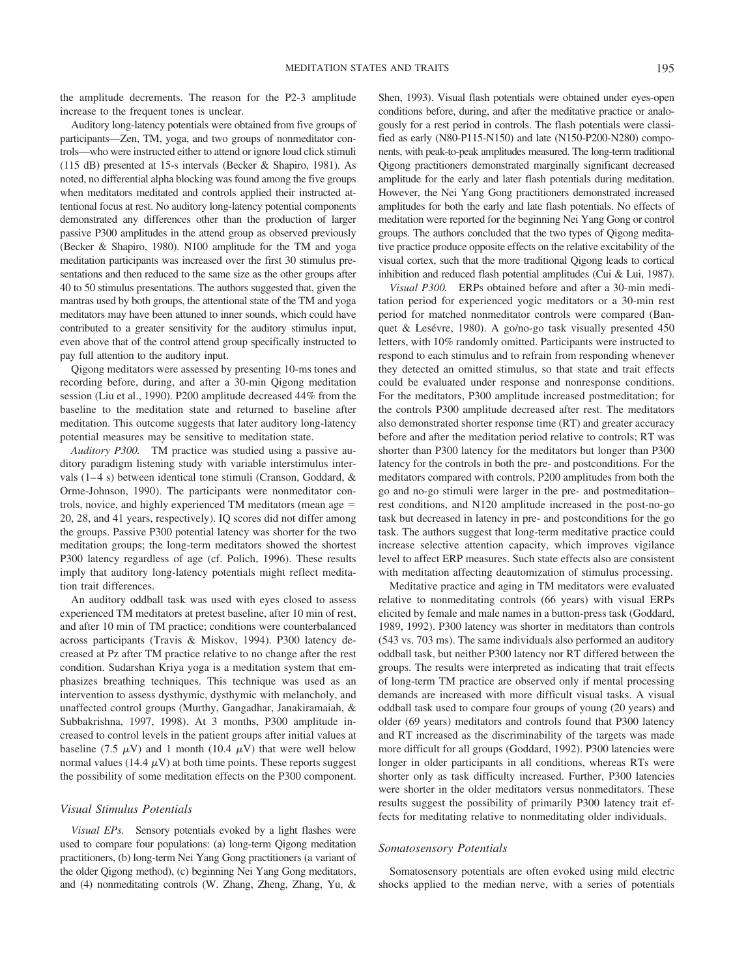the amplitude decrements. The reason for the P2-3 amplitude increase to the frequent tones is unclear.

Auditory long-latency potentials were obtained from five groups of participants—Zen, TM, yoga, and two groups of nonmeditator controls—who were instructed either to attend or ignore loud click stimuli (115 dB) presented at 15-s intervals (Becker & Shapiro, 1981). As noted, no differential alpha blocking was found among the five groups when meditators meditated and controls applied their instructed attentional focus at rest. No auditory long-latency potential components demonstrated any differences other than the production of larger passive P300 amplitudes in the attend group as observed previously (Becker & Shapiro, 1980). N100 amplitude for the TM and yoga meditation participants was increased over the first 30 stimulus presentations and then reduced to the same size as the other groups after 40 to 50 stimulus presentations. The authors suggested that, given the mantras used by both groups, the attentional state of the TM and yoga meditators may have been attuned to inner sounds, which could have contributed to a greater sensitivity for the auditory stimulus input, even above that of the control attend group specifically instructed to pay full attention to the auditory input.

Qigong meditators were assessed by presenting 10-ms tones and recording before, during, and after a 30-min Qigong meditation session (Liu et al., 1990). P200 amplitude decreased 44% from the baseline to the meditation state and returned to baseline after meditation. This outcome suggests that later auditory long-latency potential measures may be sensitive to meditation state.

*Auditory P300.* TM practice was studied using a passive auditory paradigm listening study with variable interstimulus intervals  $(1-4 s)$  between identical tone stimuli (Cranson, Goddard, & Orme-Johnson, 1990). The participants were nonmeditator controls, novice, and highly experienced TM meditators (mean age 20, 28, and 41 years, respectively). IQ scores did not differ among the groups. Passive P300 potential latency was shorter for the two meditation groups; the long-term meditators showed the shortest P300 latency regardless of age (cf. Polich, 1996). These results imply that auditory long-latency potentials might reflect meditation trait differences.

An auditory oddball task was used with eyes closed to assess experienced TM meditators at pretest baseline, after 10 min of rest, and after 10 min of TM practice; conditions were counterbalanced across participants (Travis & Miskov, 1994). P300 latency decreased at Pz after TM practice relative to no change after the rest condition. Sudarshan Kriya yoga is a meditation system that emphasizes breathing techniques. This technique was used as an intervention to assess dysthymic, dysthymic with melancholy, and unaffected control groups (Murthy, Gangadhar, Janakiramaiah, & Subbakrishna, 1997, 1998). At 3 months, P300 amplitude increased to control levels in the patient groups after initial values at baseline (7.5  $\mu$ V) and 1 month (10.4  $\mu$ V) that were well below normal values (14.4  $\mu$ V) at both time points. These reports suggest the possibility of some meditation effects on the P300 component.

#### *Visual Stimulus Potentials*

*Visual EPs.* Sensory potentials evoked by a light flashes were used to compare four populations: (a) long-term Qigong meditation practitioners, (b) long-term Nei Yang Gong practitioners (a variant of the older Qigong method), (c) beginning Nei Yang Gong meditators, and (4) nonmeditating controls (W. Zhang, Zheng, Zhang, Yu, & Shen, 1993). Visual flash potentials were obtained under eyes-open conditions before, during, and after the meditative practice or analogously for a rest period in controls. The flash potentials were classified as early (N80-P115-N150) and late (N150-P200-N280) components, with peak-to-peak amplitudes measured. The long-term traditional Qigong practitioners demonstrated marginally significant decreased amplitude for the early and later flash potentials during meditation. However, the Nei Yang Gong practitioners demonstrated increased amplitudes for both the early and late flash potentials. No effects of meditation were reported for the beginning Nei Yang Gong or control groups. The authors concluded that the two types of Qigong meditative practice produce opposite effects on the relative excitability of the visual cortex, such that the more traditional Qigong leads to cortical inhibition and reduced flash potential amplitudes (Cui & Lui, 1987).

*Visual P300.* ERPs obtained before and after a 30-min meditation period for experienced yogic meditators or a 30-min rest period for matched nonmeditator controls were compared (Banquet & Lesévre, 1980). A go/no-go task visually presented 450 letters, with 10% randomly omitted. Participants were instructed to respond to each stimulus and to refrain from responding whenever they detected an omitted stimulus, so that state and trait effects could be evaluated under response and nonresponse conditions. For the meditators, P300 amplitude increased postmeditation; for the controls P300 amplitude decreased after rest. The meditators also demonstrated shorter response time (RT) and greater accuracy before and after the meditation period relative to controls; RT was shorter than P300 latency for the meditators but longer than P300 latency for the controls in both the pre- and postconditions. For the meditators compared with controls, P200 amplitudes from both the go and no-go stimuli were larger in the pre- and postmeditation– rest conditions, and N120 amplitude increased in the post-no-go task but decreased in latency in pre- and postconditions for the go task. The authors suggest that long-term meditative practice could increase selective attention capacity, which improves vigilance level to affect ERP measures. Such state effects also are consistent with meditation affecting deautomization of stimulus processing.

Meditative practice and aging in TM meditators were evaluated relative to nonmeditating controls (66 years) with visual ERPs elicited by female and male names in a button-press task (Goddard, 1989, 1992). P300 latency was shorter in meditators than controls (543 vs. 703 ms). The same individuals also performed an auditory oddball task, but neither P300 latency nor RT differed between the groups. The results were interpreted as indicating that trait effects of long-term TM practice are observed only if mental processing demands are increased with more difficult visual tasks. A visual oddball task used to compare four groups of young (20 years) and older (69 years) meditators and controls found that P300 latency and RT increased as the discriminability of the targets was made more difficult for all groups (Goddard, 1992). P300 latencies were longer in older participants in all conditions, whereas RTs were shorter only as task difficulty increased. Further, P300 latencies were shorter in the older meditators versus nonmeditators. These results suggest the possibility of primarily P300 latency trait effects for meditating relative to nonmeditating older individuals.

## *Somatosensory Potentials*

Somatosensory potentials are often evoked using mild electric shocks applied to the median nerve, with a series of potentials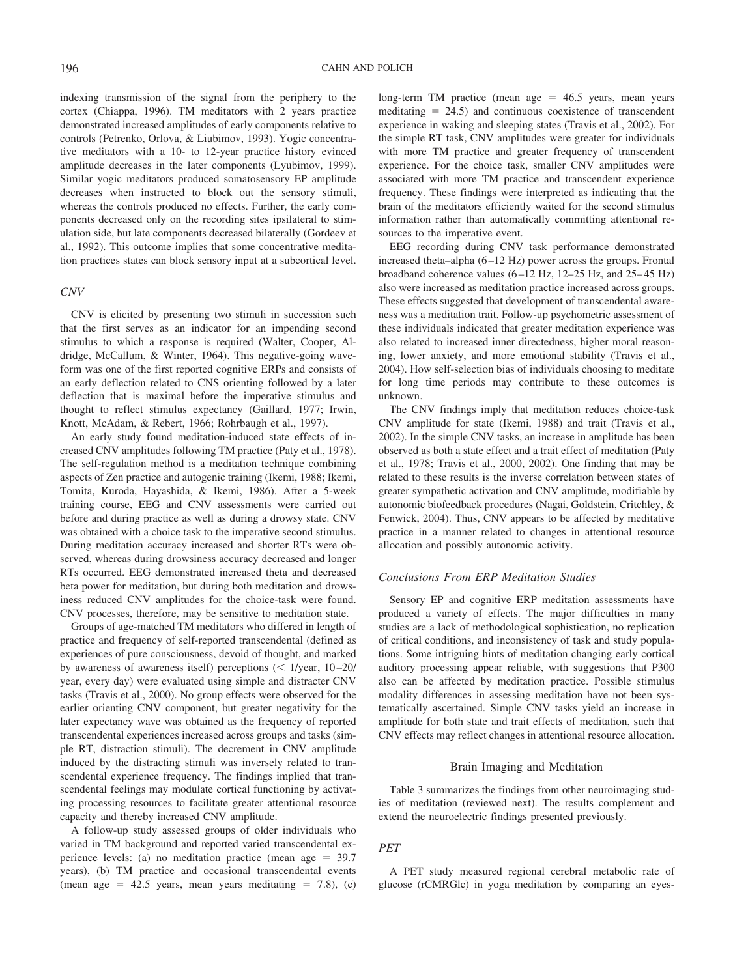indexing transmission of the signal from the periphery to the cortex (Chiappa, 1996). TM meditators with 2 years practice demonstrated increased amplitudes of early components relative to controls (Petrenko, Orlova, & Liubimov, 1993). Yogic concentrative meditators with a 10- to 12-year practice history evinced amplitude decreases in the later components (Lyubimov, 1999). Similar yogic meditators produced somatosensory EP amplitude decreases when instructed to block out the sensory stimuli, whereas the controls produced no effects. Further, the early components decreased only on the recording sites ipsilateral to stimulation side, but late components decreased bilaterally (Gordeev et al., 1992). This outcome implies that some concentrative meditation practices states can block sensory input at a subcortical level.

## *CNV*

CNV is elicited by presenting two stimuli in succession such that the first serves as an indicator for an impending second stimulus to which a response is required (Walter, Cooper, Aldridge, McCallum, & Winter, 1964). This negative-going waveform was one of the first reported cognitive ERPs and consists of an early deflection related to CNS orienting followed by a later deflection that is maximal before the imperative stimulus and thought to reflect stimulus expectancy (Gaillard, 1977; Irwin, Knott, McAdam, & Rebert, 1966; Rohrbaugh et al., 1997).

An early study found meditation-induced state effects of increased CNV amplitudes following TM practice (Paty et al., 1978). The self-regulation method is a meditation technique combining aspects of Zen practice and autogenic training (Ikemi, 1988; Ikemi, Tomita, Kuroda, Hayashida, & Ikemi, 1986). After a 5-week training course, EEG and CNV assessments were carried out before and during practice as well as during a drowsy state. CNV was obtained with a choice task to the imperative second stimulus. During meditation accuracy increased and shorter RTs were observed, whereas during drowsiness accuracy decreased and longer RTs occurred. EEG demonstrated increased theta and decreased beta power for meditation, but during both meditation and drowsiness reduced CNV amplitudes for the choice-task were found. CNV processes, therefore, may be sensitive to meditation state.

Groups of age-matched TM meditators who differed in length of practice and frequency of self-reported transcendental (defined as experiences of pure consciousness, devoid of thought, and marked by awareness of awareness itself) perceptions  $\ll 1$ /year, 10-20/ year, every day) were evaluated using simple and distracter CNV tasks (Travis et al., 2000). No group effects were observed for the earlier orienting CNV component, but greater negativity for the later expectancy wave was obtained as the frequency of reported transcendental experiences increased across groups and tasks (simple RT, distraction stimuli). The decrement in CNV amplitude induced by the distracting stimuli was inversely related to transcendental experience frequency. The findings implied that transcendental feelings may modulate cortical functioning by activating processing resources to facilitate greater attentional resource capacity and thereby increased CNV amplitude.

A follow-up study assessed groups of older individuals who varied in TM background and reported varied transcendental experience levels: (a) no meditation practice (mean age  $= 39.7$ years), (b) TM practice and occasional transcendental events (mean age  $= 42.5$  years, mean years meditating  $= 7.8$ ), (c) long-term TM practice (mean age  $= 46.5$  years, mean years meditating  $= 24.5$ ) and continuous coexistence of transcendent experience in waking and sleeping states (Travis et al., 2002). For the simple RT task, CNV amplitudes were greater for individuals with more TM practice and greater frequency of transcendent experience. For the choice task, smaller CNV amplitudes were associated with more TM practice and transcendent experience frequency. These findings were interpreted as indicating that the brain of the meditators efficiently waited for the second stimulus information rather than automatically committing attentional resources to the imperative event.

EEG recording during CNV task performance demonstrated increased theta–alpha (6 –12 Hz) power across the groups. Frontal broadband coherence values  $(6-12 \text{ Hz}, 12-25 \text{ Hz}, \text{ and } 25-45 \text{ Hz})$ also were increased as meditation practice increased across groups. These effects suggested that development of transcendental awareness was a meditation trait. Follow-up psychometric assessment of these individuals indicated that greater meditation experience was also related to increased inner directedness, higher moral reasoning, lower anxiety, and more emotional stability (Travis et al., 2004). How self-selection bias of individuals choosing to meditate for long time periods may contribute to these outcomes is unknown.

The CNV findings imply that meditation reduces choice-task CNV amplitude for state (Ikemi, 1988) and trait (Travis et al., 2002). In the simple CNV tasks, an increase in amplitude has been observed as both a state effect and a trait effect of meditation (Paty et al., 1978; Travis et al., 2000, 2002). One finding that may be related to these results is the inverse correlation between states of greater sympathetic activation and CNV amplitude, modifiable by autonomic biofeedback procedures (Nagai, Goldstein, Critchley, & Fenwick, 2004). Thus, CNV appears to be affected by meditative practice in a manner related to changes in attentional resource allocation and possibly autonomic activity.

## *Conclusions From ERP Meditation Studies*

Sensory EP and cognitive ERP meditation assessments have produced a variety of effects. The major difficulties in many studies are a lack of methodological sophistication, no replication of critical conditions, and inconsistency of task and study populations. Some intriguing hints of meditation changing early cortical auditory processing appear reliable, with suggestions that P300 also can be affected by meditation practice. Possible stimulus modality differences in assessing meditation have not been systematically ascertained. Simple CNV tasks yield an increase in amplitude for both state and trait effects of meditation, such that CNV effects may reflect changes in attentional resource allocation.

## Brain Imaging and Meditation

Table 3 summarizes the findings from other neuroimaging studies of meditation (reviewed next). The results complement and extend the neuroelectric findings presented previously.

#### *PET*

A PET study measured regional cerebral metabolic rate of glucose (rCMRGlc) in yoga meditation by comparing an eyes-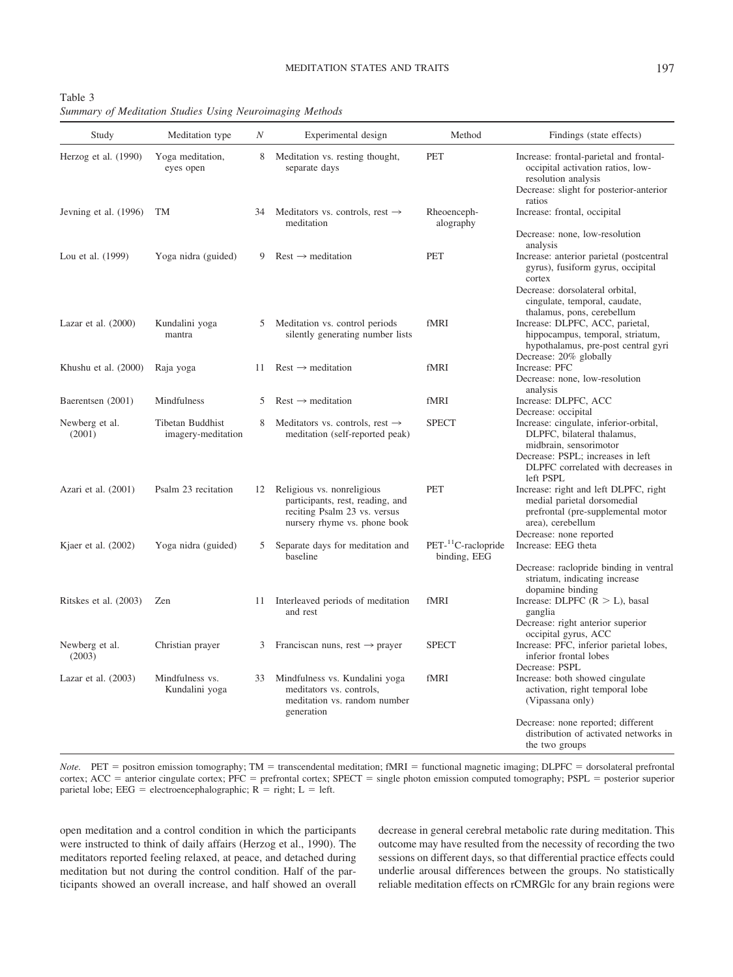| Table 3                                                  |  |  |
|----------------------------------------------------------|--|--|
| Summary of Meditation Studies Using Neuroimaging Methods |  |  |

| Study                    | Meditation type                        | $\boldsymbol{N}$ | Experimental design                                                                                                               | Method                                | Findings (state effects)                                                                                                                                                                  |
|--------------------------|----------------------------------------|------------------|-----------------------------------------------------------------------------------------------------------------------------------|---------------------------------------|-------------------------------------------------------------------------------------------------------------------------------------------------------------------------------------------|
| Herzog et al. (1990)     | Yoga meditation,<br>eyes open          | 8                | Meditation vs. resting thought,<br>separate days                                                                                  | <b>PET</b>                            | Increase: frontal-parietal and frontal-<br>occipital activation ratios, low-<br>resolution analysis<br>Decrease: slight for posterior-anterior<br>ratios                                  |
| Jevning et al. (1996)    | <b>TM</b>                              | 34               | Meditators vs. controls, rest $\rightarrow$<br>meditation                                                                         | Rheoenceph-<br>alography              | Increase: frontal, occipital                                                                                                                                                              |
|                          |                                        |                  |                                                                                                                                   |                                       | Decrease: none, low-resolution<br>analysis                                                                                                                                                |
| Lou et al. (1999)        | Yoga nidra (guided)                    | 9                | $Rest \rightarrow \text{mediation}$                                                                                               | <b>PET</b>                            | Increase: anterior parietal (postcentral<br>gyrus), fusiform gyrus, occipital<br>cortex<br>Decrease: dorsolateral orbital,<br>cingulate, temporal, caudate,<br>thalamus, pons, cerebellum |
| Lazar et al. $(2000)$    | Kundalini yoga<br>mantra               | 5                | Meditation vs. control periods<br>silently generating number lists                                                                | fMRI                                  | Increase: DLPFC, ACC, parietal,<br>hippocampus, temporal, striatum,<br>hypothalamus, pre-post central gyri<br>Decrease: 20% globally                                                      |
| Khushu et al. $(2000)$   | Raja yoga                              | 11               | $Rest \rightarrow \text{mediation}$                                                                                               | fMRI                                  | Increase: PFC<br>Decrease: none, low-resolution<br>analysis                                                                                                                               |
| Baerentsen (2001)        | Mindfulness                            | 5                | $Rest \rightarrow \text{mediation}$                                                                                               | fMRI                                  | Increase: DLPFC, ACC<br>Decrease: occipital                                                                                                                                               |
| Newberg et al.<br>(2001) | Tibetan Buddhist<br>imagery-meditation | 8                | Meditators vs. controls, rest $\rightarrow$<br>meditation (self-reported peak)                                                    | <b>SPECT</b>                          | Increase: cingulate, inferior-orbital,<br>DLPFC, bilateral thalamus,<br>midbrain, sensorimotor<br>Decrease: PSPL; increases in left<br>DLPFC correlated with decreases in                 |
| Azari et al. (2001)      | Psalm 23 recitation                    |                  | 12 Religious vs. nonreligious<br>participants, rest, reading, and<br>reciting Psalm 23 vs. versus<br>nursery rhyme vs. phone book | <b>PET</b>                            | left PSPL<br>Increase: right and left DLPFC, right<br>medial parietal dorsomedial<br>prefrontal (pre-supplemental motor<br>area), cerebellum<br>Decrease: none reported                   |
| Kjaer et al. $(2002)$    | Yoga nidra (guided)                    | 5                | Separate days for meditation and<br>baseline                                                                                      | $PET-11C$ -raclopride<br>binding, EEG | Increase: EEG theta                                                                                                                                                                       |
|                          |                                        |                  |                                                                                                                                   |                                       | Decrease: raclopride binding in ventral<br>striatum, indicating increase<br>dopamine binding                                                                                              |
| Ritskes et al. $(2003)$  | Zen                                    | 11               | Interleaved periods of meditation<br>and rest                                                                                     | fMRI                                  | Increase: DLPFC $(R > L)$ , basal<br>ganglia<br>Decrease: right anterior superior<br>occipital gyrus, ACC                                                                                 |
| Newberg et al.<br>(2003) | Christian prayer                       | 3                | Franciscan nuns, rest $\rightarrow$ prayer                                                                                        | <b>SPECT</b>                          | Increase: PFC, inferior parietal lobes,<br>inferior frontal lobes<br>Decrease: PSPL                                                                                                       |
| Lazar et al. $(2003)$    | Mindfulness vs.<br>Kundalini yoga      | 33               | Mindfulness vs. Kundalini yoga<br>meditators vs. controls.<br>meditation vs. random number<br>generation                          | fMRI                                  | Increase: both showed cingulate<br>activation, right temporal lobe<br>(Vipassana only)                                                                                                    |
|                          |                                        |                  |                                                                                                                                   |                                       | Decrease: none reported; different<br>distribution of activated networks in<br>the two groups                                                                                             |

*Note.* PET = positron emission tomography; TM = transcendental meditation; fMRI = functional magnetic imaging; DLPFC = dorsolateral prefrontal cortex; ACC = anterior cingulate cortex;  $PFC$  = prefrontal cortex;  $SPECT$  = single photon emission computed tomography;  $PSPL$  = posterior superior parietal lobe;  $EEG =$  electroencephalographic;  $R =$  right;  $L =$  left.

open meditation and a control condition in which the participants were instructed to think of daily affairs (Herzog et al., 1990). The meditators reported feeling relaxed, at peace, and detached during meditation but not during the control condition. Half of the participants showed an overall increase, and half showed an overall decrease in general cerebral metabolic rate during meditation. This outcome may have resulted from the necessity of recording the two sessions on different days, so that differential practice effects could underlie arousal differences between the groups. No statistically reliable meditation effects on rCMRGlc for any brain regions were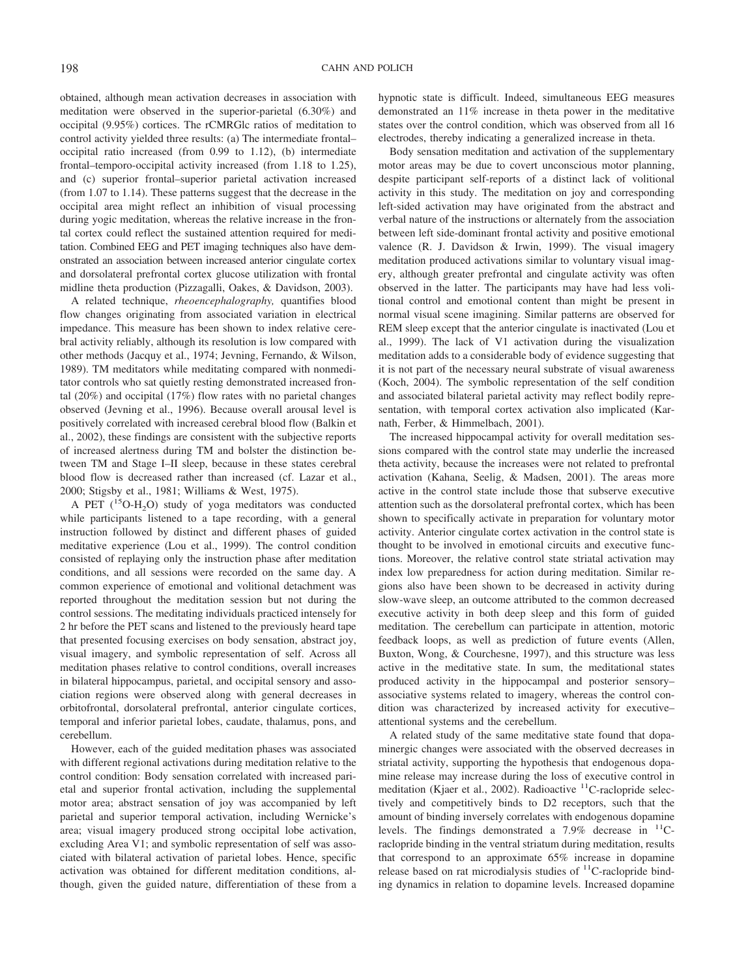obtained, although mean activation decreases in association with meditation were observed in the superior-parietal (6.30%) and occipital (9.95%) cortices. The rCMRGlc ratios of meditation to control activity yielded three results: (a) The intermediate frontal– occipital ratio increased (from 0.99 to 1.12), (b) intermediate frontal–temporo-occipital activity increased (from 1.18 to 1.25), and (c) superior frontal–superior parietal activation increased (from 1.07 to 1.14). These patterns suggest that the decrease in the occipital area might reflect an inhibition of visual processing during yogic meditation, whereas the relative increase in the frontal cortex could reflect the sustained attention required for meditation. Combined EEG and PET imaging techniques also have demonstrated an association between increased anterior cingulate cortex and dorsolateral prefrontal cortex glucose utilization with frontal midline theta production (Pizzagalli, Oakes, & Davidson, 2003).

A related technique, *rheoencephalography,* quantifies blood flow changes originating from associated variation in electrical impedance. This measure has been shown to index relative cerebral activity reliably, although its resolution is low compared with other methods (Jacquy et al., 1974; Jevning, Fernando, & Wilson, 1989). TM meditators while meditating compared with nonmeditator controls who sat quietly resting demonstrated increased frontal (20%) and occipital (17%) flow rates with no parietal changes observed (Jevning et al., 1996). Because overall arousal level is positively correlated with increased cerebral blood flow (Balkin et al., 2002), these findings are consistent with the subjective reports of increased alertness during TM and bolster the distinction between TM and Stage I–II sleep, because in these states cerebral blood flow is decreased rather than increased (cf. Lazar et al., 2000; Stigsby et al., 1981; Williams & West, 1975).

A PET  $(^{15}O-H<sub>2</sub>O)$  study of yoga meditators was conducted while participants listened to a tape recording, with a general instruction followed by distinct and different phases of guided meditative experience (Lou et al., 1999). The control condition consisted of replaying only the instruction phase after meditation conditions, and all sessions were recorded on the same day. A common experience of emotional and volitional detachment was reported throughout the meditation session but not during the control sessions. The meditating individuals practiced intensely for 2 hr before the PET scans and listened to the previously heard tape that presented focusing exercises on body sensation, abstract joy, visual imagery, and symbolic representation of self. Across all meditation phases relative to control conditions, overall increases in bilateral hippocampus, parietal, and occipital sensory and association regions were observed along with general decreases in orbitofrontal, dorsolateral prefrontal, anterior cingulate cortices, temporal and inferior parietal lobes, caudate, thalamus, pons, and cerebellum.

However, each of the guided meditation phases was associated with different regional activations during meditation relative to the control condition: Body sensation correlated with increased parietal and superior frontal activation, including the supplemental motor area; abstract sensation of joy was accompanied by left parietal and superior temporal activation, including Wernicke's area; visual imagery produced strong occipital lobe activation, excluding Area V1; and symbolic representation of self was associated with bilateral activation of parietal lobes. Hence, specific activation was obtained for different meditation conditions, although, given the guided nature, differentiation of these from a hypnotic state is difficult. Indeed, simultaneous EEG measures demonstrated an 11% increase in theta power in the meditative states over the control condition, which was observed from all 16 electrodes, thereby indicating a generalized increase in theta.

Body sensation meditation and activation of the supplementary motor areas may be due to covert unconscious motor planning, despite participant self-reports of a distinct lack of volitional activity in this study. The meditation on joy and corresponding left-sided activation may have originated from the abstract and verbal nature of the instructions or alternately from the association between left side-dominant frontal activity and positive emotional valence (R. J. Davidson & Irwin, 1999). The visual imagery meditation produced activations similar to voluntary visual imagery, although greater prefrontal and cingulate activity was often observed in the latter. The participants may have had less volitional control and emotional content than might be present in normal visual scene imagining. Similar patterns are observed for REM sleep except that the anterior cingulate is inactivated (Lou et al., 1999). The lack of V1 activation during the visualization meditation adds to a considerable body of evidence suggesting that it is not part of the necessary neural substrate of visual awareness (Koch, 2004). The symbolic representation of the self condition and associated bilateral parietal activity may reflect bodily representation, with temporal cortex activation also implicated (Karnath, Ferber, & Himmelbach, 2001).

The increased hippocampal activity for overall meditation sessions compared with the control state may underlie the increased theta activity, because the increases were not related to prefrontal activation (Kahana, Seelig, & Madsen, 2001). The areas more active in the control state include those that subserve executive attention such as the dorsolateral prefrontal cortex, which has been shown to specifically activate in preparation for voluntary motor activity. Anterior cingulate cortex activation in the control state is thought to be involved in emotional circuits and executive functions. Moreover, the relative control state striatal activation may index low preparedness for action during meditation. Similar regions also have been shown to be decreased in activity during slow-wave sleep, an outcome attributed to the common decreased executive activity in both deep sleep and this form of guided meditation. The cerebellum can participate in attention, motoric feedback loops, as well as prediction of future events (Allen, Buxton, Wong, & Courchesne, 1997), and this structure was less active in the meditative state. In sum, the meditational states produced activity in the hippocampal and posterior sensory– associative systems related to imagery, whereas the control condition was characterized by increased activity for executive– attentional systems and the cerebellum.

A related study of the same meditative state found that dopaminergic changes were associated with the observed decreases in striatal activity, supporting the hypothesis that endogenous dopamine release may increase during the loss of executive control in meditation (Kjaer et al., 2002). Radioactive <sup>11</sup>C-raclopride selectively and competitively binds to D2 receptors, such that the amount of binding inversely correlates with endogenous dopamine levels. The findings demonstrated a  $7.9\%$  decrease in  $^{11}$ Craclopride binding in the ventral striatum during meditation, results that correspond to an approximate 65% increase in dopamine release based on rat microdialysis studies of  $^{11}$ C-raclopride binding dynamics in relation to dopamine levels. Increased dopamine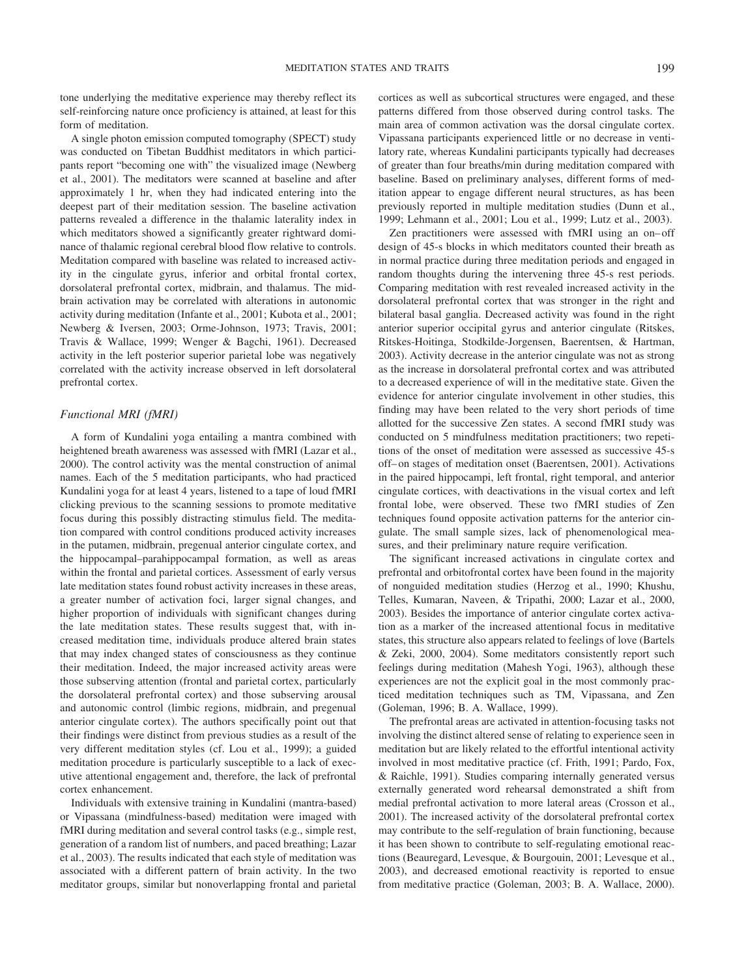tone underlying the meditative experience may thereby reflect its self-reinforcing nature once proficiency is attained, at least for this form of meditation.

A single photon emission computed tomography (SPECT) study was conducted on Tibetan Buddhist meditators in which participants report "becoming one with" the visualized image (Newberg et al., 2001). The meditators were scanned at baseline and after approximately 1 hr, when they had indicated entering into the deepest part of their meditation session. The baseline activation patterns revealed a difference in the thalamic laterality index in which meditators showed a significantly greater rightward dominance of thalamic regional cerebral blood flow relative to controls. Meditation compared with baseline was related to increased activity in the cingulate gyrus, inferior and orbital frontal cortex, dorsolateral prefrontal cortex, midbrain, and thalamus. The midbrain activation may be correlated with alterations in autonomic activity during meditation (Infante et al., 2001; Kubota et al., 2001; Newberg & Iversen, 2003; Orme-Johnson, 1973; Travis, 2001; Travis & Wallace, 1999; Wenger & Bagchi, 1961). Decreased activity in the left posterior superior parietal lobe was negatively correlated with the activity increase observed in left dorsolateral prefrontal cortex.

### *Functional MRI (fMRI)*

A form of Kundalini yoga entailing a mantra combined with heightened breath awareness was assessed with fMRI (Lazar et al., 2000). The control activity was the mental construction of animal names. Each of the 5 meditation participants, who had practiced Kundalini yoga for at least 4 years, listened to a tape of loud fMRI clicking previous to the scanning sessions to promote meditative focus during this possibly distracting stimulus field. The meditation compared with control conditions produced activity increases in the putamen, midbrain, pregenual anterior cingulate cortex, and the hippocampal–parahippocampal formation, as well as areas within the frontal and parietal cortices. Assessment of early versus late meditation states found robust activity increases in these areas, a greater number of activation foci, larger signal changes, and higher proportion of individuals with significant changes during the late meditation states. These results suggest that, with increased meditation time, individuals produce altered brain states that may index changed states of consciousness as they continue their meditation. Indeed, the major increased activity areas were those subserving attention (frontal and parietal cortex, particularly the dorsolateral prefrontal cortex) and those subserving arousal and autonomic control (limbic regions, midbrain, and pregenual anterior cingulate cortex). The authors specifically point out that their findings were distinct from previous studies as a result of the very different meditation styles (cf. Lou et al., 1999); a guided meditation procedure is particularly susceptible to a lack of executive attentional engagement and, therefore, the lack of prefrontal cortex enhancement.

Individuals with extensive training in Kundalini (mantra-based) or Vipassana (mindfulness-based) meditation were imaged with fMRI during meditation and several control tasks (e.g., simple rest, generation of a random list of numbers, and paced breathing; Lazar et al., 2003). The results indicated that each style of meditation was associated with a different pattern of brain activity. In the two meditator groups, similar but nonoverlapping frontal and parietal cortices as well as subcortical structures were engaged, and these patterns differed from those observed during control tasks. The main area of common activation was the dorsal cingulate cortex. Vipassana participants experienced little or no decrease in ventilatory rate, whereas Kundalini participants typically had decreases of greater than four breaths/min during meditation compared with baseline. Based on preliminary analyses, different forms of meditation appear to engage different neural structures, as has been previously reported in multiple meditation studies (Dunn et al., 1999; Lehmann et al., 2001; Lou et al., 1999; Lutz et al., 2003).

Zen practitioners were assessed with fMRI using an on-off design of 45-s blocks in which meditators counted their breath as in normal practice during three meditation periods and engaged in random thoughts during the intervening three 45-s rest periods. Comparing meditation with rest revealed increased activity in the dorsolateral prefrontal cortex that was stronger in the right and bilateral basal ganglia. Decreased activity was found in the right anterior superior occipital gyrus and anterior cingulate (Ritskes, Ritskes-Hoitinga, Stodkilde-Jorgensen, Baerentsen, & Hartman, 2003). Activity decrease in the anterior cingulate was not as strong as the increase in dorsolateral prefrontal cortex and was attributed to a decreased experience of will in the meditative state. Given the evidence for anterior cingulate involvement in other studies, this finding may have been related to the very short periods of time allotted for the successive Zen states. A second fMRI study was conducted on 5 mindfulness meditation practitioners; two repetitions of the onset of meditation were assessed as successive 45-s off– on stages of meditation onset (Baerentsen, 2001). Activations in the paired hippocampi, left frontal, right temporal, and anterior cingulate cortices, with deactivations in the visual cortex and left frontal lobe, were observed. These two fMRI studies of Zen techniques found opposite activation patterns for the anterior cingulate. The small sample sizes, lack of phenomenological measures, and their preliminary nature require verification.

The significant increased activations in cingulate cortex and prefrontal and orbitofrontal cortex have been found in the majority of nonguided meditation studies (Herzog et al., 1990; Khushu, Telles, Kumaran, Naveen, & Tripathi, 2000; Lazar et al., 2000, 2003). Besides the importance of anterior cingulate cortex activation as a marker of the increased attentional focus in meditative states, this structure also appears related to feelings of love (Bartels & Zeki, 2000, 2004). Some meditators consistently report such feelings during meditation (Mahesh Yogi, 1963), although these experiences are not the explicit goal in the most commonly practiced meditation techniques such as TM, Vipassana, and Zen (Goleman, 1996; B. A. Wallace, 1999).

The prefrontal areas are activated in attention-focusing tasks not involving the distinct altered sense of relating to experience seen in meditation but are likely related to the effortful intentional activity involved in most meditative practice (cf. Frith, 1991; Pardo, Fox, & Raichle, 1991). Studies comparing internally generated versus externally generated word rehearsal demonstrated a shift from medial prefrontal activation to more lateral areas (Crosson et al., 2001). The increased activity of the dorsolateral prefrontal cortex may contribute to the self-regulation of brain functioning, because it has been shown to contribute to self-regulating emotional reactions (Beauregard, Levesque, & Bourgouin, 2001; Levesque et al., 2003), and decreased emotional reactivity is reported to ensue from meditative practice (Goleman, 2003; B. A. Wallace, 2000).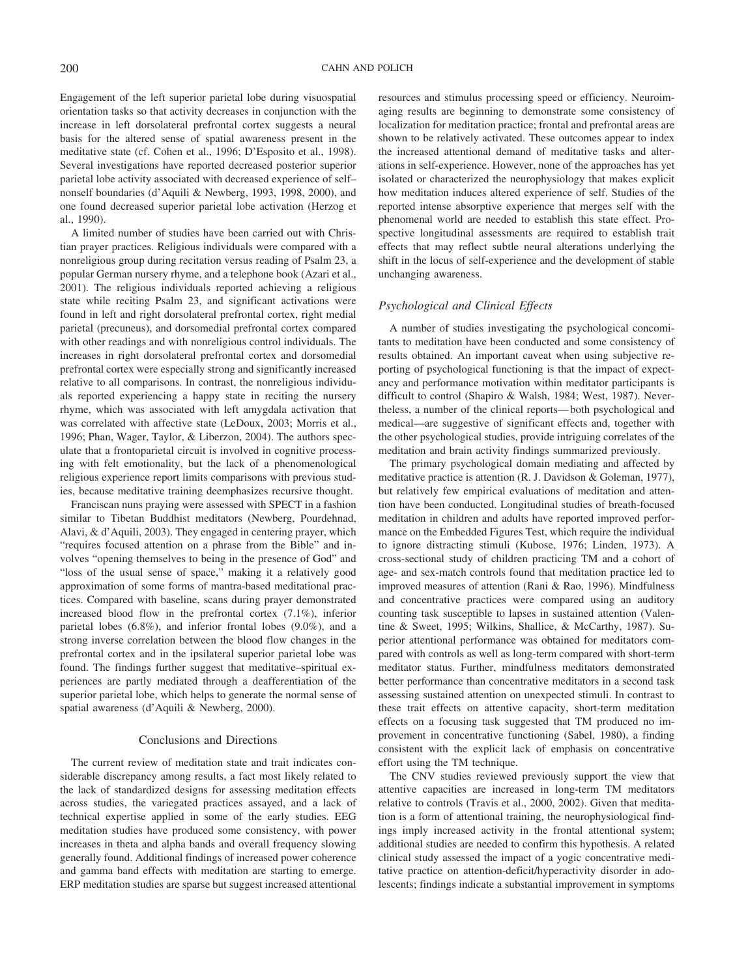Engagement of the left superior parietal lobe during visuospatial orientation tasks so that activity decreases in conjunction with the increase in left dorsolateral prefrontal cortex suggests a neural basis for the altered sense of spatial awareness present in the meditative state (cf. Cohen et al., 1996; D'Esposito et al., 1998). Several investigations have reported decreased posterior superior parietal lobe activity associated with decreased experience of self– nonself boundaries (d'Aquili & Newberg, 1993, 1998, 2000), and one found decreased superior parietal lobe activation (Herzog et al., 1990).

A limited number of studies have been carried out with Christian prayer practices. Religious individuals were compared with a nonreligious group during recitation versus reading of Psalm 23, a popular German nursery rhyme, and a telephone book (Azari et al., 2001). The religious individuals reported achieving a religious state while reciting Psalm 23, and significant activations were found in left and right dorsolateral prefrontal cortex, right medial parietal (precuneus), and dorsomedial prefrontal cortex compared with other readings and with nonreligious control individuals. The increases in right dorsolateral prefrontal cortex and dorsomedial prefrontal cortex were especially strong and significantly increased relative to all comparisons. In contrast, the nonreligious individuals reported experiencing a happy state in reciting the nursery rhyme, which was associated with left amygdala activation that was correlated with affective state (LeDoux, 2003; Morris et al., 1996; Phan, Wager, Taylor, & Liberzon, 2004). The authors speculate that a frontoparietal circuit is involved in cognitive processing with felt emotionality, but the lack of a phenomenological religious experience report limits comparisons with previous studies, because meditative training deemphasizes recursive thought.

Franciscan nuns praying were assessed with SPECT in a fashion similar to Tibetan Buddhist meditators (Newberg, Pourdehnad, Alavi, & d'Aquili, 2003). They engaged in centering prayer, which "requires focused attention on a phrase from the Bible" and involves "opening themselves to being in the presence of God" and "loss of the usual sense of space," making it a relatively good approximation of some forms of mantra-based meditational practices. Compared with baseline, scans during prayer demonstrated increased blood flow in the prefrontal cortex (7.1%), inferior parietal lobes (6.8%), and inferior frontal lobes (9.0%), and a strong inverse correlation between the blood flow changes in the prefrontal cortex and in the ipsilateral superior parietal lobe was found. The findings further suggest that meditative–spiritual experiences are partly mediated through a deafferentiation of the superior parietal lobe, which helps to generate the normal sense of spatial awareness (d'Aquili & Newberg, 2000).

### Conclusions and Directions

The current review of meditation state and trait indicates considerable discrepancy among results, a fact most likely related to the lack of standardized designs for assessing meditation effects across studies, the variegated practices assayed, and a lack of technical expertise applied in some of the early studies. EEG meditation studies have produced some consistency, with power increases in theta and alpha bands and overall frequency slowing generally found. Additional findings of increased power coherence and gamma band effects with meditation are starting to emerge. ERP meditation studies are sparse but suggest increased attentional resources and stimulus processing speed or efficiency. Neuroimaging results are beginning to demonstrate some consistency of localization for meditation practice; frontal and prefrontal areas are shown to be relatively activated. These outcomes appear to index the increased attentional demand of meditative tasks and alterations in self-experience. However, none of the approaches has yet isolated or characterized the neurophysiology that makes explicit how meditation induces altered experience of self. Studies of the reported intense absorptive experience that merges self with the phenomenal world are needed to establish this state effect. Prospective longitudinal assessments are required to establish trait effects that may reflect subtle neural alterations underlying the shift in the locus of self-experience and the development of stable unchanging awareness.

## *Psychological and Clinical Effects*

A number of studies investigating the psychological concomitants to meditation have been conducted and some consistency of results obtained. An important caveat when using subjective reporting of psychological functioning is that the impact of expectancy and performance motivation within meditator participants is difficult to control (Shapiro & Walsh, 1984; West, 1987). Nevertheless, a number of the clinical reports— both psychological and medical—are suggestive of significant effects and, together with the other psychological studies, provide intriguing correlates of the meditation and brain activity findings summarized previously.

The primary psychological domain mediating and affected by meditative practice is attention (R. J. Davidson & Goleman, 1977), but relatively few empirical evaluations of meditation and attention have been conducted. Longitudinal studies of breath-focused meditation in children and adults have reported improved performance on the Embedded Figures Test, which require the individual to ignore distracting stimuli (Kubose, 1976; Linden, 1973). A cross-sectional study of children practicing TM and a cohort of age- and sex-match controls found that meditation practice led to improved measures of attention (Rani & Rao, 1996). Mindfulness and concentrative practices were compared using an auditory counting task susceptible to lapses in sustained attention (Valentine & Sweet, 1995; Wilkins, Shallice, & McCarthy, 1987). Superior attentional performance was obtained for meditators compared with controls as well as long-term compared with short-term meditator status. Further, mindfulness meditators demonstrated better performance than concentrative meditators in a second task assessing sustained attention on unexpected stimuli. In contrast to these trait effects on attentive capacity, short-term meditation effects on a focusing task suggested that TM produced no improvement in concentrative functioning (Sabel, 1980), a finding consistent with the explicit lack of emphasis on concentrative effort using the TM technique.

The CNV studies reviewed previously support the view that attentive capacities are increased in long-term TM meditators relative to controls (Travis et al., 2000, 2002). Given that meditation is a form of attentional training, the neurophysiological findings imply increased activity in the frontal attentional system; additional studies are needed to confirm this hypothesis. A related clinical study assessed the impact of a yogic concentrative meditative practice on attention-deficit/hyperactivity disorder in adolescents; findings indicate a substantial improvement in symptoms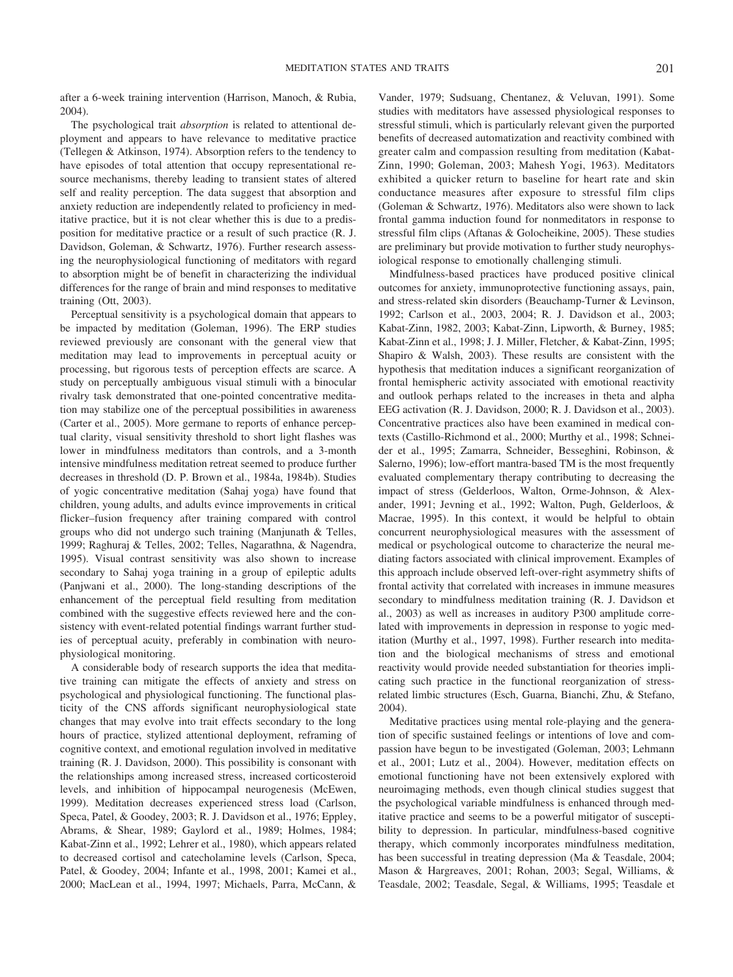after a 6-week training intervention (Harrison, Manoch, & Rubia, 2004).

The psychological trait *absorption* is related to attentional deployment and appears to have relevance to meditative practice (Tellegen & Atkinson, 1974). Absorption refers to the tendency to have episodes of total attention that occupy representational resource mechanisms, thereby leading to transient states of altered self and reality perception. The data suggest that absorption and anxiety reduction are independently related to proficiency in meditative practice, but it is not clear whether this is due to a predisposition for meditative practice or a result of such practice (R. J. Davidson, Goleman, & Schwartz, 1976). Further research assessing the neurophysiological functioning of meditators with regard to absorption might be of benefit in characterizing the individual differences for the range of brain and mind responses to meditative training (Ott, 2003).

Perceptual sensitivity is a psychological domain that appears to be impacted by meditation (Goleman, 1996). The ERP studies reviewed previously are consonant with the general view that meditation may lead to improvements in perceptual acuity or processing, but rigorous tests of perception effects are scarce. A study on perceptually ambiguous visual stimuli with a binocular rivalry task demonstrated that one-pointed concentrative meditation may stabilize one of the perceptual possibilities in awareness (Carter et al., 2005). More germane to reports of enhance perceptual clarity, visual sensitivity threshold to short light flashes was lower in mindfulness meditators than controls, and a 3-month intensive mindfulness meditation retreat seemed to produce further decreases in threshold (D. P. Brown et al., 1984a, 1984b). Studies of yogic concentrative meditation (Sahaj yoga) have found that children, young adults, and adults evince improvements in critical flicker–fusion frequency after training compared with control groups who did not undergo such training (Manjunath & Telles, 1999; Raghuraj & Telles, 2002; Telles, Nagarathna, & Nagendra, 1995). Visual contrast sensitivity was also shown to increase secondary to Sahaj yoga training in a group of epileptic adults (Panjwani et al., 2000). The long-standing descriptions of the enhancement of the perceptual field resulting from meditation combined with the suggestive effects reviewed here and the consistency with event-related potential findings warrant further studies of perceptual acuity, preferably in combination with neurophysiological monitoring.

A considerable body of research supports the idea that meditative training can mitigate the effects of anxiety and stress on psychological and physiological functioning. The functional plasticity of the CNS affords significant neurophysiological state changes that may evolve into trait effects secondary to the long hours of practice, stylized attentional deployment, reframing of cognitive context, and emotional regulation involved in meditative training (R. J. Davidson, 2000). This possibility is consonant with the relationships among increased stress, increased corticosteroid levels, and inhibition of hippocampal neurogenesis (McEwen, 1999). Meditation decreases experienced stress load (Carlson, Speca, Patel, & Goodey, 2003; R. J. Davidson et al., 1976; Eppley, Abrams, & Shear, 1989; Gaylord et al., 1989; Holmes, 1984; Kabat-Zinn et al., 1992; Lehrer et al., 1980), which appears related to decreased cortisol and catecholamine levels (Carlson, Speca, Patel, & Goodey, 2004; Infante et al., 1998, 2001; Kamei et al., 2000; MacLean et al., 1994, 1997; Michaels, Parra, McCann, &

Vander, 1979; Sudsuang, Chentanez, & Veluvan, 1991). Some studies with meditators have assessed physiological responses to stressful stimuli, which is particularly relevant given the purported benefits of decreased automatization and reactivity combined with greater calm and compassion resulting from meditation (Kabat-Zinn, 1990; Goleman, 2003; Mahesh Yogi, 1963). Meditators exhibited a quicker return to baseline for heart rate and skin conductance measures after exposure to stressful film clips (Goleman & Schwartz, 1976). Meditators also were shown to lack frontal gamma induction found for nonmeditators in response to stressful film clips (Aftanas & Golocheikine, 2005). These studies are preliminary but provide motivation to further study neurophysiological response to emotionally challenging stimuli.

Mindfulness-based practices have produced positive clinical outcomes for anxiety, immunoprotective functioning assays, pain, and stress-related skin disorders (Beauchamp-Turner & Levinson, 1992; Carlson et al., 2003, 2004; R. J. Davidson et al., 2003; Kabat-Zinn, 1982, 2003; Kabat-Zinn, Lipworth, & Burney, 1985; Kabat-Zinn et al., 1998; J. J. Miller, Fletcher, & Kabat-Zinn, 1995; Shapiro & Walsh, 2003). These results are consistent with the hypothesis that meditation induces a significant reorganization of frontal hemispheric activity associated with emotional reactivity and outlook perhaps related to the increases in theta and alpha EEG activation (R. J. Davidson, 2000; R. J. Davidson et al., 2003). Concentrative practices also have been examined in medical contexts (Castillo-Richmond et al., 2000; Murthy et al., 1998; Schneider et al., 1995; Zamarra, Schneider, Besseghini, Robinson, & Salerno, 1996); low-effort mantra-based TM is the most frequently evaluated complementary therapy contributing to decreasing the impact of stress (Gelderloos, Walton, Orme-Johnson, & Alexander, 1991; Jevning et al., 1992; Walton, Pugh, Gelderloos, & Macrae, 1995). In this context, it would be helpful to obtain concurrent neurophysiological measures with the assessment of medical or psychological outcome to characterize the neural mediating factors associated with clinical improvement. Examples of this approach include observed left-over-right asymmetry shifts of frontal activity that correlated with increases in immune measures secondary to mindfulness meditation training (R. J. Davidson et al., 2003) as well as increases in auditory P300 amplitude correlated with improvements in depression in response to yogic meditation (Murthy et al., 1997, 1998). Further research into meditation and the biological mechanisms of stress and emotional reactivity would provide needed substantiation for theories implicating such practice in the functional reorganization of stressrelated limbic structures (Esch, Guarna, Bianchi, Zhu, & Stefano, 2004).

Meditative practices using mental role-playing and the generation of specific sustained feelings or intentions of love and compassion have begun to be investigated (Goleman, 2003; Lehmann et al., 2001; Lutz et al., 2004). However, meditation effects on emotional functioning have not been extensively explored with neuroimaging methods, even though clinical studies suggest that the psychological variable mindfulness is enhanced through meditative practice and seems to be a powerful mitigator of susceptibility to depression. In particular, mindfulness-based cognitive therapy, which commonly incorporates mindfulness meditation, has been successful in treating depression (Ma & Teasdale, 2004; Mason & Hargreaves, 2001; Rohan, 2003; Segal, Williams, & Teasdale, 2002; Teasdale, Segal, & Williams, 1995; Teasdale et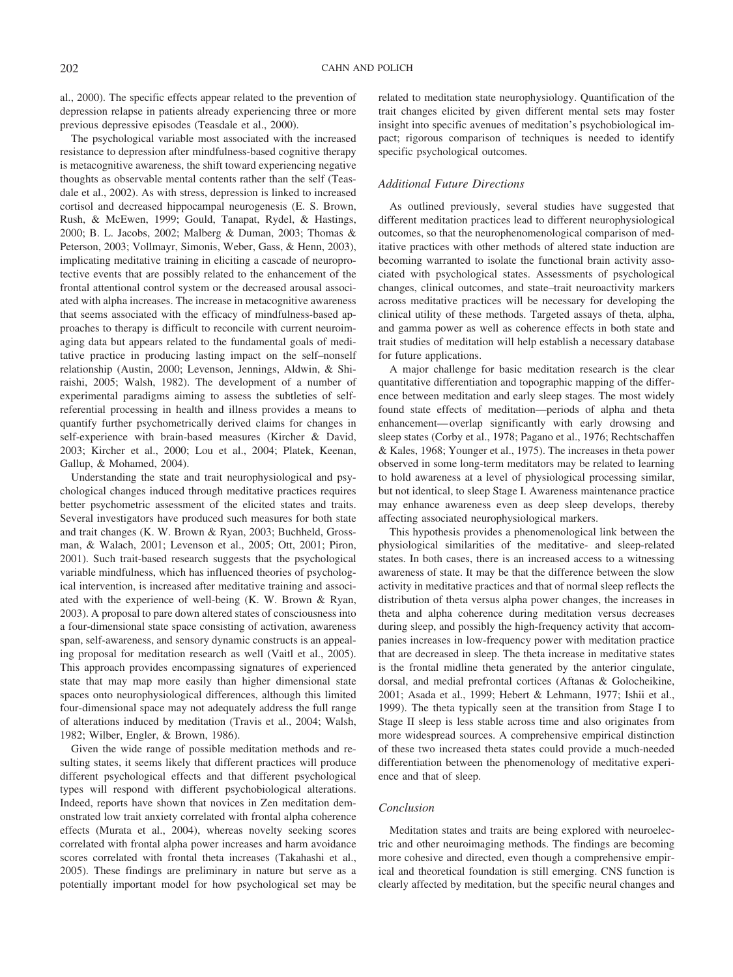al., 2000). The specific effects appear related to the prevention of depression relapse in patients already experiencing three or more previous depressive episodes (Teasdale et al., 2000).

The psychological variable most associated with the increased resistance to depression after mindfulness-based cognitive therapy is metacognitive awareness, the shift toward experiencing negative thoughts as observable mental contents rather than the self (Teasdale et al., 2002). As with stress, depression is linked to increased cortisol and decreased hippocampal neurogenesis (E. S. Brown, Rush, & McEwen, 1999; Gould, Tanapat, Rydel, & Hastings, 2000; B. L. Jacobs, 2002; Malberg & Duman, 2003; Thomas & Peterson, 2003; Vollmayr, Simonis, Weber, Gass, & Henn, 2003), implicating meditative training in eliciting a cascade of neuroprotective events that are possibly related to the enhancement of the frontal attentional control system or the decreased arousal associated with alpha increases. The increase in metacognitive awareness that seems associated with the efficacy of mindfulness-based approaches to therapy is difficult to reconcile with current neuroimaging data but appears related to the fundamental goals of meditative practice in producing lasting impact on the self–nonself relationship (Austin, 2000; Levenson, Jennings, Aldwin, & Shiraishi, 2005; Walsh, 1982). The development of a number of experimental paradigms aiming to assess the subtleties of selfreferential processing in health and illness provides a means to quantify further psychometrically derived claims for changes in self-experience with brain-based measures (Kircher & David, 2003; Kircher et al., 2000; Lou et al., 2004; Platek, Keenan, Gallup, & Mohamed, 2004).

Understanding the state and trait neurophysiological and psychological changes induced through meditative practices requires better psychometric assessment of the elicited states and traits. Several investigators have produced such measures for both state and trait changes (K. W. Brown & Ryan, 2003; Buchheld, Grossman, & Walach, 2001; Levenson et al., 2005; Ott, 2001; Piron, 2001). Such trait-based research suggests that the psychological variable mindfulness, which has influenced theories of psychological intervention, is increased after meditative training and associated with the experience of well-being (K. W. Brown & Ryan, 2003). A proposal to pare down altered states of consciousness into a four-dimensional state space consisting of activation, awareness span, self-awareness, and sensory dynamic constructs is an appealing proposal for meditation research as well (Vaitl et al., 2005). This approach provides encompassing signatures of experienced state that may map more easily than higher dimensional state spaces onto neurophysiological differences, although this limited four-dimensional space may not adequately address the full range of alterations induced by meditation (Travis et al., 2004; Walsh, 1982; Wilber, Engler, & Brown, 1986).

Given the wide range of possible meditation methods and resulting states, it seems likely that different practices will produce different psychological effects and that different psychological types will respond with different psychobiological alterations. Indeed, reports have shown that novices in Zen meditation demonstrated low trait anxiety correlated with frontal alpha coherence effects (Murata et al., 2004), whereas novelty seeking scores correlated with frontal alpha power increases and harm avoidance scores correlated with frontal theta increases (Takahashi et al., 2005). These findings are preliminary in nature but serve as a potentially important model for how psychological set may be related to meditation state neurophysiology. Quantification of the trait changes elicited by given different mental sets may foster insight into specific avenues of meditation's psychobiological impact; rigorous comparison of techniques is needed to identify specific psychological outcomes.

## *Additional Future Directions*

As outlined previously, several studies have suggested that different meditation practices lead to different neurophysiological outcomes, so that the neurophenomenological comparison of meditative practices with other methods of altered state induction are becoming warranted to isolate the functional brain activity associated with psychological states. Assessments of psychological changes, clinical outcomes, and state–trait neuroactivity markers across meditative practices will be necessary for developing the clinical utility of these methods. Targeted assays of theta, alpha, and gamma power as well as coherence effects in both state and trait studies of meditation will help establish a necessary database for future applications.

A major challenge for basic meditation research is the clear quantitative differentiation and topographic mapping of the difference between meditation and early sleep stages. The most widely found state effects of meditation—periods of alpha and theta enhancement— overlap significantly with early drowsing and sleep states (Corby et al., 1978; Pagano et al., 1976; Rechtschaffen & Kales, 1968; Younger et al., 1975). The increases in theta power observed in some long-term meditators may be related to learning to hold awareness at a level of physiological processing similar, but not identical, to sleep Stage I. Awareness maintenance practice may enhance awareness even as deep sleep develops, thereby affecting associated neurophysiological markers.

This hypothesis provides a phenomenological link between the physiological similarities of the meditative- and sleep-related states. In both cases, there is an increased access to a witnessing awareness of state. It may be that the difference between the slow activity in meditative practices and that of normal sleep reflects the distribution of theta versus alpha power changes, the increases in theta and alpha coherence during meditation versus decreases during sleep, and possibly the high-frequency activity that accompanies increases in low-frequency power with meditation practice that are decreased in sleep. The theta increase in meditative states is the frontal midline theta generated by the anterior cingulate, dorsal, and medial prefrontal cortices (Aftanas & Golocheikine, 2001; Asada et al., 1999; Hebert & Lehmann, 1977; Ishii et al., 1999). The theta typically seen at the transition from Stage I to Stage II sleep is less stable across time and also originates from more widespread sources. A comprehensive empirical distinction of these two increased theta states could provide a much-needed differentiation between the phenomenology of meditative experience and that of sleep.

## *Conclusion*

Meditation states and traits are being explored with neuroelectric and other neuroimaging methods. The findings are becoming more cohesive and directed, even though a comprehensive empirical and theoretical foundation is still emerging. CNS function is clearly affected by meditation, but the specific neural changes and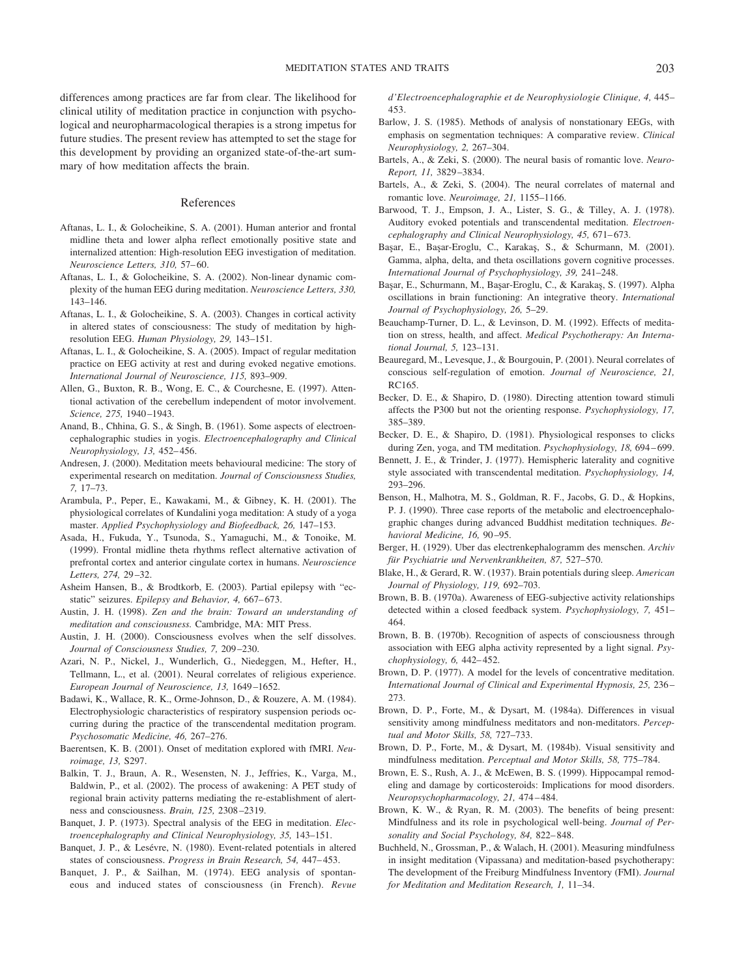differences among practices are far from clear. The likelihood for clinical utility of meditation practice in conjunction with psychological and neuropharmacological therapies is a strong impetus for future studies. The present review has attempted to set the stage for this development by providing an organized state-of-the-art summary of how meditation affects the brain.

#### References

- Aftanas, L. I., & Golocheikine, S. A. (2001). Human anterior and frontal midline theta and lower alpha reflect emotionally positive state and internalized attention: High-resolution EEG investigation of meditation. *Neuroscience Letters, 310,* 57– 60.
- Aftanas, L. I., & Golocheikine, S. A. (2002). Non-linear dynamic complexity of the human EEG during meditation. *Neuroscience Letters, 330,* 143–146.
- Aftanas, L. I., & Golocheikine, S. A. (2003). Changes in cortical activity in altered states of consciousness: The study of meditation by highresolution EEG. *Human Physiology, 29,* 143–151.
- Aftanas, L. I., & Golocheikine, S. A. (2005). Impact of regular meditation practice on EEG activity at rest and during evoked negative emotions. *International Journal of Neuroscience, 115,* 893–909.
- Allen, G., Buxton, R. B., Wong, E. C., & Courchesne, E. (1997). Attentional activation of the cerebellum independent of motor involvement. *Science, 275,* 1940 –1943.
- Anand, B., Chhina, G. S., & Singh, B. (1961). Some aspects of electroencephalographic studies in yogis. *Electroencephalography and Clinical Neurophysiology, 13,* 452– 456.
- Andresen, J. (2000). Meditation meets behavioural medicine: The story of experimental research on meditation. *Journal of Consciousness Studies, 7,* 17–73.
- Arambula, P., Peper, E., Kawakami, M., & Gibney, K. H. (2001). The physiological correlates of Kundalini yoga meditation: A study of a yoga master. *Applied Psychophysiology and Biofeedback, 26,* 147–153.
- Asada, H., Fukuda, Y., Tsunoda, S., Yamaguchi, M., & Tonoike, M. (1999). Frontal midline theta rhythms reflect alternative activation of prefrontal cortex and anterior cingulate cortex in humans. *Neuroscience Letters, 274,* 29 –32.
- Asheim Hansen, B., & Brodtkorb, E. (2003). Partial epilepsy with "ecstatic" seizures. *Epilepsy and Behavior*, 4, 667–673.
- Austin, J. H. (1998). *Zen and the brain: Toward an understanding of meditation and consciousness.* Cambridge, MA: MIT Press.
- Austin, J. H. (2000). Consciousness evolves when the self dissolves. *Journal of Consciousness Studies, 7,* 209 –230.
- Azari, N. P., Nickel, J., Wunderlich, G., Niedeggen, M., Hefter, H., Tellmann, L., et al. (2001). Neural correlates of religious experience. *European Journal of Neuroscience, 13,* 1649 –1652.
- Badawi, K., Wallace, R. K., Orme-Johnson, D., & Rouzere, A. M. (1984). Electrophysiologic characteristics of respiratory suspension periods occurring during the practice of the transcendental meditation program. *Psychosomatic Medicine, 46,* 267–276.
- Baerentsen, K. B. (2001). Onset of meditation explored with fMRI. *Neuroimage, 13,* S297.
- Balkin, T. J., Braun, A. R., Wesensten, N. J., Jeffries, K., Varga, M., Baldwin, P., et al. (2002). The process of awakening: A PET study of regional brain activity patterns mediating the re-establishment of alertness and consciousness. *Brain, 125,* 2308 –2319.
- Banquet, J. P. (1973). Spectral analysis of the EEG in meditation. *Electroencephalography and Clinical Neurophysiology, 35,* 143–151.
- Banquet, J. P., & Lesévre, N. (1980). Event-related potentials in altered states of consciousness. *Progress in Brain Research, 54,* 447– 453.
- Banquet, J. P., & Sailhan, M. (1974). EEG analysis of spontaneous and induced states of consciousness (in French). *Revue*

*d'Electroencephalographie et de Neurophysiologie Clinique, 4,* 445– 453.

- Barlow, J. S. (1985). Methods of analysis of nonstationary EEGs, with emphasis on segmentation techniques: A comparative review. *Clinical Neurophysiology, 2,* 267–304.
- Bartels, A., & Zeki, S. (2000). The neural basis of romantic love. *Neuro-Report, 11,* 3829 –3834.
- Bartels, A., & Zeki, S. (2004). The neural correlates of maternal and romantic love. *Neuroimage, 21,* 1155–1166.
- Barwood, T. J., Empson, J. A., Lister, S. G., & Tilley, A. J. (1978). Auditory evoked potentials and transcendental meditation. *Electroencephalography and Clinical Neurophysiology, 45, 671–673.*
- Başar, E., Başar-Eroglu, C., Karakaş, S., & Schurmann, M. (2001). Gamma, alpha, delta, and theta oscillations govern cognitive processes. *International Journal of Psychophysiology, 39,* 241–248.
- Başar, E., Schurmann, M., Başar-Eroglu, C., & Karakaş, S. (1997). Alpha oscillations in brain functioning: An integrative theory. *International Journal of Psychophysiology, 26,* 5–29.
- Beauchamp-Turner, D. L., & Levinson, D. M. (1992). Effects of meditation on stress, health, and affect. *Medical Psychotherapy: An International Journal, 5,* 123–131.
- Beauregard, M., Levesque, J., & Bourgouin, P. (2001). Neural correlates of conscious self-regulation of emotion. *Journal of Neuroscience, 21,* RC165.
- Becker, D. E., & Shapiro, D. (1980). Directing attention toward stimuli affects the P300 but not the orienting response. *Psychophysiology, 17,* 385–389.
- Becker, D. E., & Shapiro, D. (1981). Physiological responses to clicks during Zen, yoga, and TM meditation. *Psychophysiology, 18,* 694 – 699.
- Bennett, J. E., & Trinder, J. (1977). Hemispheric laterality and cognitive style associated with transcendental meditation. *Psychophysiology, 14,* 293–296.
- Benson, H., Malhotra, M. S., Goldman, R. F., Jacobs, G. D., & Hopkins, P. J. (1990). Three case reports of the metabolic and electroencephalographic changes during advanced Buddhist meditation techniques. *Behavioral Medicine, 16,* 90 –95.
- Berger, H. (1929). Uber das electrenkephalogramm des menschen. *Archiv fu¨r Psychiatrie und Nervenkrankheiten, 87,* 527–570.
- Blake, H., & Gerard, R. W. (1937). Brain potentials during sleep. *American Journal of Physiology, 119,* 692–703.
- Brown, B. B. (1970a). Awareness of EEG-subjective activity relationships detected within a closed feedback system. *Psychophysiology, 7,* 451– 464.
- Brown, B. B. (1970b). Recognition of aspects of consciousness through association with EEG alpha activity represented by a light signal. *Psychophysiology, 6,* 442– 452.
- Brown, D. P. (1977). A model for the levels of concentrative meditation. *International Journal of Clinical and Experimental Hypnosis, 25,* 236 – 273.
- Brown, D. P., Forte, M., & Dysart, M. (1984a). Differences in visual sensitivity among mindfulness meditators and non-meditators. *Perceptual and Motor Skills, 58,* 727–733.
- Brown, D. P., Forte, M., & Dysart, M. (1984b). Visual sensitivity and mindfulness meditation. *Perceptual and Motor Skills, 58,* 775–784.
- Brown, E. S., Rush, A. J., & McEwen, B. S. (1999). Hippocampal remodeling and damage by corticosteroids: Implications for mood disorders. *Neuropsychopharmacology, 21,* 474 – 484.
- Brown, K. W., & Ryan, R. M. (2003). The benefits of being present: Mindfulness and its role in psychological well-being. *Journal of Personality and Social Psychology, 84,* 822– 848.
- Buchheld, N., Grossman, P., & Walach, H. (2001). Measuring mindfulness in insight meditation (Vipassana) and meditation-based psychotherapy: The development of the Freiburg Mindfulness Inventory (FMI). *Journal for Meditation and Meditation Research, 1,* 11–34.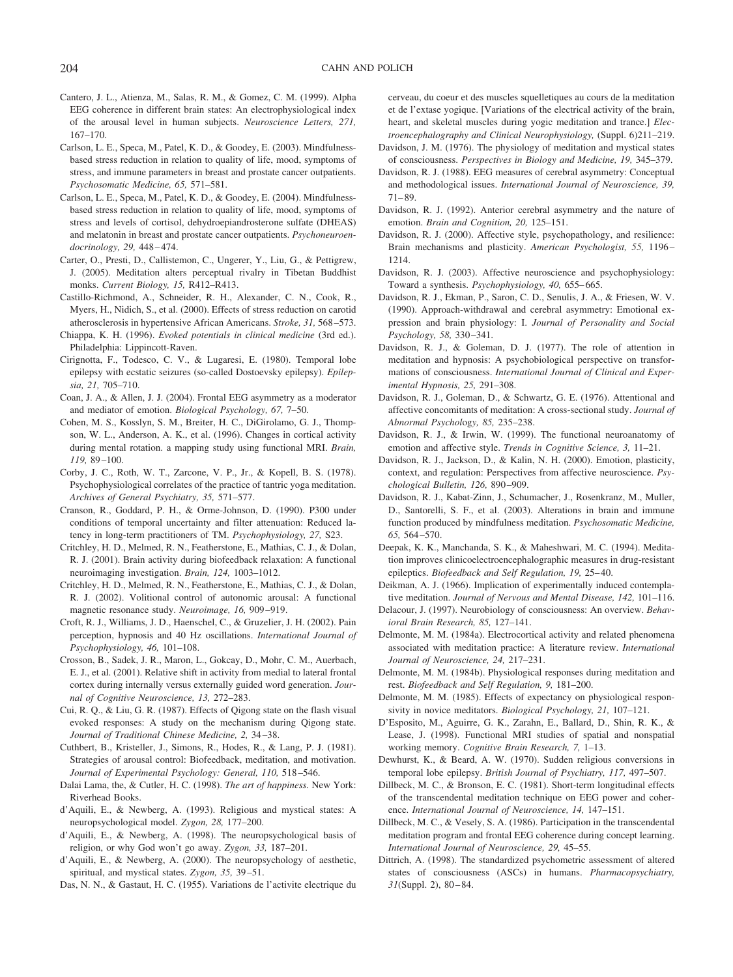- Cantero, J. L., Atienza, M., Salas, R. M., & Gomez, C. M. (1999). Alpha EEG coherence in different brain states: An electrophysiological index of the arousal level in human subjects. *Neuroscience Letters, 271,* 167–170.
- Carlson, L. E., Speca, M., Patel, K. D., & Goodey, E. (2003). Mindfulnessbased stress reduction in relation to quality of life, mood, symptoms of stress, and immune parameters in breast and prostate cancer outpatients. *Psychosomatic Medicine, 65,* 571–581.
- Carlson, L. E., Speca, M., Patel, K. D., & Goodey, E. (2004). Mindfulnessbased stress reduction in relation to quality of life, mood, symptoms of stress and levels of cortisol, dehydroepiandrosterone sulfate (DHEAS) and melatonin in breast and prostate cancer outpatients. *Psychoneuroendocrinology, 29,* 448 – 474.
- Carter, O., Presti, D., Callistemon, C., Ungerer, Y., Liu, G., & Pettigrew, J. (2005). Meditation alters perceptual rivalry in Tibetan Buddhist monks. *Current Biology, 15,* R412–R413.
- Castillo-Richmond, A., Schneider, R. H., Alexander, C. N., Cook, R., Myers, H., Nidich, S., et al. (2000). Effects of stress reduction on carotid atherosclerosis in hypertensive African Americans. *Stroke, 31,* 568 –573.
- Chiappa, K. H. (1996). *Evoked potentials in clinical medicine* (3rd ed.). Philadelphia: Lippincott-Raven.
- Cirignotta, F., Todesco, C. V., & Lugaresi, E. (1980). Temporal lobe epilepsy with ecstatic seizures (so-called Dostoevsky epilepsy). *Epilepsia, 21,* 705–710.
- Coan, J. A., & Allen, J. J. (2004). Frontal EEG asymmetry as a moderator and mediator of emotion. *Biological Psychology, 67,* 7–50.
- Cohen, M. S., Kosslyn, S. M., Breiter, H. C., DiGirolamo, G. J., Thompson, W. L., Anderson, A. K., et al. (1996). Changes in cortical activity during mental rotation. a mapping study using functional MRI. *Brain, 119,* 89 –100.
- Corby, J. C., Roth, W. T., Zarcone, V. P., Jr., & Kopell, B. S. (1978). Psychophysiological correlates of the practice of tantric yoga meditation. *Archives of General Psychiatry, 35,* 571–577.
- Cranson, R., Goddard, P. H., & Orme-Johnson, D. (1990). P300 under conditions of temporal uncertainty and filter attenuation: Reduced latency in long-term practitioners of TM. *Psychophysiology, 27,* S23.
- Critchley, H. D., Melmed, R. N., Featherstone, E., Mathias, C. J., & Dolan, R. J. (2001). Brain activity during biofeedback relaxation: A functional neuroimaging investigation. *Brain, 124,* 1003–1012.
- Critchley, H. D., Melmed, R. N., Featherstone, E., Mathias, C. J., & Dolan, R. J. (2002). Volitional control of autonomic arousal: A functional magnetic resonance study. *Neuroimage, 16,* 909 –919.
- Croft, R. J., Williams, J. D., Haenschel, C., & Gruzelier, J. H. (2002). Pain perception, hypnosis and 40 Hz oscillations. *International Journal of Psychophysiology, 46,* 101–108.
- Crosson, B., Sadek, J. R., Maron, L., Gokcay, D., Mohr, C. M., Auerbach, E. J., et al. (2001). Relative shift in activity from medial to lateral frontal cortex during internally versus externally guided word generation. *Journal of Cognitive Neuroscience, 13,* 272–283.
- Cui, R. Q., & Liu, G. R. (1987). Effects of Qigong state on the flash visual evoked responses: A study on the mechanism during Qigong state. *Journal of Traditional Chinese Medicine, 2,* 34 –38.
- Cuthbert, B., Kristeller, J., Simons, R., Hodes, R., & Lang, P. J. (1981). Strategies of arousal control: Biofeedback, meditation, and motivation. *Journal of Experimental Psychology: General, 110,* 518 –546.
- Dalai Lama, the, & Cutler, H. C. (1998). *The art of happiness.* New York: Riverhead Books.
- d'Aquili, E., & Newberg, A. (1993). Religious and mystical states: A neuropsychological model. *Zygon, 28,* 177–200.
- d'Aquili, E., & Newberg, A. (1998). The neuropsychological basis of religion, or why God won't go away. *Zygon, 33,* 187–201.
- d'Aquili, E., & Newberg, A. (2000). The neuropsychology of aesthetic, spiritual, and mystical states. *Zygon, 35,* 39 –51.

Das, N. N., & Gastaut, H. C. (1955). Variations de l'activite electrique du

cerveau, du coeur et des muscles squelletiques au cours de la meditation et de l'extase yogique. [Variations of the electrical activity of the brain, heart, and skeletal muscles during yogic meditation and trance.] *Electroencephalography and Clinical Neurophysiology,* (Suppl. 6)211–219.

- Davidson, J. M. (1976). The physiology of meditation and mystical states of consciousness. *Perspectives in Biology and Medicine, 19,* 345–379.
- Davidson, R. J. (1988). EEG measures of cerebral asymmetry: Conceptual and methodological issues. *International Journal of Neuroscience, 39,* 71– 89.
- Davidson, R. J. (1992). Anterior cerebral asymmetry and the nature of emotion. *Brain and Cognition, 20,* 125–151.
- Davidson, R. J. (2000). Affective style, psychopathology, and resilience: Brain mechanisms and plasticity. *American Psychologist, 55,* 1196 – 1214.
- Davidson, R. J. (2003). Affective neuroscience and psychophysiology: Toward a synthesis. *Psychophysiology, 40,* 655– 665.
- Davidson, R. J., Ekman, P., Saron, C. D., Senulis, J. A., & Friesen, W. V. (1990). Approach-withdrawal and cerebral asymmetry: Emotional expression and brain physiology: I. *Journal of Personality and Social Psychology, 58,* 330 –341.
- Davidson, R. J., & Goleman, D. J. (1977). The role of attention in meditation and hypnosis: A psychobiological perspective on transformations of consciousness. *International Journal of Clinical and Experimental Hypnosis, 25,* 291–308.
- Davidson, R. J., Goleman, D., & Schwartz, G. E. (1976). Attentional and affective concomitants of meditation: A cross-sectional study. *Journal of Abnormal Psychol*og*y, 85,* 235–238.
- Davidson, R. J., & Irwin, W. (1999). The functional neuroanatomy of emotion and affective style. *Trends in Cognitive Science, 3,* 11–21.
- Davidson, R. J., Jackson, D., & Kalin, N. H. (2000). Emotion, plasticity, context, and regulation: Perspectives from affective neuroscience. *Psychological Bulletin, 126,* 890 –909.
- Davidson, R. J., Kabat-Zinn, J., Schumacher, J., Rosenkranz, M., Muller, D., Santorelli, S. F., et al. (2003). Alterations in brain and immune function produced by mindfulness meditation. *Psychosomatic Medicine, 65,* 564 –570.
- Deepak, K. K., Manchanda, S. K., & Maheshwari, M. C. (1994). Meditation improves clinicoelectroencephalographic measures in drug-resistant epileptics. *Biofeedback and Self Regulation, 19, 25*-40.
- Deikman, A. J. (1966). Implication of experimentally induced contemplative meditation. *Journal of Nervous and Mental Disease, 142,* 101–116.
- Delacour, J. (1997). Neurobiology of consciousness: An overview. *Behavioral Brain Research, 85,* 127–141.
- Delmonte, M. M. (1984a). Electrocortical activity and related phenomena associated with meditation practice: A literature review. *International Journal of Neuroscience, 24,* 217–231.
- Delmonte, M. M. (1984b). Physiological responses during meditation and rest. *Biofeedback and Self Regulation, 9,* 181–200.
- Delmonte, M. M. (1985). Effects of expectancy on physiological responsivity in novice meditators. *Biological Psychology, 21,* 107–121.
- D'Esposito, M., Aguirre, G. K., Zarahn, E., Ballard, D., Shin, R. K., & Lease, J. (1998). Functional MRI studies of spatial and nonspatial working memory. *Cognitive Brain Research, 7,* 1–13.
- Dewhurst, K., & Beard, A. W. (1970). Sudden religious conversions in temporal lobe epilepsy. *British Journal of Psychiatry, 117,* 497–507.
- Dillbeck, M. C., & Bronson, E. C. (1981). Short-term longitudinal effects of the transcendental meditation technique on EEG power and coherence. *International Journal of Neuroscience, 14,* 147–151.
- Dillbeck, M. C., & Vesely, S. A. (1986). Participation in the transcendental meditation program and frontal EEG coherence during concept learning. *International Journal of Neuroscience, 29,* 45–55.
- Dittrich, A. (1998). The standardized psychometric assessment of altered states of consciousness (ASCs) in humans. *Pharmacopsychiatry,* 31(Suppl. 2), 80-84.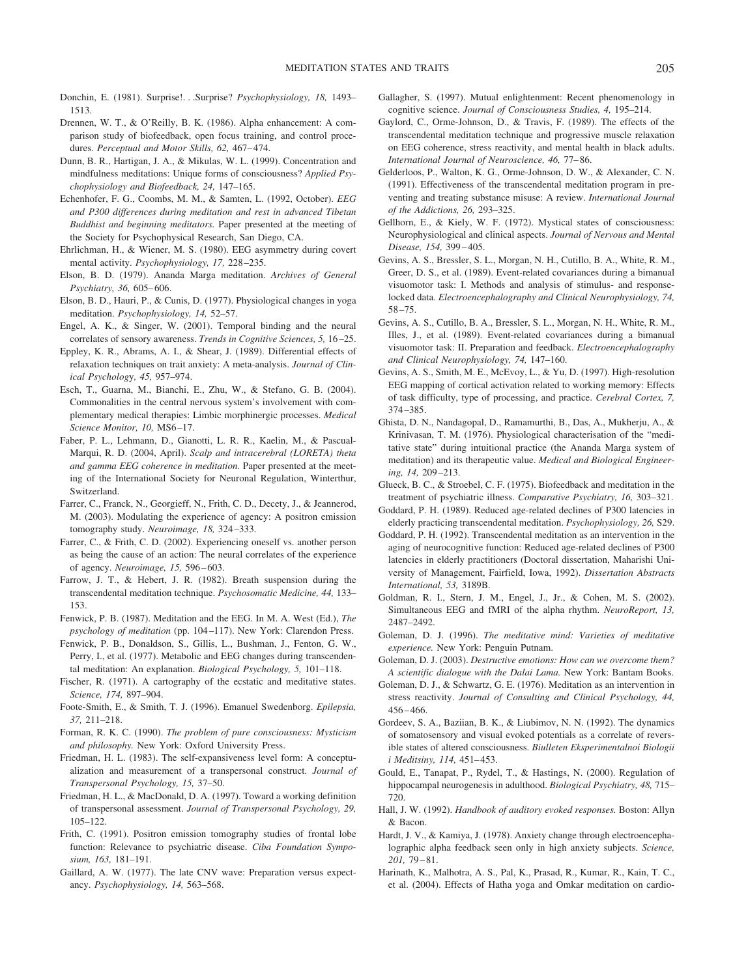- Donchin, E. (1981). Surprise!. . .Surprise? *Psychophysiology, 18,* 1493– 1513.
- Drennen, W. T., & O'Reilly, B. K. (1986). Alpha enhancement: A comparison study of biofeedback, open focus training, and control procedures. Perceptual and Motor Skills, 62, 467-474.
- Dunn, B. R., Hartigan, J. A., & Mikulas, W. L. (1999). Concentration and mindfulness meditations: Unique forms of consciousness? *Applied Psychophysiology and Biofeedback, 24,* 147–165.
- Echenhofer, F. G., Coombs, M. M., & Samten, L. (1992, October). *EEG and P300 differences during meditation and rest in advanced Tibetan Buddhist and beginning meditators.* Paper presented at the meeting of the Society for Psychophysical Research, San Diego, CA.
- Ehrlichman, H., & Wiener, M. S. (1980). EEG asymmetry during covert mental activity. *Psychophysiology, 17,* 228 –235.
- Elson, B. D. (1979). Ananda Marga meditation. *Archives of General Psychiatry, 36,* 605– 606.
- Elson, B. D., Hauri, P., & Cunis, D. (1977). Physiological changes in yoga meditation. *Psychophysiology, 14,* 52–57.
- Engel, A. K., & Singer, W. (2001). Temporal binding and the neural correlates of sensory awareness. *Trends in Cognitive Sciences, 5,* 16 –25.
- Eppley, K. R., Abrams, A. I., & Shear, J. (1989). Differential effects of relaxation techniques on trait anxiety: A meta-analysis. *Journal of Clinical Psycholog*y*, 45,* 957–974.
- Esch, T., Guarna, M., Bianchi, E., Zhu, W., & Stefano, G. B. (2004). Commonalities in the central nervous system's involvement with complementary medical therapies: Limbic morphinergic processes. *Medical Science Monitor, 10, MS6-17.*
- Faber, P. L., Lehmann, D., Gianotti, L. R. R., Kaelin, M., & Pascual-Marqui, R. D. (2004, April). *Scalp and intracerebral (LORETA) theta and gamma EEG coherence in meditation.* Paper presented at the meeting of the International Society for Neuronal Regulation, Winterthur, Switzerland.
- Farrer, C., Franck, N., Georgieff, N., Frith, C. D., Decety, J., & Jeannerod, M. (2003). Modulating the experience of agency: A positron emission tomography study. *Neuroimage, 18,* 324 –333.
- Farrer, C., & Frith, C. D. (2002). Experiencing oneself vs. another person as being the cause of an action: The neural correlates of the experience of agency. *Neuroimage, 15,* 596 – 603.
- Farrow, J. T., & Hebert, J. R. (1982). Breath suspension during the transcendental meditation technique. *Psychosomatic Medicine, 44,* 133– 153.
- Fenwick, P. B. (1987). Meditation and the EEG. In M. A. West (Ed.), *The psychology of meditation* (pp. 104 –117). New York: Clarendon Press.
- Fenwick, P. B., Donaldson, S., Gillis, L., Bushman, J., Fenton, G. W., Perry, I., et al. (1977). Metabolic and EEG changes during transcendental meditation: An explanation. *Biological Psychology, 5,* 101–118.
- Fischer, R. (1971). A cartography of the ecstatic and meditative states. *Science, 174,* 897–904.
- Foote-Smith, E., & Smith, T. J. (1996). Emanuel Swedenborg. *Epilepsia, 37,* 211–218.
- Forman, R. K. C. (1990). *The problem of pure consciousness: Mysticism and philosophy.* New York: Oxford University Press.
- Friedman, H. L. (1983). The self-expansiveness level form: A conceptualization and measurement of a transpersonal construct. *Journal of Transpersonal Psychology, 15,* 37–50.
- Friedman, H. L., & MacDonald, D. A. (1997). Toward a working definition of transpersonal assessment. *Journal of Transpersonal Psychology, 29,* 105–122.
- Frith, C. (1991). Positron emission tomography studies of frontal lobe function: Relevance to psychiatric disease. *Ciba Foundation Symposium, 163,* 181–191.
- Gaillard, A. W. (1977). The late CNV wave: Preparation versus expectancy. *Psychophysiology, 14,* 563–568.
- Gallagher, S. (1997). Mutual enlightenment: Recent phenomenology in cognitive science. *Journal of Consciousness Studies, 4,* 195–214.
- Gaylord, C., Orme-Johnson, D., & Travis, F. (1989). The effects of the transcendental meditation technique and progressive muscle relaxation on EEG coherence, stress reactivity, and mental health in black adults. *International Journal of Neuroscience, 46,* 77– 86.
- Gelderloos, P., Walton, K. G., Orme-Johnson, D. W., & Alexander, C. N. (1991). Effectiveness of the transcendental meditation program in preventing and treating substance misuse: A review. *International Journal of the Addictions, 26,* 293–325.
- Gellhorn, E., & Kiely, W. F. (1972). Mystical states of consciousness: Neurophysiological and clinical aspects. *Journal of Nervous and Mental Disease, 154,* 399 – 405.
- Gevins, A. S., Bressler, S. L., Morgan, N. H., Cutillo, B. A., White, R. M., Greer, D. S., et al. (1989). Event-related covariances during a bimanual visuomotor task: I. Methods and analysis of stimulus- and responselocked data. *Electroencephalography and Clinical Neurophysiology, 74,* 58 –75.
- Gevins, A. S., Cutillo, B. A., Bressler, S. L., Morgan, N. H., White, R. M., Illes, J., et al. (1989). Event-related covariances during a bimanual visuomotor task: II. Preparation and feedback. *Electroencephalography and Clinical Neurophysiology, 74,* 147–160.
- Gevins, A. S., Smith, M. E., McEvoy, L., & Yu, D. (1997). High-resolution EEG mapping of cortical activation related to working memory: Effects of task difficulty, type of processing, and practice. *Cerebral Cortex, 7,* 374 –385.
- Ghista, D. N., Nandagopal, D., Ramamurthi, B., Das, A., Mukherju, A., & Krinivasan, T. M. (1976). Physiological characterisation of the "meditative state" during intuitional practice (the Ananda Marga system of meditation) and its therapeutic value. *Medical and Biological Engineering, 14,* 209 –213.
- Glueck, B. C., & Stroebel, C. F. (1975). Biofeedback and meditation in the treatment of psychiatric illness. *Comparative Psychiatry, 16,* 303–321.
- Goddard, P. H. (1989). Reduced age-related declines of P300 latencies in elderly practicing transcendental meditation. *Psychophysiology, 26,* S29.
- Goddard, P. H. (1992). Transcendental meditation as an intervention in the aging of neurocognitive function: Reduced age-related declines of P300 latencies in elderly practitioners (Doctoral dissertation, Maharishi University of Management, Fairfield, Iowa, 1992). *Dissertation Abstracts International, 53,* 3189B.
- Goldman, R. I., Stern, J. M., Engel, J., Jr., & Cohen, M. S. (2002). Simultaneous EEG and fMRI of the alpha rhythm. *NeuroReport, 13,* 2487–2492.
- Goleman, D. J. (1996). *The meditative mind: Varieties of meditative experience.* New York: Penguin Putnam.
- Goleman, D. J. (2003). *Destructive emotions: How can we overcome them? A scientific dialogue with the Dalai Lama.* New York: Bantam Books.
- Goleman, D. J., & Schwartz, G. E. (1976). Meditation as an intervention in stress reactivity. *Journal of Consulting and Clinical Psychology, 44,* 456 – 466.
- Gordeev, S. A., Baziian, B. K., & Liubimov, N. N. (1992). The dynamics of somatosensory and visual evoked potentials as a correlate of reversible states of altered consciousness. *Biulleten Eksperimentalnoi Biologii i Meditsiny, 114,* 451– 453.
- Gould, E., Tanapat, P., Rydel, T., & Hastings, N. (2000). Regulation of hippocampal neurogenesis in adulthood. *Biological Psychiatry, 48,* 715– 720.
- Hall, J. W. (1992). *Handbook of auditory evoked responses.* Boston: Allyn & Bacon.
- Hardt, J. V., & Kamiya, J. (1978). Anxiety change through electroencephalographic alpha feedback seen only in high anxiety subjects. *Science, 201,* 79 – 81.
- Harinath, K., Malhotra, A. S., Pal, K., Prasad, R., Kumar, R., Kain, T. C., et al. (2004). Effects of Hatha yoga and Omkar meditation on cardio-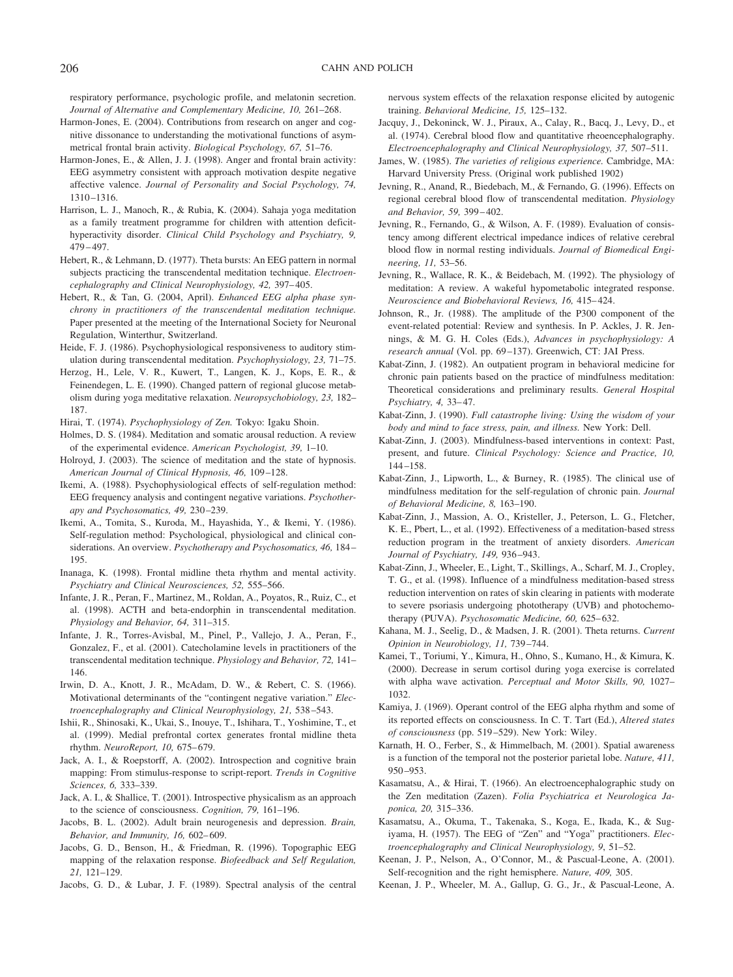respiratory performance, psychologic profile, and melatonin secretion. *Journal of Alternative and Complementary Medicine, 10,* 261–268.

- Harmon-Jones, E. (2004). Contributions from research on anger and cognitive dissonance to understanding the motivational functions of asymmetrical frontal brain activity. *Biological Psychology, 67,* 51–76.
- Harmon-Jones, E., & Allen, J. J. (1998). Anger and frontal brain activity: EEG asymmetry consistent with approach motivation despite negative affective valence. *Journal of Personality and Social Psychology, 74,* 1310 –1316.
- Harrison, L. J., Manoch, R., & Rubia, K. (2004). Sahaja yoga meditation as a family treatment programme for children with attention deficithyperactivity disorder. *Clinical Child Psychology and Psychiatry, 9,* 479 – 497.
- Hebert, R., & Lehmann, D. (1977). Theta bursts: An EEG pattern in normal subjects practicing the transcendental meditation technique. *Electroencephalography and Clinical Neurophysiology, 42,* 397– 405.
- Hebert, R., & Tan, G. (2004, April). *Enhanced EEG alpha phase synchrony in practitioners of the transcendental meditation technique.* Paper presented at the meeting of the International Society for Neuronal Regulation, Winterthur, Switzerland.
- Heide, F. J. (1986). Psychophysiological responsiveness to auditory stimulation during transcendental meditation. *Psychophysiology, 23,* 71–75.
- Herzog, H., Lele, V. R., Kuwert, T., Langen, K. J., Kops, E. R., & Feinendegen, L. E. (1990). Changed pattern of regional glucose metabolism during yoga meditative relaxation. *Neuropsychobiology, 23,* 182– 187.
- Hirai, T. (1974). *Psychophysiology of Zen.* Tokyo: Igaku Shoin.
- Holmes, D. S. (1984). Meditation and somatic arousal reduction. A review of the experimental evidence. *American Psychologist, 39,* 1–10.
- Holroyd, J. (2003). The science of meditation and the state of hypnosis. *American Journal of Clinical Hypnosis, 46,* 109 –128.
- Ikemi, A. (1988). Psychophysiological effects of self-regulation method: EEG frequency analysis and contingent negative variations. *Psychotherapy and Psychosomatics, 49,* 230 –239.
- Ikemi, A., Tomita, S., Kuroda, M., Hayashida, Y., & Ikemi, Y. (1986). Self-regulation method: Psychological, physiological and clinical considerations. An overview. *Psychotherapy and Psychosomatics, 46,* 184 – 195.
- Inanaga, K. (1998). Frontal midline theta rhythm and mental activity. *Psychiatry and Clinical Neurosciences, 52,* 555–566.
- Infante, J. R., Peran, F., Martinez, M., Roldan, A., Poyatos, R., Ruiz, C., et al. (1998). ACTH and beta-endorphin in transcendental meditation. *Physiology and Behavior, 64,* 311–315.
- Infante, J. R., Torres-Avisbal, M., Pinel, P., Vallejo, J. A., Peran, F., Gonzalez, F., et al. (2001). Catecholamine levels in practitioners of the transcendental meditation technique. *Physiology and Behavior, 72,* 141– 146.
- Irwin, D. A., Knott, J. R., McAdam, D. W., & Rebert, C. S. (1966). Motivational determinants of the "contingent negative variation." *Electroencephalography and Clinical Neurophysiology, 21,* 538 –543.
- Ishii, R., Shinosaki, K., Ukai, S., Inouye, T., Ishihara, T., Yoshimine, T., et al. (1999). Medial prefrontal cortex generates frontal midline theta rhythm. *NeuroReport, 10,* 675– 679.
- Jack, A. I., & Roepstorff, A. (2002). Introspection and cognitive brain mapping: From stimulus-response to script-report. *Trends in Cognitive Sciences, 6,* 333–339.
- Jack, A. I., & Shallice, T. (2001). Introspective physicalism as an approach to the science of consciousness. *Cognition, 79,* 161–196.
- Jacobs, B. L. (2002). Adult brain neurogenesis and depression. *Brain, Behavior, and Immunity, 16,* 602– 609.
- Jacobs, G. D., Benson, H., & Friedman, R. (1996). Topographic EEG mapping of the relaxation response. *Biofeedback and Self Regulation, 21,* 121–129.
- Jacobs, G. D., & Lubar, J. F. (1989). Spectral analysis of the central

nervous system effects of the relaxation response elicited by autogenic training. *Behavioral Medicine, 15,* 125–132.

- Jacquy, J., Dekoninck, W. J., Piraux, A., Calay, R., Bacq, J., Levy, D., et al. (1974). Cerebral blood flow and quantitative rheoencephalography. *Electroencephalography and Clinical Neurophysiology, 37,* 507–511.
- James, W. (1985). *The varieties of religious experience.* Cambridge, MA: Harvard University Press. (Original work published 1902)
- Jevning, R., Anand, R., Biedebach, M., & Fernando, G. (1996). Effects on regional cerebral blood flow of transcendental meditation. *Physiology and Behavior, 59,* 399 – 402.
- Jevning, R., Fernando, G., & Wilson, A. F. (1989). Evaluation of consistency among different electrical impedance indices of relative cerebral blood flow in normal resting individuals. *Journal of Biomedical Engineering, 11,* 53–56.
- Jevning, R., Wallace, R. K., & Beidebach, M. (1992). The physiology of meditation: A review. A wakeful hypometabolic integrated response. *Neuroscience and Biobehavioral Reviews, 16,* 415– 424.
- Johnson, R., Jr. (1988). The amplitude of the P300 component of the event-related potential: Review and synthesis. In P. Ackles, J. R. Jennings, & M. G. H. Coles (Eds.), *Advances in psychophysiology: A research annual* (Vol. pp. 69 –137). Greenwich, CT: JAI Press.
- Kabat-Zinn, J. (1982). An outpatient program in behavioral medicine for chronic pain patients based on the practice of mindfulness meditation: Theoretical considerations and preliminary results. *General Hospital Psychiatry, 4,* 33– 47.
- Kabat-Zinn, J. (1990). *Full catastrophe living: Using the wisdom of your body and mind to face stress, pain, and illness.* New York: Dell.
- Kabat-Zinn, J. (2003). Mindfulness-based interventions in context: Past, present, and future. *Clinical Psychology: Science and Practice, 10,* 144 –158.
- Kabat-Zinn, J., Lipworth, L., & Burney, R. (1985). The clinical use of mindfulness meditation for the self-regulation of chronic pain. *Journal of Behavioral Medicine, 8,* 163–190.
- Kabat-Zinn, J., Massion, A. O., Kristeller, J., Peterson, L. G., Fletcher, K. E., Pbert, L., et al. (1992). Effectiveness of a meditation-based stress reduction program in the treatment of anxiety disorders. *American Journal of Psychiatry, 149,* 936 –943.
- Kabat-Zinn, J., Wheeler, E., Light, T., Skillings, A., Scharf, M. J., Cropley, T. G., et al. (1998). Influence of a mindfulness meditation-based stress reduction intervention on rates of skin clearing in patients with moderate to severe psoriasis undergoing phototherapy (UVB) and photochemotherapy (PUVA). Psychosomatic Medicine, 60, 625-632.
- Kahana, M. J., Seelig, D., & Madsen, J. R. (2001). Theta returns. *Current Opinion in Neurobiology, 11,* 739 –744.
- Kamei, T., Toriumi, Y., Kimura, H., Ohno, S., Kumano, H., & Kimura, K. (2000). Decrease in serum cortisol during yoga exercise is correlated with alpha wave activation. *Perceptual and Motor Skills, 90,* 1027– 1032.
- Kamiya, J. (1969). Operant control of the EEG alpha rhythm and some of its reported effects on consciousness. In C. T. Tart (Ed.), *Altered states of consciousness* (pp. 519 –529). New York: Wiley.
- Karnath, H. O., Ferber, S., & Himmelbach, M. (2001). Spatial awareness is a function of the temporal not the posterior parietal lobe. *Nature, 411,* 950 –953.
- Kasamatsu, A., & Hirai, T. (1966). An electroencephalographic study on the Zen meditation (Zazen). *Folia Psychiatrica et Neurologica Japonica, 20,* 315–336.
- Kasamatsu, A., Okuma, T., Takenaka, S., Koga, E., Ikada, K., & Sugiyama, H. (1957). The EEG of "Zen" and "Yoga" practitioners. *Electroencephalography and Clinical Neurophysiology, 9*, 51–52.
- Keenan, J. P., Nelson, A., O'Connor, M., & Pascual-Leone, A. (2001). Self-recognition and the right hemisphere. *Nature, 409,* 305.
- Keenan, J. P., Wheeler, M. A., Gallup, G. G., Jr., & Pascual-Leone, A.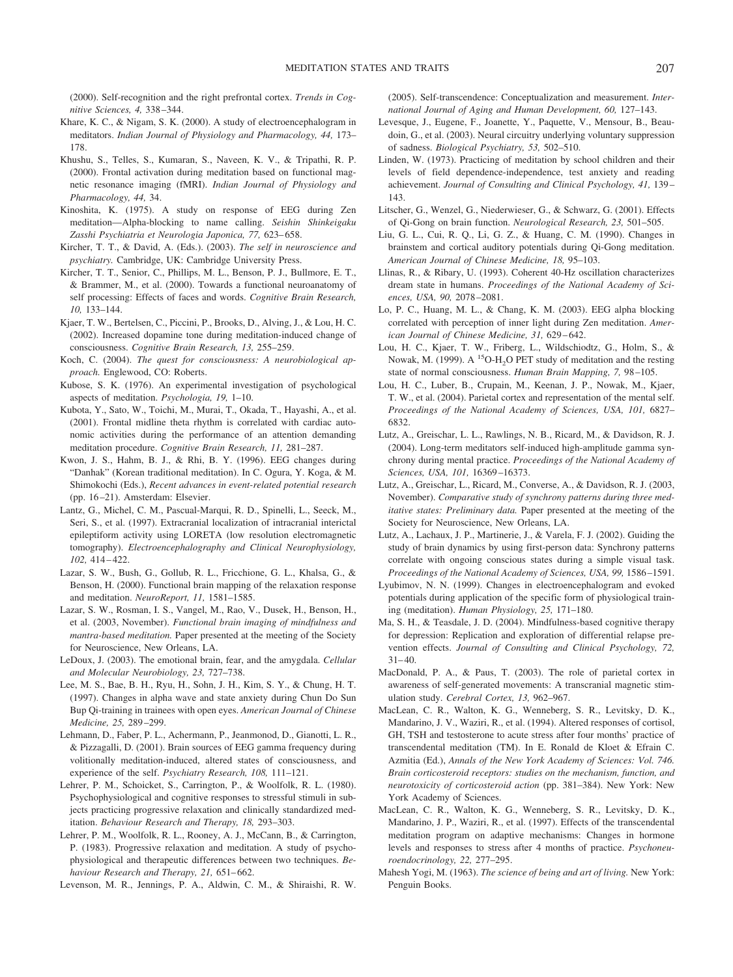(2000). Self-recognition and the right prefrontal cortex. *Trends in Cognitive Sciences, 4,* 338 –344.

- Khare, K. C., & Nigam, S. K. (2000). A study of electroencephalogram in meditators. *Indian Journal of Physiology and Pharmacology, 44,* 173– 178.
- Khushu, S., Telles, S., Kumaran, S., Naveen, K. V., & Tripathi, R. P. (2000). Frontal activation during meditation based on functional magnetic resonance imaging (fMRI). *Indian Journal of Physiology and Pharmacology, 44,* 34.
- Kinoshita, K. (1975). A study on response of EEG during Zen meditation—Alpha-blocking to name calling. *Seishin Shinkeigaku Zasshi Psychiatria et Neurologia Japonica, 77,* 623– 658.
- Kircher, T. T., & David, A. (Eds.). (2003). *The self in neuroscience and psychiatry.* Cambridge, UK: Cambridge University Press.
- Kircher, T. T., Senior, C., Phillips, M. L., Benson, P. J., Bullmore, E. T., & Brammer, M., et al. (2000). Towards a functional neuroanatomy of self processing: Effects of faces and words. *Cognitive Brain Research, 10,* 133–144.
- Kjaer, T. W., Bertelsen, C., Piccini, P., Brooks, D., Alving, J., & Lou, H. C. (2002). Increased dopamine tone during meditation-induced change of consciousness. *Cognitive Brain Research, 13,* 255–259.
- Koch, C. (2004). *The quest for consciousness: A neurobiological approach.* Englewood, CO: Roberts.
- Kubose, S. K. (1976). An experimental investigation of psychological aspects of meditation. *Psychologia, 19,* 1–10.
- Kubota, Y., Sato, W., Toichi, M., Murai, T., Okada, T., Hayashi, A., et al. (2001). Frontal midline theta rhythm is correlated with cardiac autonomic activities during the performance of an attention demanding meditation procedure. *Cognitive Brain Research, 11,* 281–287.
- Kwon, J. S., Hahm, B. J., & Rhi, B. Y. (1996). EEG changes during "Danhak" (Korean traditional meditation). In C. Ogura, Y. Koga, & M. Shimokochi (Eds.), *Recent advances in event-related potential research* (pp. 16 –21). Amsterdam: Elsevier.
- Lantz, G., Michel, C. M., Pascual-Marqui, R. D., Spinelli, L., Seeck, M., Seri, S., et al. (1997). Extracranial localization of intracranial interictal epileptiform activity using LORETA (low resolution electromagnetic tomography). *Electroencephalography and Clinical Neurophysiology, 102,* 414 – 422.
- Lazar, S. W., Bush, G., Gollub, R. L., Fricchione, G. L., Khalsa, G., & Benson, H. (2000). Functional brain mapping of the relaxation response and meditation. *NeuroReport, 11,* 1581–1585.
- Lazar, S. W., Rosman, I. S., Vangel, M., Rao, V., Dusek, H., Benson, H., et al. (2003, November). *Functional brain imaging of mindfulness and mantra-based meditation.* Paper presented at the meeting of the Society for Neuroscience, New Orleans, LA.
- LeDoux, J. (2003). The emotional brain, fear, and the amygdala. *Cellular and Molecular Neurobiology, 23,* 727–738.
- Lee, M. S., Bae, B. H., Ryu, H., Sohn, J. H., Kim, S. Y., & Chung, H. T. (1997). Changes in alpha wave and state anxiety during Chun Do Sun Bup Qi-training in trainees with open eyes. *American Journal of Chinese Medicine, 25,* 289 –299.
- Lehmann, D., Faber, P. L., Achermann, P., Jeanmonod, D., Gianotti, L. R., & Pizzagalli, D. (2001). Brain sources of EEG gamma frequency during volitionally meditation-induced, altered states of consciousness, and experience of the self. *Psychiatry Research, 108,* 111–121.
- Lehrer, P. M., Schoicket, S., Carrington, P., & Woolfolk, R. L. (1980). Psychophysiological and cognitive responses to stressful stimuli in subjects practicing progressive relaxation and clinically standardized meditation. *Behaviour Research and Therapy, 18,* 293–303.
- Lehrer, P. M., Woolfolk, R. L., Rooney, A. J., McCann, B., & Carrington, P. (1983). Progressive relaxation and meditation. A study of psychophysiological and therapeutic differences between two techniques. *Be*haviour Research and Therapy, 21, 651-662.
- Levenson, M. R., Jennings, P. A., Aldwin, C. M., & Shiraishi, R. W.

(2005). Self-transcendence: Conceptualization and measurement. *International Journal of Aging and Human Development, 60,* 127–143.

- Levesque, J., Eugene, F., Joanette, Y., Paquette, V., Mensour, B., Beaudoin, G., et al. (2003). Neural circuitry underlying voluntary suppression of sadness. *Biological Psychiatry, 53,* 502–510.
- Linden, W. (1973). Practicing of meditation by school children and their levels of field dependence-independence, test anxiety and reading achievement. *Journal of Consulting and Clinical Psychology, 41,* 139 – 143.
- Litscher, G., Wenzel, G., Niederwieser, G., & Schwarz, G. (2001). Effects of Qi-Gong on brain function. *Neurological Research, 23,* 501–505.
- Liu, G. L., Cui, R. Q., Li, G. Z., & Huang, C. M. (1990). Changes in brainstem and cortical auditory potentials during Qi-Gong meditation. *American Journal of Chinese Medicine, 18,* 95–103.
- Llinas, R., & Ribary, U. (1993). Coherent 40-Hz oscillation characterizes dream state in humans. *Proceedings of the National Academy of Sciences, USA, 90,* 2078 –2081.
- Lo, P. C., Huang, M. L., & Chang, K. M. (2003). EEG alpha blocking correlated with perception of inner light during Zen meditation. *American Journal of Chinese Medicine, 31,* 629 – 642.
- Lou, H. C., Kjaer, T. W., Friberg, L., Wildschiodtz, G., Holm, S., & Nowak, M. (1999). A  $^{15}O-H_2O$  PET study of meditation and the resting state of normal consciousness. *Human Brain Mapping, 7,* 98 –105.
- Lou, H. C., Luber, B., Crupain, M., Keenan, J. P., Nowak, M., Kjaer, T. W., et al. (2004). Parietal cortex and representation of the mental self. *Proceedings of the National Academy of Sciences, USA, 101,* 6827– 6832.
- Lutz, A., Greischar, L. L., Rawlings, N. B., Ricard, M., & Davidson, R. J. (2004). Long-term meditators self-induced high-amplitude gamma synchrony during mental practice. *Proceedings of the National Academy of Sciences, USA, 101,* 16369 –16373.
- Lutz, A., Greischar, L., Ricard, M., Converse, A., & Davidson, R. J. (2003, November). *Comparative study of synchrony patterns during three meditative states: Preliminary data.* Paper presented at the meeting of the Society for Neuroscience, New Orleans, LA.
- Lutz, A., Lachaux, J. P., Martinerie, J., & Varela, F. J. (2002). Guiding the study of brain dynamics by using first-person data: Synchrony patterns correlate with ongoing conscious states during a simple visual task. *Proceedings of the National Academy of Sciences, USA, 99,* 1586 –1591.
- Lyubimov, N. N. (1999). Changes in electroencephalogram and evoked potentials during application of the specific form of physiological training (meditation). *Human Physiology, 25,* 171–180.
- Ma, S. H., & Teasdale, J. D. (2004). Mindfulness-based cognitive therapy for depression: Replication and exploration of differential relapse prevention effects. *Journal of Consulting and Clinical Psychology, 72,*  $31 - 40.$
- MacDonald, P. A., & Paus, T. (2003). The role of parietal cortex in awareness of self-generated movements: A transcranial magnetic stimulation study. *Cerebral Cortex, 13,* 962–967.
- MacLean, C. R., Walton, K. G., Wenneberg, S. R., Levitsky, D. K., Mandarino, J. V., Waziri, R., et al. (1994). Altered responses of cortisol, GH, TSH and testosterone to acute stress after four months' practice of transcendental meditation (TM). In E. Ronald de Kloet & Efrain C. Azmitia (Ed.), *Annals of the New York Academy of Sciences: Vol. 746. Brain corticosteroid receptors: studies on the mechanism, function, and neurotoxicity of corticosteroid action* (pp. 381–384). New York: New York Academy of Sciences.
- MacLean, C. R., Walton, K. G., Wenneberg, S. R., Levitsky, D. K., Mandarino, J. P., Waziri, R., et al. (1997). Effects of the transcendental meditation program on adaptive mechanisms: Changes in hormone levels and responses to stress after 4 months of practice. *Psychoneuroendocrinology, 22,* 277–295.
- Mahesh Yogi, M. (1963). *The science of being and art of living.* New York: Penguin Books.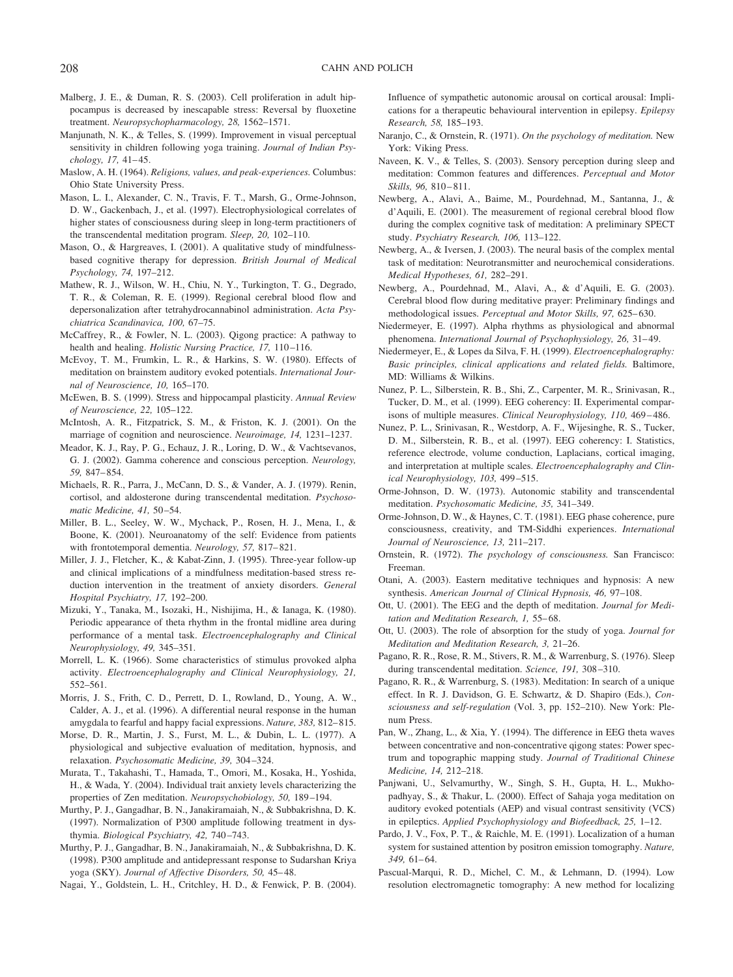Malberg, J. E., & Duman, R. S. (2003). Cell proliferation in adult hippocampus is decreased by inescapable stress: Reversal by fluoxetine treatment. *Neuropsychopharmacology, 28,* 1562–1571.

- Manjunath, N. K., & Telles, S. (1999). Improvement in visual perceptual sensitivity in children following yoga training. *Journal of Indian Psychology, 17,* 41– 45.
- Maslow, A. H. (1964). *Religions, values, and peak-experiences.* Columbus: Ohio State University Press.
- Mason, L. I., Alexander, C. N., Travis, F. T., Marsh, G., Orme-Johnson, D. W., Gackenbach, J., et al. (1997). Electrophysiological correlates of higher states of consciousness during sleep in long-term practitioners of the transcendental meditation program. *Sleep, 20,* 102–110.
- Mason, O., & Hargreaves, I. (2001). A qualitative study of mindfulnessbased cognitive therapy for depression. *British Journal of Medical Psychology, 74,* 197–212.
- Mathew, R. J., Wilson, W. H., Chiu, N. Y., Turkington, T. G., Degrado, T. R., & Coleman, R. E. (1999). Regional cerebral blood flow and depersonalization after tetrahydrocannabinol administration. *Acta Psychiatrica Scandinavica, 100,* 67–75.
- McCaffrey, R., & Fowler, N. L. (2003). Qigong practice: A pathway to health and healing. *Holistic Nursing Practice*, 17, 110-116.
- McEvoy, T. M., Frumkin, L. R., & Harkins, S. W. (1980). Effects of meditation on brainstem auditory evoked potentials. *International Journal of Neuroscience, 10,* 165–170.
- McEwen, B. S. (1999). Stress and hippocampal plasticity. *Annual Review of Neuroscience, 22,* 105–122.
- McIntosh, A. R., Fitzpatrick, S. M., & Friston, K. J. (2001). On the marriage of cognition and neuroscience. *Neuroimage, 14,* 1231–1237.
- Meador, K. J., Ray, P. G., Echauz, J. R., Loring, D. W., & Vachtsevanos, G. J. (2002). Gamma coherence and conscious perception. *Neurology, 59,* 847– 854.
- Michaels, R. R., Parra, J., McCann, D. S., & Vander, A. J. (1979). Renin, cortisol, and aldosterone during transcendental meditation. *Psychosomatic Medicine, 41,* 50 –54.
- Miller, B. L., Seeley, W. W., Mychack, P., Rosen, H. J., Mena, I., & Boone, K. (2001). Neuroanatomy of the self: Evidence from patients with frontotemporal dementia. *Neurology*, 57, 817–821.
- Miller, J. J., Fletcher, K., & Kabat-Zinn, J. (1995). Three-year follow-up and clinical implications of a mindfulness meditation-based stress reduction intervention in the treatment of anxiety disorders. *General Hospital Psychiatry, 17,* 192–200.
- Mizuki, Y., Tanaka, M., Isozaki, H., Nishijima, H., & Ianaga, K. (1980). Periodic appearance of theta rhythm in the frontal midline area during performance of a mental task. *Electroencephalography and Clinical Neurophysiology, 49,* 345–351.
- Morrell, L. K. (1966). Some characteristics of stimulus provoked alpha activity. *Electroencephalography and Clinical Neurophysiology, 21,* 552–561.
- Morris, J. S., Frith, C. D., Perrett, D. I., Rowland, D., Young, A. W., Calder, A. J., et al. (1996). A differential neural response in the human amygdala to fearful and happy facial expressions. *Nature, 383,* 812– 815.
- Morse, D. R., Martin, J. S., Furst, M. L., & Dubin, L. L. (1977). A physiological and subjective evaluation of meditation, hypnosis, and relaxation. *Psychosomatic Medicine, 39,* 304 –324.
- Murata, T., Takahashi, T., Hamada, T., Omori, M., Kosaka, H., Yoshida, H., & Wada, Y. (2004). Individual trait anxiety levels characterizing the properties of Zen meditation. *Neuropsychobiology, 50,* 189 –194.
- Murthy, P. J., Gangadhar, B. N., Janakiramaiah, N., & Subbakrishna, D. K. (1997). Normalization of P300 amplitude following treatment in dysthymia. *Biological Psychiatry, 42,* 740 –743.
- Murthy, P. J., Gangadhar, B. N., Janakiramaiah, N., & Subbakrishna, D. K. (1998). P300 amplitude and antidepressant response to Sudarshan Kriya yoga (SKY). *Journal of Affective Disorders, 50,* 45– 48.

Nagai, Y., Goldstein, L. H., Critchley, H. D., & Fenwick, P. B. (2004).

Influence of sympathetic autonomic arousal on cortical arousal: Implications for a therapeutic behavioural intervention in epilepsy. *Epilepsy Research, 58,* 185–193.

- Naranjo, C., & Ornstein, R. (1971). *On the psychology of meditation.* New York: Viking Press.
- Naveen, K. V., & Telles, S. (2003). Sensory perception during sleep and meditation: Common features and differences. *Perceptual and Motor Skills, 96,* 810 – 811.
- Newberg, A., Alavi, A., Baime, M., Pourdehnad, M., Santanna, J., & d'Aquili, E. (2001). The measurement of regional cerebral blood flow during the complex cognitive task of meditation: A preliminary SPECT study. *Psychiatry Research, 106,* 113–122.
- Newberg, A., & Iversen, J. (2003). The neural basis of the complex mental task of meditation: Neurotransmitter and neurochemical considerations. *Medical Hypotheses, 61,* 282–291.
- Newberg, A., Pourdehnad, M., Alavi, A., & d'Aquili, E. G. (2003). Cerebral blood flow during meditative prayer: Preliminary findings and methodological issues. *Perceptual and Motor Skills, 97,* 625– 630.
- Niedermeyer, E. (1997). Alpha rhythms as physiological and abnormal phenomena. *International Journal of Psychophysiology*, 26, 31–49.
- Niedermeyer, E., & Lopes da Silva, F. H. (1999). *Electroencephalography: Basic principles, clinical applications and related fields.* Baltimore, MD: Williams & Wilkins.
- Nunez, P. L., Silberstein, R. B., Shi, Z., Carpenter, M. R., Srinivasan, R., Tucker, D. M., et al. (1999). EEG coherency: II. Experimental comparisons of multiple measures. *Clinical Neurophysiology, 110,* 469 – 486.
- Nunez, P. L., Srinivasan, R., Westdorp, A. F., Wijesinghe, R. S., Tucker, D. M., Silberstein, R. B., et al. (1997). EEG coherency: I. Statistics, reference electrode, volume conduction, Laplacians, cortical imaging, and interpretation at multiple scales. *Electroencephalography and Clinical Neurophysiology, 103,* 499 –515.
- Orme-Johnson, D. W. (1973). Autonomic stability and transcendental meditation. *Psychosomatic Medicine, 35,* 341–349.
- Orme-Johnson, D. W., & Haynes, C. T. (1981). EEG phase coherence, pure consciousness, creativity, and TM-Siddhi experiences. *International Journal of Neuroscience, 13,* 211–217.
- Ornstein, R. (1972). *The psychology of consciousness.* San Francisco: Freeman.
- Otani, A. (2003). Eastern meditative techniques and hypnosis: A new synthesis. *American Journal of Clinical Hypnosis, 46,* 97–108.
- Ott, U. (2001). The EEG and the depth of meditation. *Journal for Medi*tation and Meditation Research, 1, 55-68.
- Ott, U. (2003). The role of absorption for the study of yoga. *Journal for Meditation and Meditation Research, 3,* 21–26.
- Pagano, R. R., Rose, R. M., Stivers, R. M., & Warrenburg, S. (1976). Sleep during transcendental meditation. *Science, 191,* 308 –310.
- Pagano, R. R., & Warrenburg, S. (1983). Meditation: In search of a unique effect. In R. J. Davidson, G. E. Schwartz, & D. Shapiro (Eds.), *Consciousness and self-regulation* (Vol. 3, pp. 152–210). New York: Plenum Press.
- Pan, W., Zhang, L., & Xia, Y. (1994). The difference in EEG theta waves between concentrative and non-concentrative qigong states: Power spectrum and topographic mapping study. *Journal of Traditional Chinese Medicine, 14,* 212–218.
- Panjwani, U., Selvamurthy, W., Singh, S. H., Gupta, H. L., Mukhopadhyay, S., & Thakur, L. (2000). Effect of Sahaja yoga meditation on auditory evoked potentials (AEP) and visual contrast sensitivity (VCS) in epileptics. *Applied Psychophysiology and Biofeedback, 25,* 1–12.
- Pardo, J. V., Fox, P. T., & Raichle, M. E. (1991). Localization of a human system for sustained attention by positron emission tomography. *Nature, 349,* 61– 64.
- Pascual-Marqui, R. D., Michel, C. M., & Lehmann, D. (1994). Low resolution electromagnetic tomography: A new method for localizing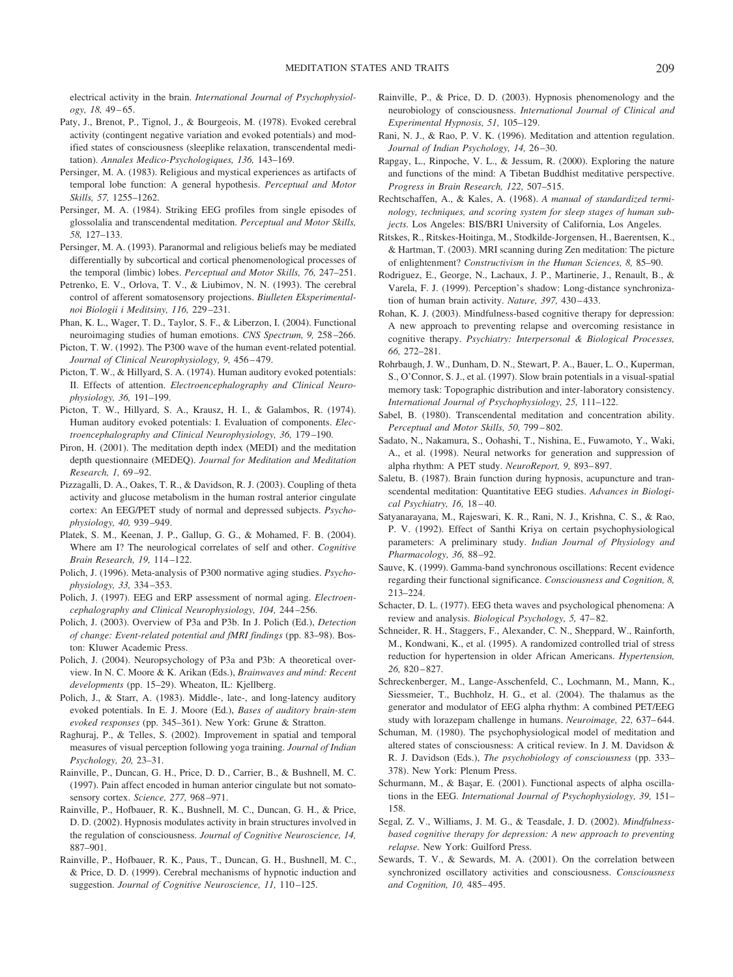electrical activity in the brain. *International Journal of Psychophysiology, 18,* 49 – 65.

- Paty, J., Brenot, P., Tignol, J., & Bourgeois, M. (1978). Evoked cerebral activity (contingent negative variation and evoked potentials) and modified states of consciousness (sleeplike relaxation, transcendental meditation). *Annales Medico-Psychologiques, 136,* 143–169.
- Persinger, M. A. (1983). Religious and mystical experiences as artifacts of temporal lobe function: A general hypothesis. *Perceptual and Motor Skills, 57,* 1255–1262.
- Persinger, M. A. (1984). Striking EEG profiles from single episodes of glossolalia and transcendental meditation. *Perceptual and Motor Skills, 58,* 127–133.
- Persinger, M. A. (1993). Paranormal and religious beliefs may be mediated differentially by subcortical and cortical phenomenological processes of the temporal (limbic) lobes. *Perceptual and Motor Skills, 76,* 247–251.
- Petrenko, E. V., Orlova, T. V., & Liubimov, N. N. (1993). The cerebral control of afferent somatosensory projections. *Biulleten Eksperimentalnoi Biologii i Meditsiny, 116,* 229 –231.
- Phan, K. L., Wager, T. D., Taylor, S. F., & Liberzon, I. (2004). Functional neuroimaging studies of human emotions. *CNS Spectrum, 9,* 258 –266.
- Picton, T. W. (1992). The P300 wave of the human event-related potential. *Journal of Clinical Neurophysiology, 9,* 456 – 479.
- Picton, T. W., & Hillyard, S. A. (1974). Human auditory evoked potentials: II. Effects of attention. *Electroencephalography and Clinical Neurophysiology, 36,* 191–199.
- Picton, T. W., Hillyard, S. A., Krausz, H. I., & Galambos, R. (1974). Human auditory evoked potentials: I. Evaluation of components. *Electroencephalography and Clinical Neurophysiology, 36,* 179 –190.
- Piron, H. (2001). The meditation depth index (MEDI) and the meditation depth questionnaire (MEDEQ). *Journal for Meditation and Meditation Research, 1,* 69 –92.
- Pizzagalli, D. A., Oakes, T. R., & Davidson, R. J. (2003). Coupling of theta activity and glucose metabolism in the human rostral anterior cingulate cortex: An EEG/PET study of normal and depressed subjects. *Psychophysiology, 40,* 939 –949.
- Platek, S. M., Keenan, J. P., Gallup, G. G., & Mohamed, F. B. (2004). Where am I? The neurological correlates of self and other. *Cognitive Brain Research, 19,* 114 –122.
- Polich, J. (1996). Meta-analysis of P300 normative aging studies. *Psychophysiology, 33,* 334 –353.
- Polich, J. (1997). EEG and ERP assessment of normal aging. *Electroencephalography and Clinical Neurophysiology, 104,* 244 –256.
- Polich, J. (2003). Overview of P3a and P3b. In J. Polich (Ed.), *Detection of change: Event-related potential and fMRI findings* (pp. 83–98). Boston: Kluwer Academic Press.
- Polich, J. (2004). Neuropsychology of P3a and P3b: A theoretical overview. In N. C. Moore & K. Arikan (Eds.), *Brainwaves and mind: Recent developments* (pp. 15–29). Wheaton, IL: Kjellberg.
- Polich, J., & Starr, A. (1983). Middle-, late-, and long-latency auditory evoked potentials. In E. J. Moore (Ed.), *Bases of auditory brain-stem evoked responses* (pp. 345–361). New York: Grune & Stratton.
- Raghuraj, P., & Telles, S. (2002). Improvement in spatial and temporal measures of visual perception following yoga training. *Journal of Indian Psychology, 20,* 23–31.
- Rainville, P., Duncan, G. H., Price, D. D., Carrier, B., & Bushnell, M. C. (1997). Pain affect encoded in human anterior cingulate but not somatosensory cortex. *Science, 277,* 968 –971.
- Rainville, P., Hofbauer, R. K., Bushnell, M. C., Duncan, G. H., & Price, D. D. (2002). Hypnosis modulates activity in brain structures involved in the regulation of consciousness. *Journal of Cognitive Neuroscience, 14,* 887–901.
- Rainville, P., Hofbauer, R. K., Paus, T., Duncan, G. H., Bushnell, M. C., & Price, D. D. (1999). Cerebral mechanisms of hypnotic induction and suggestion. *Journal of Cognitive Neuroscience*, 11, 110-125.
- Rainville, P., & Price, D. D. (2003). Hypnosis phenomenology and the neurobiology of consciousness. *International Journal of Clinical and Experimental Hypnosis, 51,* 105–129.
- Rani, N. J., & Rao, P. V. K. (1996). Meditation and attention regulation. *Journal of Indian Psychology, 14,* 26 –30.
- Rapgay, L., Rinpoche, V. L., & Jessum, R. (2000). Exploring the nature and functions of the mind: A Tibetan Buddhist meditative perspective. *Progress in Brain Research, 122,* 507–515.
- Rechtschaffen, A., & Kales, A. (1968). *A manual of standardized terminology, techniques, and scoring system for sleep stages of human subjects.* Los Angeles: BIS/BRI University of California, Los Angeles.
- Ritskes, R., Ritskes-Hoitinga, M., Stodkilde-Jorgensen, H., Baerentsen, K., & Hartman, T. (2003). MRI scanning during Zen meditation: The picture of enlightenment? *Constructivism in the Human Sciences, 8,* 85–90.
- Rodriguez, E., George, N., Lachaux, J. P., Martinerie, J., Renault, B., & Varela, F. J. (1999). Perception's shadow: Long-distance synchronization of human brain activity. *Nature*, 397, 430-433.
- Rohan, K. J. (2003). Mindfulness-based cognitive therapy for depression: A new approach to preventing relapse and overcoming resistance in cognitive therapy. *Psychiatry: Interpersonal & Biological Processes, 66,* 272–281.
- Rohrbaugh, J. W., Dunham, D. N., Stewart, P. A., Bauer, L. O., Kuperman, S., O'Connor, S. J., et al. (1997). Slow brain potentials in a visual-spatial memory task: Topographic distribution and inter-laboratory consistency. *International Journal of Psychophysiology, 25,* 111–122.
- Sabel, B. (1980). Transcendental meditation and concentration ability. *Perceptual and Motor Skills, 50,* 799 – 802.
- Sadato, N., Nakamura, S., Oohashi, T., Nishina, E., Fuwamoto, Y., Waki, A., et al. (1998). Neural networks for generation and suppression of alpha rhythm: A PET study. *NeuroReport, 9,* 893– 897.
- Saletu, B. (1987). Brain function during hypnosis, acupuncture and transcendental meditation: Quantitative EEG studies. *Advances in Biological Psychiatry, 16,* 18 – 40.
- Satyanarayana, M., Rajeswari, K. R., Rani, N. J., Krishna, C. S., & Rao, P. V. (1992). Effect of Santhi Kriya on certain psychophysiological parameters: A preliminary study. *Indian Journal of Physiology and Pharmacology, 36,* 88 –92.
- Sauve, K. (1999). Gamma-band synchronous oscillations: Recent evidence regarding their functional significance. *Consciousness and Cognition, 8,* 213–224.
- Schacter, D. L. (1977). EEG theta waves and psychological phenomena: A review and analysis. *Biological Psychology, 5,* 47– 82.
- Schneider, R. H., Staggers, F., Alexander, C. N., Sheppard, W., Rainforth, M., Kondwani, K., et al. (1995). A randomized controlled trial of stress reduction for hypertension in older African Americans. *Hypertension, 26,* 820 – 827.
- Schreckenberger, M., Lange-Asschenfeld, C., Lochmann, M., Mann, K., Siessmeier, T., Buchholz, H. G., et al. (2004). The thalamus as the generator and modulator of EEG alpha rhythm: A combined PET/EEG study with lorazepam challenge in humans. *Neuroimage, 22,* 637– 644.
- Schuman, M. (1980). The psychophysiological model of meditation and altered states of consciousness: A critical review. In J. M. Davidson & R. J. Davidson (Eds.), *The psychobiology of consciousness* (pp. 333– 378). New York: Plenum Press.
- Schurmann, M., & Başar, E. (2001). Functional aspects of alpha oscillations in the EEG. *International Journal of Psychophysiology, 39,* 151– 158.
- Segal, Z. V., Williams, J. M. G., & Teasdale, J. D. (2002). *Mindfulnessbased cognitive therapy for depression: A new approach to preventing relapse.* New York: Guilford Press.
- Sewards, T. V., & Sewards, M. A. (2001). On the correlation between synchronized oscillatory activities and consciousness. *Consciousness and Cognition, 10,* 485– 495.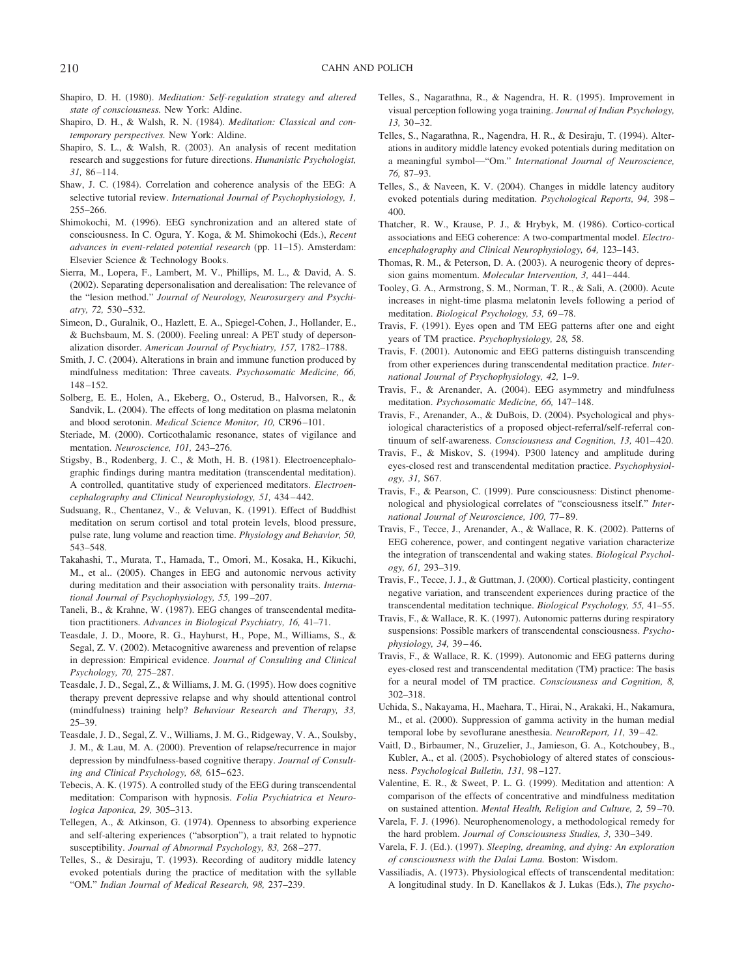- Shapiro, D. H. (1980). *Meditation: Self-regulation strategy and altered state of consciousness.* New York: Aldine.
- Shapiro, D. H., & Walsh, R. N. (1984). *Meditation: Classical and contemporary perspectives.* New York: Aldine.
- Shapiro, S. L., & Walsh, R. (2003). An analysis of recent meditation research and suggestions for future directions. *Humanistic Psychologist, 31,* 86 –114.
- Shaw, J. C. (1984). Correlation and coherence analysis of the EEG: A selective tutorial review. *International Journal of Psychophysiology, 1,* 255–266.
- Shimokochi, M. (1996). EEG synchronization and an altered state of consciousness. In C. Ogura, Y. Koga, & M. Shimokochi (Eds.), *Recent advances in event-related potential research* (pp. 11–15). Amsterdam: Elsevier Science & Technology Books.
- Sierra, M., Lopera, F., Lambert, M. V., Phillips, M. L., & David, A. S. (2002). Separating depersonalisation and derealisation: The relevance of the "lesion method." *Journal of Neurology, Neurosurgery and Psychiatry, 72,* 530 –532.
- Simeon, D., Guralnik, O., Hazlett, E. A., Spiegel-Cohen, J., Hollander, E., & Buchsbaum, M. S. (2000). Feeling unreal: A PET study of depersonalization disorder. *American Journal of Psychiatry, 157,* 1782–1788.
- Smith, J. C. (2004). Alterations in brain and immune function produced by mindfulness meditation: Three caveats. *Psychosomatic Medicine, 66,* 148 –152.
- Solberg, E. E., Holen, A., Ekeberg, O., Osterud, B., Halvorsen, R., & Sandvik, L. (2004). The effects of long meditation on plasma melatonin and blood serotonin. *Medical Science Monitor, 10,* CR96 –101.
- Steriade, M. (2000). Corticothalamic resonance, states of vigilance and mentation. *Neuroscience, 101,* 243–276.
- Stigsby, B., Rodenberg, J. C., & Moth, H. B. (1981). Electroencephalographic findings during mantra meditation (transcendental meditation). A controlled, quantitative study of experienced meditators. *Electroencephalography and Clinical Neurophysiology, 51,* 434 – 442.
- Sudsuang, R., Chentanez, V., & Veluvan, K. (1991). Effect of Buddhist meditation on serum cortisol and total protein levels, blood pressure, pulse rate, lung volume and reaction time. *Physiology and Behavior, 50,* 543–548.
- Takahashi, T., Murata, T., Hamada, T., Omori, M., Kosaka, H., Kikuchi, M., et al.. (2005). Changes in EEG and autonomic nervous activity during meditation and their association with personality traits. *International Journal of Psychophysiology, 55,* 199 –207.
- Taneli, B., & Krahne, W. (1987). EEG changes of transcendental meditation practitioners. *Advances in Biological Psychiatry, 16,* 41–71.
- Teasdale, J. D., Moore, R. G., Hayhurst, H., Pope, M., Williams, S., & Segal, Z. V. (2002). Metacognitive awareness and prevention of relapse in depression: Empirical evidence. *Journal of Consulting and Clinical Psychology, 70,* 275–287.
- Teasdale, J. D., Segal, Z., & Williams, J. M. G. (1995). How does cognitive therapy prevent depressive relapse and why should attentional control (mindfulness) training help? *Behaviour Research and Therapy, 33,* 25–39.
- Teasdale, J. D., Segal, Z. V., Williams, J. M. G., Ridgeway, V. A., Soulsby, J. M., & Lau, M. A. (2000). Prevention of relapse/recurrence in major depression by mindfulness-based cognitive therapy. *Journal of Consulting and Clinical Psychology, 68,* 615– 623.
- Tebecis, A. K. (1975). A controlled study of the EEG during transcendental meditation: Comparison with hypnosis. *Folia Psychiatrica et Neurologica Japonica, 29,* 305–313.
- Tellegen, A., & Atkinson, G. (1974). Openness to absorbing experience and self-altering experiences ("absorption"), a trait related to hypnotic susceptibility. *Journal of Abnormal Psychology, 83,* 268 –277.
- Telles, S., & Desiraju, T. (1993). Recording of auditory middle latency evoked potentials during the practice of meditation with the syllable "OM." *Indian Journal of Medical Research, 98,* 237–239.
- Telles, S., Nagarathna, R., & Nagendra, H. R. (1995). Improvement in visual perception following yoga training. *Journal of Indian Psychology, 13,* 30 –32.
- Telles, S., Nagarathna, R., Nagendra, H. R., & Desiraju, T. (1994). Alterations in auditory middle latency evoked potentials during meditation on a meaningful symbol—"Om." *International Journal of Neuroscience, 76,* 87–93.
- Telles, S., & Naveen, K. V. (2004). Changes in middle latency auditory evoked potentials during meditation. *Psychological Reports, 94,* 398 – 400.
- Thatcher, R. W., Krause, P. J., & Hrybyk, M. (1986). Cortico-cortical associations and EEG coherence: A two-compartmental model. *Electroencephalography and Clinical Neurophysiology, 64,* 123–143.
- Thomas, R. M., & Peterson, D. A. (2003). A neurogenic theory of depression gains momentum. *Molecular Intervention*, 3, 441-444.
- Tooley, G. A., Armstrong, S. M., Norman, T. R., & Sali, A. (2000). Acute increases in night-time plasma melatonin levels following a period of meditation. *Biological Psychology, 53,* 69 –78.
- Travis, F. (1991). Eyes open and TM EEG patterns after one and eight years of TM practice. *Psychophysiology, 28,* 58.
- Travis, F. (2001). Autonomic and EEG patterns distinguish transcending from other experiences during transcendental meditation practice. *International Journal of Psychophysiology, 42,* 1–9.
- Travis, F., & Arenander, A. (2004). EEG asymmetry and mindfulness meditation. *Psychosomatic Medicine, 66,* 147–148.
- Travis, F., Arenander, A., & DuBois, D. (2004). Psychological and physiological characteristics of a proposed object-referral/self-referral continuum of self-awareness. *Consciousness and Cognition, 13, 401-420*.
- Travis, F., & Miskov, S. (1994). P300 latency and amplitude during eyes-closed rest and transcendental meditation practice. *Psychophysiology, 31,* S67.
- Travis, F., & Pearson, C. (1999). Pure consciousness: Distinct phenomenological and physiological correlates of "consciousness itself." *International Journal of Neuroscience, 100,* 77– 89.
- Travis, F., Tecce, J., Arenander, A., & Wallace, R. K. (2002). Patterns of EEG coherence, power, and contingent negative variation characterize the integration of transcendental and waking states. *Biological Psychology, 61,* 293–319.
- Travis, F., Tecce, J. J., & Guttman, J. (2000). Cortical plasticity, contingent negative variation, and transcendent experiences during practice of the transcendental meditation technique. *Biological Psychology, 55,* 41–55.
- Travis, F., & Wallace, R. K. (1997). Autonomic patterns during respiratory suspensions: Possible markers of transcendental consciousness. *Psychophysiology, 34,* 39 – 46.
- Travis, F., & Wallace, R. K. (1999). Autonomic and EEG patterns during eyes-closed rest and transcendental meditation (TM) practice: The basis for a neural model of TM practice. *Consciousness and Cognition, 8,* 302–318.
- Uchida, S., Nakayama, H., Maehara, T., Hirai, N., Arakaki, H., Nakamura, M., et al. (2000). Suppression of gamma activity in the human medial temporal lobe by sevoflurane anesthesia. *NeuroReport, 11,* 39 – 42.
- Vaitl, D., Birbaumer, N., Gruzelier, J., Jamieson, G. A., Kotchoubey, B., Kubler, A., et al. (2005). Psychobiology of altered states of consciousness. *Psychological Bulletin, 131,* 98 –127.
- Valentine, E. R., & Sweet, P. L. G. (1999). Meditation and attention: A comparison of the effects of concentrative and mindfulness meditation on sustained attention. *Mental Health, Religion and Culture, 2,* 59 –70.
- Varela, F. J. (1996). Neurophenomenology, a methodological remedy for the hard problem. *Journal of Consciousness Studies, 3,* 330 –349.
- Varela, F. J. (Ed.). (1997). *Sleeping, dreaming, and dying: An exploration of consciousness with the Dalai Lama.* Boston: Wisdom.
- Vassiliadis, A. (1973). Physiological effects of transcendental meditation: A longitudinal study. In D. Kanellakos & J. Lukas (Eds.), *The psycho-*